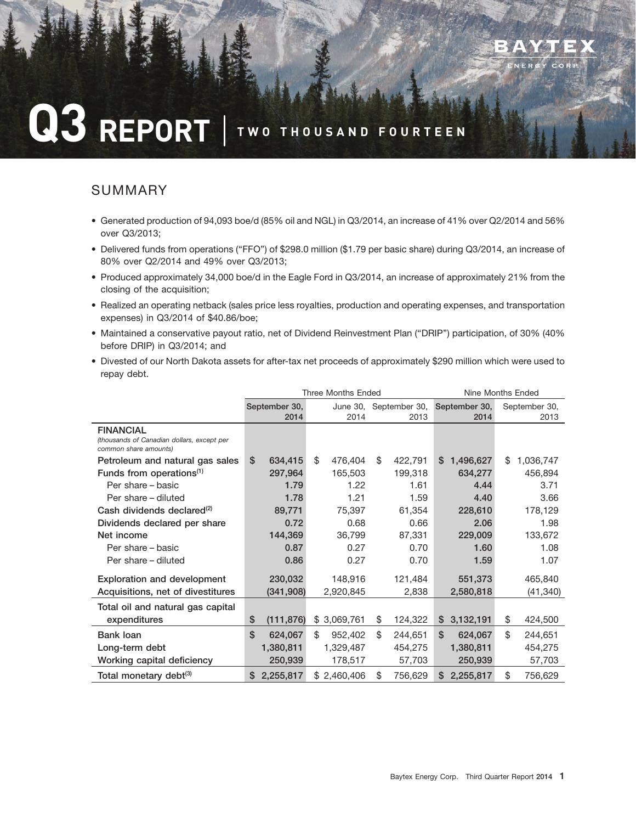30OCT201412

# **Q3 REPORT** | TWO THOUSAND FOURTEEN

# SUMMARY

- Generated production of 94,093 boe/d (85% oil and NGL) in Q3/2014, an increase of 41% over Q2/2014 and 56% over Q3/2013;
- Delivered funds from operations (''FFO'') of \$298.0 million (\$1.79 per basic share) during Q3/2014, an increase of 80% over Q2/2014 and 49% over Q3/2013;
- Produced approximately 34,000 boe/d in the Eagle Ford in Q3/2014, an increase of approximately 21% from the closing of the acquisition;
- Realized an operating netback (sales price less royalties, production and operating expenses, and transportation expenses) in Q3/2014 of \$40.86/boe;
- Maintained a conservative payout ratio, net of Dividend Reinvestment Plan (''DRIP'') participation, of 30% (40% before DRIP) in Q3/2014; and
- Divested of our North Dakota assets for after-tax net proceeds of approximately \$290 million which were used to repay debt.

|                                                                     |                  | <b>Three Months Ended</b> |     |                        |    | Nine Months Ended |    |               |  |
|---------------------------------------------------------------------|------------------|---------------------------|-----|------------------------|----|-------------------|----|---------------|--|
|                                                                     | September 30,    |                           |     | June 30, September 30, |    | September 30,     |    | September 30, |  |
|                                                                     | 2014             | 2014                      |     | 2013                   |    | 2014              |    | 2013          |  |
| <b>FINANCIAL</b>                                                    |                  |                           |     |                        |    |                   |    |               |  |
| (thousands of Canadian dollars, except per<br>common share amounts) |                  |                           |     |                        |    |                   |    |               |  |
| Petroleum and natural gas sales                                     | \$<br>634,415    | \$<br>476,404             | \$. | 422,791                | S. | 1,496,627         | \$ | 1,036,747     |  |
| Funds from operations <sup>(1)</sup>                                | 297,964          | 165,503                   |     | 199,318                |    | 634,277           |    | 456,894       |  |
| Per share – basic                                                   | 1.79             | 1.22                      |     | 1.61                   |    | 4.44              |    | 3.71          |  |
| Per share – diluted                                                 | 1.78             | 1.21                      |     | 1.59                   |    | 4.40              |    | 3.66          |  |
| Cash dividends declared <sup>(2)</sup>                              | 89,771           | 75,397                    |     | 61,354                 |    | 228,610           |    | 178,129       |  |
| Dividends declared per share                                        | 0.72             | 0.68                      |     | 0.66                   |    | 2.06              |    | 1.98          |  |
| Net income                                                          | 144,369          | 36,799                    |     | 87,331                 |    | 229,009           |    | 133,672       |  |
| Per share – basic                                                   | 0.87             | 0.27                      |     | 0.70                   |    | 1.60              |    | 1.08          |  |
| Per share – diluted                                                 | 0.86             | 0.27                      |     | 0.70                   |    | 1.59              |    | 1.07          |  |
| <b>Exploration and development</b>                                  | 230,032          | 148,916                   |     | 121,484                |    | 551,373           |    | 465,840       |  |
| Acquisitions, net of divestitures                                   | (341, 908)       | 2,920,845                 |     | 2,838                  |    | 2,580,818         |    | (41, 340)     |  |
| Total oil and natural gas capital                                   |                  |                           |     |                        |    |                   |    |               |  |
| expenditures                                                        | \$<br>(111, 876) | \$ 3,069,761              | \$  | 124,322                | \$ | 3,132,191         | \$ | 424,500       |  |
| <b>Bank loan</b>                                                    | \$<br>624,067    | \$<br>952,402             | \$  | 244,651                | \$ | 624,067           | \$ | 244,651       |  |
| Long-term debt                                                      | 1,380,811        | 1,329,487                 |     | 454,275                |    | 1,380,811         |    | 454,275       |  |
| Working capital deficiency                                          | 250,939          | 178,517                   |     | 57,703                 |    | 250,939           |    | 57,703        |  |
| Total monetary debt <sup>(3)</sup>                                  | \$<br>2,255,817  | \$2,460,406               | \$  | 756,629                | \$ | 2,255,817         | \$ | 756,629       |  |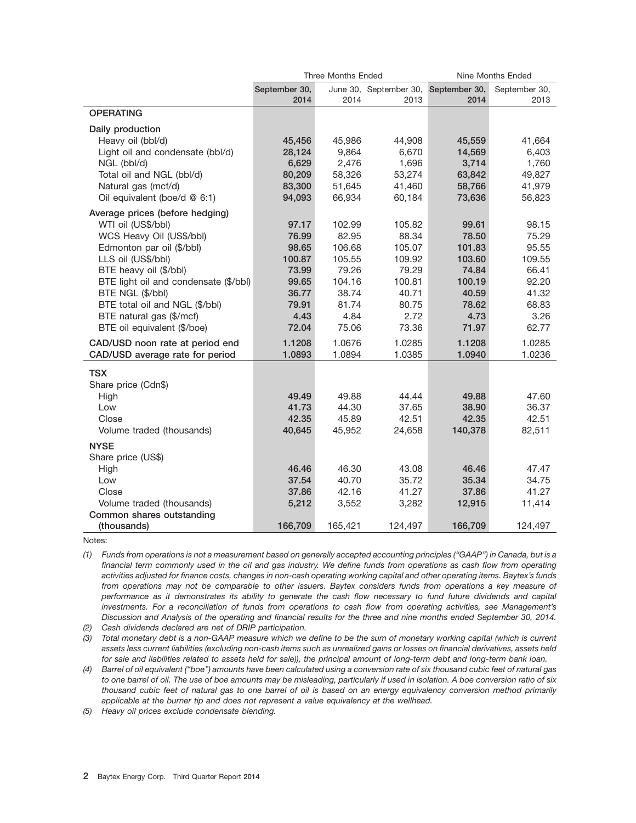|                                       |               | <b>Three Months Ended</b> |                        | Nine Months Ended |               |  |  |
|---------------------------------------|---------------|---------------------------|------------------------|-------------------|---------------|--|--|
|                                       | September 30, |                           | June 30, September 30, | September 30,     | September 30, |  |  |
|                                       | 2014          | 2014                      | 2013                   | 2014              | 2013          |  |  |
| <b>OPERATING</b>                      |               |                           |                        |                   |               |  |  |
| Daily production                      |               |                           |                        |                   |               |  |  |
| Heavy oil (bbl/d)                     | 45,456        | 45,986                    | 44,908                 | 45,559            | 41,664        |  |  |
| Light oil and condensate (bbl/d)      | 28,124        | 9.864                     | 6,670                  | 14,569            | 6,403         |  |  |
| NGL (bbl/d)                           | 6,629         | 2,476                     | 1,696                  | 3,714             | 1,760         |  |  |
| Total oil and NGL (bbl/d)             | 80,209        | 58,326                    | 53,274                 | 63,842            | 49,827        |  |  |
| Natural gas (mcf/d)                   | 83,300        | 51,645                    | 41,460                 | 58,766            | 41,979        |  |  |
| Oil equivalent (boe/d @ 6:1)          | 94,093        | 66,934                    | 60,184                 | 73,636            | 56,823        |  |  |
| Average prices (before hedging)       |               |                           |                        |                   |               |  |  |
| WTI oil (US\$/bbl)                    | 97.17         | 102.99                    | 105.82                 | 99.61             | 98.15         |  |  |
| WCS Heavy Oil (US\$/bbl)              | 76.99         | 82.95                     | 88.34                  | 78.50             | 75.29         |  |  |
| Edmonton par oil (\$/bbl)             | 98.65         | 106.68                    | 105.07                 | 101.83            | 95.55         |  |  |
| LLS oil (US\$/bbl)                    | 100.87        | 105.55                    | 109.92                 | 103.60            | 109.55        |  |  |
| BTE heavy oil (\$/bbl)                | 73.99         | 79.26                     | 79.29                  | 74.84             | 66.41         |  |  |
| BTE light oil and condensate (\$/bbl) | 99.65         | 104.16                    | 100.81                 | 100.19            | 92.20         |  |  |
| BTE NGL (\$/bbl)                      | 36.77         | 38.74                     | 40.71                  | 40.59             | 41.32         |  |  |
| BTE total oil and NGL (\$/bbl)        | 79.91         | 81.74                     | 80.75                  | 78.62             | 68.83         |  |  |
| BTE natural gas (\$/mcf)              | 4.43          | 4.84                      | 2.72                   | 4.73              | 3.26          |  |  |
| BTE oil equivalent (\$/boe)           | 72.04         | 75.06                     | 73.36                  | 71.97             | 62.77         |  |  |
| CAD/USD noon rate at period end       | 1.1208        | 1.0676                    | 1.0285                 | 1.1208            | 1.0285        |  |  |
| CAD/USD average rate for period       | 1.0893        | 1.0894                    | 1.0385                 | 1.0940            | 1.0236        |  |  |
| <b>TSX</b>                            |               |                           |                        |                   |               |  |  |
| Share price (Cdn\$)                   |               |                           |                        |                   |               |  |  |
| High                                  | 49.49         | 49.88                     | 44.44                  | 49.88             | 47.60         |  |  |
| Low                                   | 41.73         | 44.30                     | 37.65                  | 38.90             | 36.37         |  |  |
| Close                                 | 42.35         | 45.89                     | 42.51                  | 42.35             | 42.51         |  |  |
| Volume traded (thousands)             | 40,645        | 45,952                    | 24,658                 | 140,378           | 82,511        |  |  |
| <b>NYSE</b>                           |               |                           |                        |                   |               |  |  |
| Share price (US\$)                    |               |                           |                        |                   |               |  |  |
| High                                  | 46.46         | 46.30                     | 43.08                  | 46.46             | 47.47         |  |  |
| Low                                   | 37.54         | 40.70                     | 35.72                  | 35.34             | 34.75         |  |  |
| Close                                 | 37.86         | 42.16                     | 41.27                  | 37.86             | 41.27         |  |  |
| Volume traded (thousands)             | 5,212         | 3,552                     | 3,282                  | 12,915            | 11,414        |  |  |
| Common shares outstanding             |               |                           |                        |                   |               |  |  |
| (thousands)                           | 166,709       | 165,421                   | 124,497                | 166,709           | 124,497       |  |  |

Notes:

*(1) Funds from operations is not a measurement based on generally accepted accounting principles (''GAAP'') in Canada, but is a financial term commonly used in the oil and gas industry. We define funds from operations as cash flow from operating activities adjusted for finance costs, changes in non-cash operating working capital and other operating items. Baytex's funds from operations may not be comparable to other issuers. Baytex considers funds from operations a key measure of performance as it demonstrates its ability to generate the cash flow necessary to fund future dividends and capital investments. For a reconciliation of funds from operations to cash flow from operating activities, see Management's Discussion and Analysis of the operating and financial results for the three and nine months ended September 30, 2014.*

*(2) Cash dividends declared are net of DRIP participation.*

*(3) Total monetary debt is a non-GAAP measure which we define to be the sum of monetary working capital (which is current assets less current liabilities (excluding non-cash items such as unrealized gains or losses on financial derivatives, assets held for sale and liabilities related to assets held for sale)), the principal amount of long-term debt and long-term bank loan.*

*(4) Barrel of oil equivalent (''boe'') amounts have been calculated using a conversion rate of six thousand cubic feet of natural gas to one barrel of oil. The use of boe amounts may be misleading, particularly if used in isolation. A boe conversion ratio of six thousand cubic feet of natural gas to one barrel of oil is based on an energy equivalency conversion method primarily applicable at the burner tip and does not represent a value equivalency at the wellhead.*

*(5) Heavy oil prices exclude condensate blending.*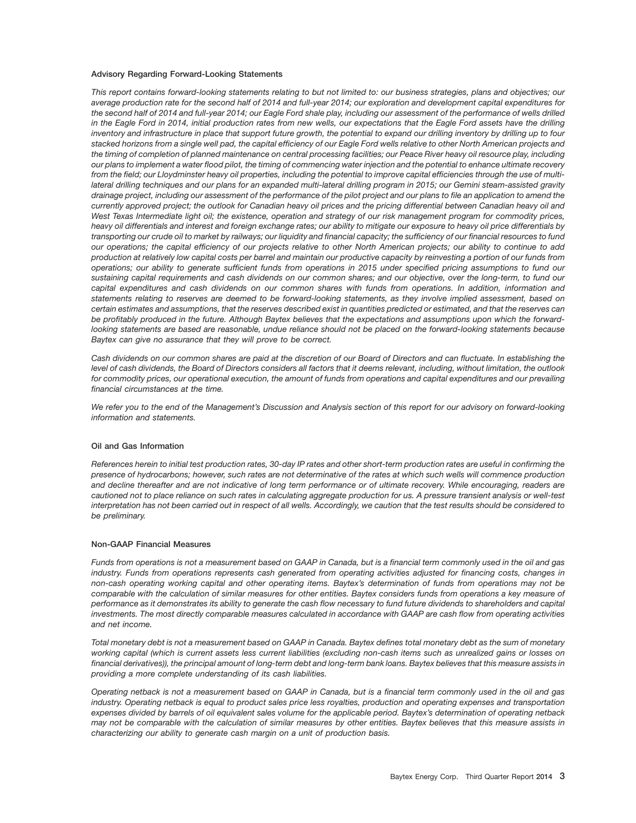#### **Advisory Regarding Forward-Looking Statements**

*This report contains forward-looking statements relating to but not limited to: our business strategies, plans and objectives; our average production rate for the second half of 2014 and full-year 2014; our exploration and development capital expenditures for the second half of 2014 and full-year 2014; our Eagle Ford shale play, including our assessment of the performance of wells drilled in the Eagle Ford in 2014, initial production rates from new wells, our expectations that the Eagle Ford assets have the drilling inventory and infrastructure in place that support future growth, the potential to expand our drilling inventory by drilling up to four stacked horizons from a single well pad, the capital efficiency of our Eagle Ford wells relative to other North American projects and the timing of completion of planned maintenance on central processing facilities; our Peace River heavy oil resource play, including our plans to implement a water flood pilot, the timing of commencing water injection and the potential to enhance ultimate recovery from the field; our Lloydminster heavy oil properties, including the potential to improve capital efficiencies through the use of multilateral drilling techniques and our plans for an expanded multi-lateral drilling program in 2015; our Gemini steam-assisted gravity drainage project, including our assessment of the performance of the pilot project and our plans to file an application to amend the currently approved project; the outlook for Canadian heavy oil prices and the pricing differential between Canadian heavy oil and West Texas Intermediate light oil; the existence, operation and strategy of our risk management program for commodity prices, heavy oil differentials and interest and foreign exchange rates; our ability to mitigate our exposure to heavy oil price differentials by transporting our crude oil to market by railways; our liquidity and financial capacity; the sufficiency of our financial resources to fund our operations; the capital efficiency of our projects relative to other North American projects; our ability to continue to add production at relatively low capital costs per barrel and maintain our productive capacity by reinvesting a portion of our funds from operations; our ability to generate sufficient funds from operations in 2015 under specified pricing assumptions to fund our sustaining capital requirements and cash dividends on our common shares; and our objective, over the long-term, to fund our capital expenditures and cash dividends on our common shares with funds from operations. In addition, information and statements relating to reserves are deemed to be forward-looking statements, as they involve implied assessment, based on certain estimates and assumptions, that the reserves described exist in quantities predicted or estimated, and that the reserves can be profitably produced in the future. Although Baytex believes that the expectations and assumptions upon which the forwardlooking statements are based are reasonable, undue reliance should not be placed on the forward-looking statements because Baytex can give no assurance that they will prove to be correct.*

*Cash dividends on our common shares are paid at the discretion of our Board of Directors and can fluctuate. In establishing the level of cash dividends, the Board of Directors considers all factors that it deems relevant, including, without limitation, the outlook for commodity prices, our operational execution, the amount of funds from operations and capital expenditures and our prevailing financial circumstances at the time.*

*We refer you to the end of the Management's Discussion and Analysis section of this report for our advisory on forward-looking information and statements.*

#### **Oil and Gas Information**

*References herein to initial test production rates, 30-day IP rates and other short-term production rates are useful in confirming the presence of hydrocarbons; however, such rates are not determinative of the rates at which such wells will commence production and decline thereafter and are not indicative of long term performance or of ultimate recovery. While encouraging, readers are cautioned not to place reliance on such rates in calculating aggregate production for us. A pressure transient analysis or well-test interpretation has not been carried out in respect of all wells. Accordingly, we caution that the test results should be considered to be preliminary.*

#### **Non-GAAP Financial Measures**

*Funds from operations is not a measurement based on GAAP in Canada, but is a financial term commonly used in the oil and gas industry. Funds from operations represents cash generated from operating activities adjusted for financing costs, changes in non-cash operating working capital and other operating items. Baytex's determination of funds from operations may not be comparable with the calculation of similar measures for other entities. Baytex considers funds from operations a key measure of performance as it demonstrates its ability to generate the cash flow necessary to fund future dividends to shareholders and capital investments. The most directly comparable measures calculated in accordance with GAAP are cash flow from operating activities and net income.*

*Total monetary debt is not a measurement based on GAAP in Canada. Baytex defines total monetary debt as the sum of monetary working capital (which is current assets less current liabilities (excluding non-cash items such as unrealized gains or losses on financial derivatives)), the principal amount of long-term debt and long-term bank loans. Baytex believes that this measure assists in providing a more complete understanding of its cash liabilities.*

*Operating netback is not a measurement based on GAAP in Canada, but is a financial term commonly used in the oil and gas industry. Operating netback is equal to product sales price less royalties, production and operating expenses and transportation expenses divided by barrels of oil equivalent sales volume for the applicable period. Baytex's determination of operating netback may not be comparable with the calculation of similar measures by other entities. Baytex believes that this measure assists in characterizing our ability to generate cash margin on a unit of production basis.*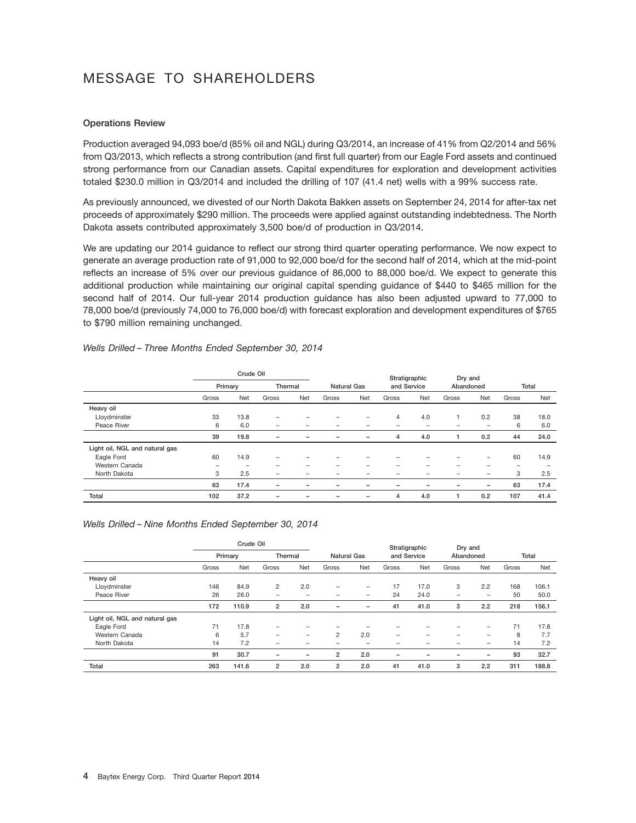# MESSAGE TO SHAREHOLDERS

#### **Operations Review**

Production averaged 94,093 boe/d (85% oil and NGL) during Q3/2014, an increase of 41% from Q2/2014 and 56% from Q3/2013, which reflects a strong contribution (and first full quarter) from our Eagle Ford assets and continued strong performance from our Canadian assets. Capital expenditures for exploration and development activities totaled \$230.0 million in Q3/2014 and included the drilling of 107 (41.4 net) wells with a 99% success rate.

As previously announced, we divested of our North Dakota Bakken assets on September 24, 2014 for after-tax net proceeds of approximately \$290 million. The proceeds were applied against outstanding indebtedness. The North Dakota assets contributed approximately 3,500 boe/d of production in Q3/2014.

We are updating our 2014 guidance to reflect our strong third quarter operating performance. We now expect to generate an average production rate of 91,000 to 92,000 boe/d for the second half of 2014, which at the mid-point reflects an increase of 5% over our previous guidance of 86,000 to 88,000 boe/d. We expect to generate this additional production while maintaining our original capital spending guidance of \$440 to \$465 million for the second half of 2014. Our full-year 2014 production guidance has also been adjusted upward to 77,000 to 78,000 boe/d (previously 74,000 to 76,000 boe/d) with forecast exploration and development expenditures of \$765 to \$790 million remaining unchanged.

|                                |                          | Crude Oil                |                          |                          |                          |                          | Stratigraphic            |                          | Dry and                  |                          |       |       |  |
|--------------------------------|--------------------------|--------------------------|--------------------------|--------------------------|--------------------------|--------------------------|--------------------------|--------------------------|--------------------------|--------------------------|-------|-------|--|
|                                | Primary                  |                          |                          | Thermal                  |                          | <b>Natural Gas</b>       |                          | and Service              |                          | Abandoned                |       | Total |  |
|                                | Gross                    | Net                      | Gross                    | Net                      | Gross                    | Net                      | Gross                    | Net                      | Gross                    | Net                      | Gross | Net   |  |
| Heavy oil                      |                          |                          |                          |                          |                          |                          |                          |                          |                          |                          |       |       |  |
| Lloydminster                   | 33                       | 13.8                     | $\overline{\phantom{m}}$ |                          |                          | $\overline{\phantom{0}}$ | $\overline{4}$           | 4.0                      |                          | 0.2                      | 38    | 18.0  |  |
| Peace River                    | 6                        | 6.0                      | $\qquad \qquad -$        | -                        |                          |                          | $\overline{\phantom{0}}$ | $\qquad \qquad$          | -                        | $\overline{\phantom{0}}$ | 6     | 6.0   |  |
|                                | 39                       | 19.8                     | $\overline{\phantom{a}}$ | $\overline{\phantom{0}}$ | $\overline{\phantom{0}}$ | $\qquad \qquad$          | 4                        | 4.0                      |                          | 0.2                      | 44    | 24.0  |  |
| Light oil, NGL and natural gas |                          |                          |                          |                          |                          |                          |                          |                          |                          |                          |       |       |  |
| Eagle Ford                     | 60                       | 14.9                     |                          |                          |                          |                          |                          |                          |                          | $\qquad \qquad$          | 60    | 14.9  |  |
| Western Canada                 | $\overline{\phantom{0}}$ | $\overline{\phantom{0}}$ | $\overline{\phantom{m}}$ | $\overline{\phantom{0}}$ |                          |                          | -                        | $\overline{\phantom{0}}$ |                          | -                        | -     |       |  |
| North Dakota                   | 3                        | 2.5                      | $\overline{\phantom{m}}$ | -                        | -                        | $\overline{\phantom{0}}$ | -                        | $\qquad \qquad$          | $\overline{\phantom{0}}$ | $\overline{\phantom{0}}$ | 3     | 2.5   |  |
|                                | 63                       | 17.4                     | $\overline{\phantom{0}}$ | $\qquad \qquad$          |                          |                          | $\overline{\phantom{0}}$ | $\overline{\phantom{0}}$ | $\overline{\phantom{0}}$ | $\qquad \qquad$          | 63    | 17.4  |  |
| Total                          | 102                      | 37.2                     | $\overline{\phantom{0}}$ | $\overline{\phantom{0}}$ | $\overline{\phantom{0}}$ | $\overline{\phantom{0}}$ | 4                        | 4.0                      |                          | 0.2                      | 107   | 41.4  |  |

*Wells Drilled – Three Months Ended September 30, 2014*

#### *Wells Drilled – Nine Months Ended September 30, 2014*

|                                |       | Crude Oil |                          |                          |                          |                              |                          | Stratigraphic            | Dry and                      |                          |       |       |
|--------------------------------|-------|-----------|--------------------------|--------------------------|--------------------------|------------------------------|--------------------------|--------------------------|------------------------------|--------------------------|-------|-------|
|                                |       | Primary   |                          | Thermal                  |                          | <b>Natural Gas</b>           |                          | and Service              |                              | Abandoned                |       | Total |
|                                | Gross | Net       | Gross                    | Net                      | Gross                    | Net                          | Gross                    | Net                      | Gross                        | Net                      | Gross | Net   |
| Heavy oil                      |       |           |                          |                          |                          |                              |                          |                          |                              |                          |       |       |
| Lloydminster                   | 146   | 84.9      | 2                        | 2.0                      | $\overline{\phantom{m}}$ | $\overline{\phantom{0}}$     | 17                       | 17.0                     | 3                            | 2.2                      | 168   | 106.1 |
| Peace River                    | 26    | 26.0      | $\overline{\phantom{m}}$ |                          |                          | $\overline{\phantom{0}}$     | 24                       | 24.0                     | $\qquad \qquad \blacksquare$ | $\overline{\phantom{0}}$ | 50    | 50.0  |
|                                | 172   | 110.9     | $\overline{2}$           | 2.0                      | -                        | $\qquad \qquad \blacksquare$ | 41                       | 41.0                     | 3                            | 2.2                      | 218   | 156.1 |
| Light oil, NGL and natural gas |       |           |                          |                          |                          |                              |                          |                          |                              |                          |       |       |
| Eagle Ford                     | 71    | 17.8      | ۰                        | $\overline{\phantom{0}}$ |                          |                              |                          |                          |                              | -                        | 71    | 17.8  |
| Western Canada                 | 6     | 5.7       | $\overline{\phantom{m}}$ | $\qquad \qquad -$        | $\overline{c}$           | 2.0                          | $\overline{\phantom{0}}$ | $\overline{\phantom{m}}$ | $\overline{\phantom{0}}$     | -                        | 8     | 7.7   |
| North Dakota                   | 14    | 7.2       | $\overline{\phantom{m}}$ | $\overline{\phantom{0}}$ |                          |                              |                          |                          |                              | $\overline{\phantom{0}}$ | 14    | 7.2   |
|                                | 91    | 30.7      | $\overline{\phantom{0}}$ | $\overline{\phantom{a}}$ | $\overline{2}$           | 2.0                          | $\overline{\phantom{a}}$ | $\qquad \qquad$          | $\overline{\phantom{0}}$     | -                        | 93    | 32.7  |
| Total                          | 263   | 141.6     | $\overline{2}$           | 2.0                      | $\overline{2}$           | 2.0                          | 41                       | 41.0                     | 3                            | 2.2                      | 311   | 188.8 |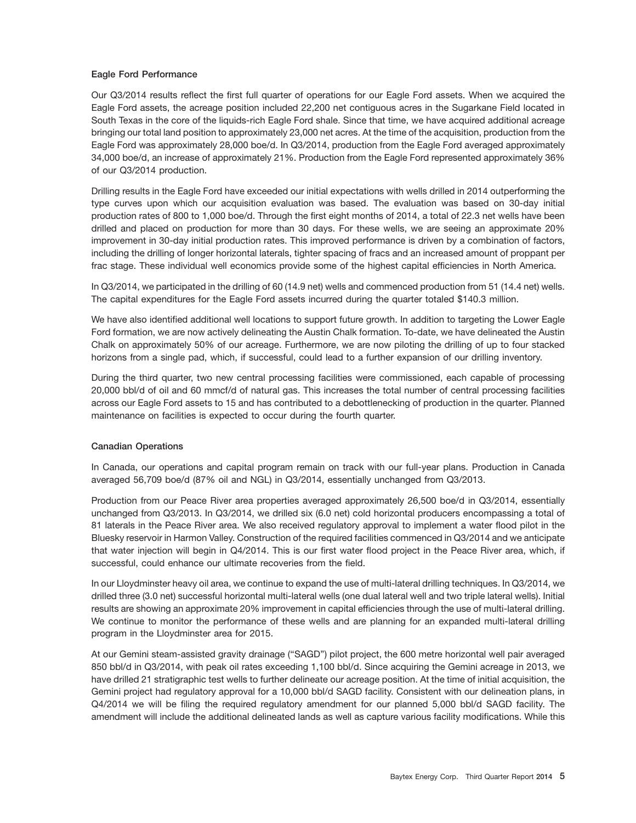#### **Eagle Ford Performance**

Our Q3/2014 results reflect the first full quarter of operations for our Eagle Ford assets. When we acquired the Eagle Ford assets, the acreage position included 22,200 net contiguous acres in the Sugarkane Field located in South Texas in the core of the liquids-rich Eagle Ford shale. Since that time, we have acquired additional acreage bringing our total land position to approximately 23,000 net acres. At the time of the acquisition, production from the Eagle Ford was approximately 28,000 boe/d. In Q3/2014, production from the Eagle Ford averaged approximately 34,000 boe/d, an increase of approximately 21%. Production from the Eagle Ford represented approximately 36% of our Q3/2014 production.

Drilling results in the Eagle Ford have exceeded our initial expectations with wells drilled in 2014 outperforming the type curves upon which our acquisition evaluation was based. The evaluation was based on 30-day initial production rates of 800 to 1,000 boe/d. Through the first eight months of 2014, a total of 22.3 net wells have been drilled and placed on production for more than 30 days. For these wells, we are seeing an approximate 20% improvement in 30-day initial production rates. This improved performance is driven by a combination of factors, including the drilling of longer horizontal laterals, tighter spacing of fracs and an increased amount of proppant per frac stage. These individual well economics provide some of the highest capital efficiencies in North America.

In Q3/2014, we participated in the drilling of 60 (14.9 net) wells and commenced production from 51 (14.4 net) wells. The capital expenditures for the Eagle Ford assets incurred during the quarter totaled \$140.3 million.

We have also identified additional well locations to support future growth. In addition to targeting the Lower Eagle Ford formation, we are now actively delineating the Austin Chalk formation. To-date, we have delineated the Austin Chalk on approximately 50% of our acreage. Furthermore, we are now piloting the drilling of up to four stacked horizons from a single pad, which, if successful, could lead to a further expansion of our drilling inventory.

During the third quarter, two new central processing facilities were commissioned, each capable of processing 20,000 bbl/d of oil and 60 mmcf/d of natural gas. This increases the total number of central processing facilities across our Eagle Ford assets to 15 and has contributed to a debottlenecking of production in the quarter. Planned maintenance on facilities is expected to occur during the fourth quarter.

#### **Canadian Operations**

In Canada, our operations and capital program remain on track with our full-year plans. Production in Canada averaged 56,709 boe/d (87% oil and NGL) in Q3/2014, essentially unchanged from Q3/2013.

Production from our Peace River area properties averaged approximately 26,500 boe/d in Q3/2014, essentially unchanged from Q3/2013. In Q3/2014, we drilled six (6.0 net) cold horizontal producers encompassing a total of 81 laterals in the Peace River area. We also received regulatory approval to implement a water flood pilot in the Bluesky reservoir in Harmon Valley. Construction of the required facilities commenced in Q3/2014 and we anticipate that water injection will begin in Q4/2014. This is our first water flood project in the Peace River area, which, if successful, could enhance our ultimate recoveries from the field.

In our Lloydminster heavy oil area, we continue to expand the use of multi-lateral drilling techniques. In Q3/2014, we drilled three (3.0 net) successful horizontal multi-lateral wells (one dual lateral well and two triple lateral wells). Initial results are showing an approximate 20% improvement in capital efficiencies through the use of multi-lateral drilling. We continue to monitor the performance of these wells and are planning for an expanded multi-lateral drilling program in the Lloydminster area for 2015.

At our Gemini steam-assisted gravity drainage (''SAGD'') pilot project, the 600 metre horizontal well pair averaged 850 bbl/d in Q3/2014, with peak oil rates exceeding 1,100 bbl/d. Since acquiring the Gemini acreage in 2013, we have drilled 21 stratigraphic test wells to further delineate our acreage position. At the time of initial acquisition, the Gemini project had regulatory approval for a 10,000 bbl/d SAGD facility. Consistent with our delineation plans, in Q4/2014 we will be filing the required regulatory amendment for our planned 5,000 bbl/d SAGD facility. The amendment will include the additional delineated lands as well as capture various facility modifications. While this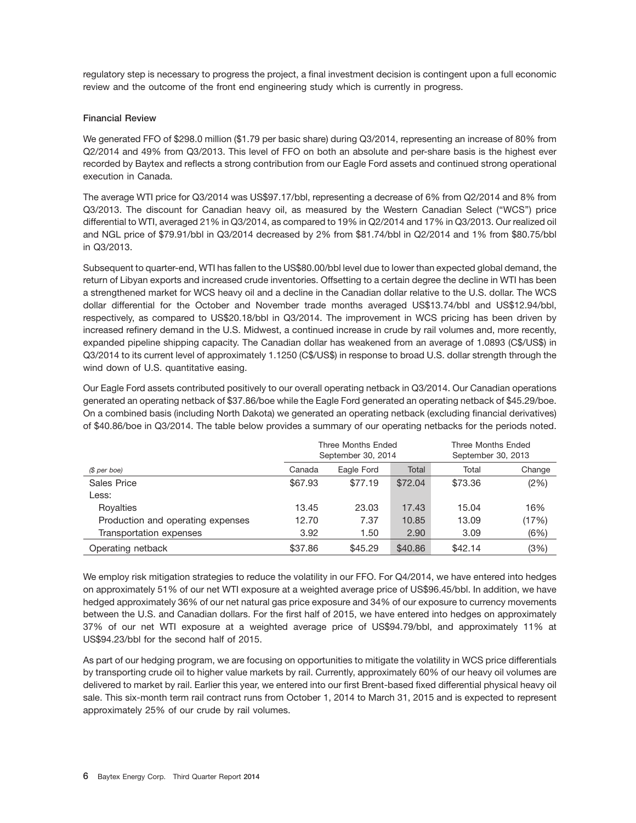regulatory step is necessary to progress the project, a final investment decision is contingent upon a full economic review and the outcome of the front end engineering study which is currently in progress.

#### **Financial Review**

We generated FFO of \$298.0 million (\$1.79 per basic share) during Q3/2014, representing an increase of 80% from Q2/2014 and 49% from Q3/2013. This level of FFO on both an absolute and per-share basis is the highest ever recorded by Baytex and reflects a strong contribution from our Eagle Ford assets and continued strong operational execution in Canada.

The average WTI price for Q3/2014 was US\$97.17/bbl, representing a decrease of 6% from Q2/2014 and 8% from Q3/2013. The discount for Canadian heavy oil, as measured by the Western Canadian Select (''WCS'') price differential to WTI, averaged 21% in Q3/2014, as compared to 19% in Q2/2014 and 17% in Q3/2013. Our realized oil and NGL price of \$79.91/bbl in Q3/2014 decreased by 2% from \$81.74/bbl in Q2/2014 and 1% from \$80.75/bbl in Q3/2013.

Subsequent to quarter-end, WTI has fallen to the US\$80.00/bbl level due to lower than expected global demand, the return of Libyan exports and increased crude inventories. Offsetting to a certain degree the decline in WTI has been a strengthened market for WCS heavy oil and a decline in the Canadian dollar relative to the U.S. dollar. The WCS dollar differential for the October and November trade months averaged US\$13.74/bbl and US\$12.94/bbl, respectively, as compared to US\$20.18/bbl in Q3/2014. The improvement in WCS pricing has been driven by increased refinery demand in the U.S. Midwest, a continued increase in crude by rail volumes and, more recently, expanded pipeline shipping capacity. The Canadian dollar has weakened from an average of 1.0893 (C\$/US\$) in Q3/2014 to its current level of approximately 1.1250 (C\$/US\$) in response to broad U.S. dollar strength through the wind down of U.S. quantitative easing.

Our Eagle Ford assets contributed positively to our overall operating netback in Q3/2014. Our Canadian operations generated an operating netback of \$37.86/boe while the Eagle Ford generated an operating netback of \$45.29/boe. On a combined basis (including North Dakota) we generated an operating netback (excluding financial derivatives) of \$40.86/boe in Q3/2014. The table below provides a summary of our operating netbacks for the periods noted.

|                                   |         | Three Months Ended<br>September 30, 2014 | Three Months Ended<br>September 30, 2013 |         |        |
|-----------------------------------|---------|------------------------------------------|------------------------------------------|---------|--------|
| (\$ per boe)                      | Canada  | Eagle Ford                               | Total                                    | Total   | Change |
| <b>Sales Price</b>                | \$67.93 | \$77.19                                  | \$72.04                                  | \$73.36 | (2%)   |
| Less:                             |         |                                          |                                          |         |        |
| Royalties                         | 13.45   | 23.03                                    | 17.43                                    | 15.04   | 16%    |
| Production and operating expenses | 12.70   | 7.37                                     | 10.85                                    | 13.09   | (17%)  |
| Transportation expenses           | 3.92    | 1.50                                     | 2.90                                     | 3.09    | (6%)   |
| Operating netback                 | \$37.86 | \$45.29                                  | \$40.86                                  | \$42.14 | (3%)   |

We employ risk mitigation strategies to reduce the volatility in our FFO. For Q4/2014, we have entered into hedges on approximately 51% of our net WTI exposure at a weighted average price of US\$96.45/bbl. In addition, we have hedged approximately 36% of our net natural gas price exposure and 34% of our exposure to currency movements between the U.S. and Canadian dollars. For the first half of 2015, we have entered into hedges on approximately 37% of our net WTI exposure at a weighted average price of US\$94.79/bbl, and approximately 11% at US\$94.23/bbl for the second half of 2015.

As part of our hedging program, we are focusing on opportunities to mitigate the volatility in WCS price differentials by transporting crude oil to higher value markets by rail. Currently, approximately 60% of our heavy oil volumes are delivered to market by rail. Earlier this year, we entered into our first Brent-based fixed differential physical heavy oil sale. This six-month term rail contract runs from October 1, 2014 to March 31, 2015 and is expected to represent approximately 25% of our crude by rail volumes.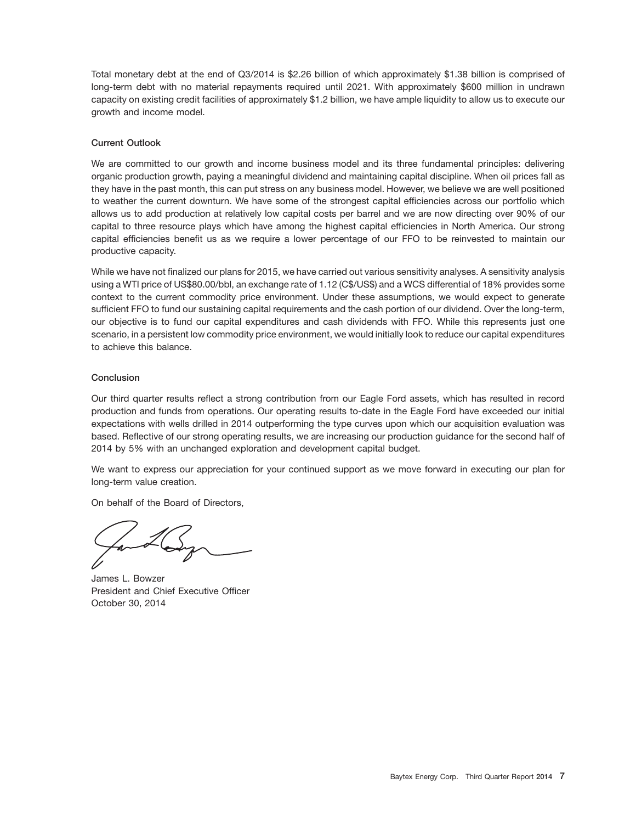Total monetary debt at the end of Q3/2014 is \$2.26 billion of which approximately \$1.38 billion is comprised of long-term debt with no material repayments required until 2021. With approximately \$600 million in undrawn capacity on existing credit facilities of approximately \$1.2 billion, we have ample liquidity to allow us to execute our growth and income model.

#### **Current Outlook**

We are committed to our growth and income business model and its three fundamental principles: delivering organic production growth, paying a meaningful dividend and maintaining capital discipline. When oil prices fall as they have in the past month, this can put stress on any business model. However, we believe we are well positioned to weather the current downturn. We have some of the strongest capital efficiencies across our portfolio which allows us to add production at relatively low capital costs per barrel and we are now directing over 90% of our capital to three resource plays which have among the highest capital efficiencies in North America. Our strong capital efficiencies benefit us as we require a lower percentage of our FFO to be reinvested to maintain our productive capacity.

While we have not finalized our plans for 2015, we have carried out various sensitivity analyses. A sensitivity analysis using a WTI price of US\$80.00/bbl, an exchange rate of 1.12 (C\$/US\$) and a WCS differential of 18% provides some context to the current commodity price environment. Under these assumptions, we would expect to generate sufficient FFO to fund our sustaining capital requirements and the cash portion of our dividend. Over the long-term, our objective is to fund our capital expenditures and cash dividends with FFO. While this represents just one scenario, in a persistent low commodity price environment, we would initially look to reduce our capital expenditures to achieve this balance.

#### **Conclusion**

Our third quarter results reflect a strong contribution from our Eagle Ford assets, which has resulted in record production and funds from operations. Our operating results to-date in the Eagle Ford have exceeded our initial expectations with wells drilled in 2014 outperforming the type curves upon which our acquisition evaluation was based. Reflective of our strong operating results, we are increasing our production guidance for the second half of 2014 by 5% with an unchanged exploration and development capital budget.

We want to express our appreciation for your continued support as we move forward in executing our plan for long-term value creation.

On behalf of the Board of Directors,

James L. Bowzer President and Chief Executive Officer October 30, 2014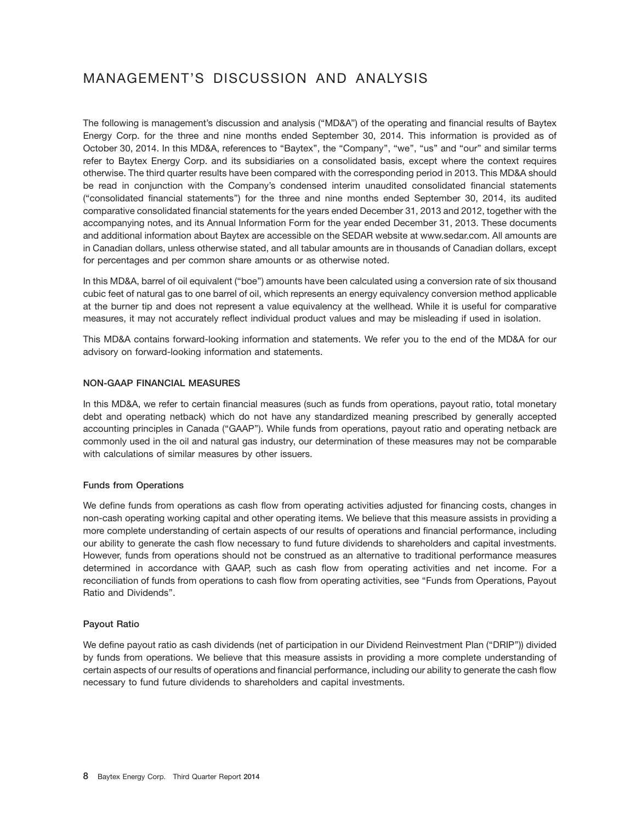# MANAGEMENT'S DISCUSSION AND ANALYSIS

The following is management's discussion and analysis (''MD&A'') of the operating and financial results of Baytex Energy Corp. for the three and nine months ended September 30, 2014. This information is provided as of October 30, 2014. In this MD&A, references to "Baytex", the "Company", "we", "us" and "our" and similar terms refer to Baytex Energy Corp. and its subsidiaries on a consolidated basis, except where the context requires otherwise. The third quarter results have been compared with the corresponding period in 2013. This MD&A should be read in conjunction with the Company's condensed interim unaudited consolidated financial statements (''consolidated financial statements'') for the three and nine months ended September 30, 2014, its audited comparative consolidated financial statements for the years ended December 31, 2013 and 2012, together with the accompanying notes, and its Annual Information Form for the year ended December 31, 2013. These documents and additional information about Baytex are accessible on the SEDAR website at www.sedar.com. All amounts are in Canadian dollars, unless otherwise stated, and all tabular amounts are in thousands of Canadian dollars, except for percentages and per common share amounts or as otherwise noted.

In this MD&A, barrel of oil equivalent (''boe'') amounts have been calculated using a conversion rate of six thousand cubic feet of natural gas to one barrel of oil, which represents an energy equivalency conversion method applicable at the burner tip and does not represent a value equivalency at the wellhead. While it is useful for comparative measures, it may not accurately reflect individual product values and may be misleading if used in isolation.

This MD&A contains forward-looking information and statements. We refer you to the end of the MD&A for our advisory on forward-looking information and statements.

#### **NON-GAAP FINANCIAL MEASURES**

In this MD&A, we refer to certain financial measures (such as funds from operations, payout ratio, total monetary debt and operating netback) which do not have any standardized meaning prescribed by generally accepted accounting principles in Canada (''GAAP''). While funds from operations, payout ratio and operating netback are commonly used in the oil and natural gas industry, our determination of these measures may not be comparable with calculations of similar measures by other issuers.

#### **Funds from Operations**

We define funds from operations as cash flow from operating activities adjusted for financing costs, changes in non-cash operating working capital and other operating items. We believe that this measure assists in providing a more complete understanding of certain aspects of our results of operations and financial performance, including our ability to generate the cash flow necessary to fund future dividends to shareholders and capital investments. However, funds from operations should not be construed as an alternative to traditional performance measures determined in accordance with GAAP, such as cash flow from operating activities and net income. For a reconciliation of funds from operations to cash flow from operating activities, see "Funds from Operations, Payout Ratio and Dividends''.

#### **Payout Ratio**

We define payout ratio as cash dividends (net of participation in our Dividend Reinvestment Plan (''DRIP'')) divided by funds from operations. We believe that this measure assists in providing a more complete understanding of certain aspects of our results of operations and financial performance, including our ability to generate the cash flow necessary to fund future dividends to shareholders and capital investments.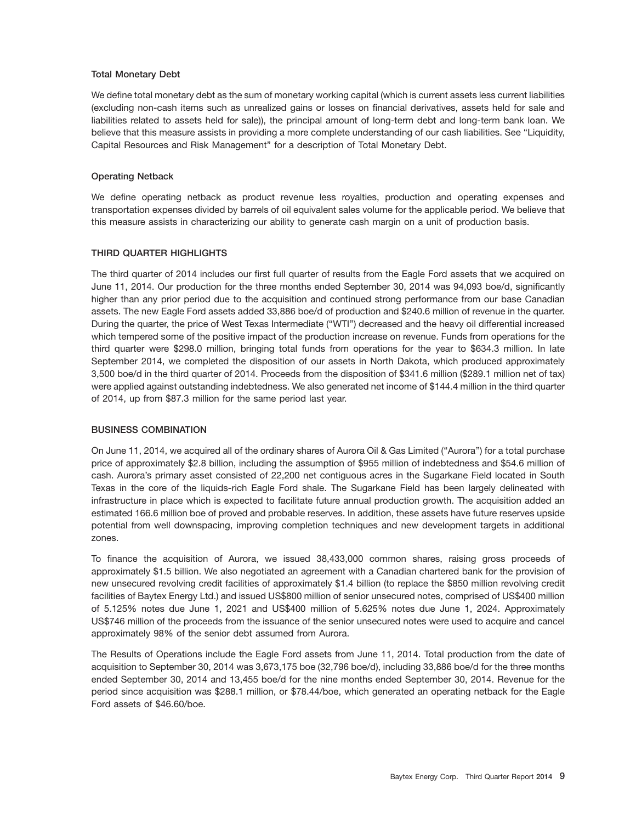#### **Total Monetary Debt**

We define total monetary debt as the sum of monetary working capital (which is current assets less current liabilities (excluding non-cash items such as unrealized gains or losses on financial derivatives, assets held for sale and liabilities related to assets held for sale)), the principal amount of long-term debt and long-term bank loan. We believe that this measure assists in providing a more complete understanding of our cash liabilities. See "Liquidity, Capital Resources and Risk Management'' for a description of Total Monetary Debt.

#### **Operating Netback**

We define operating netback as product revenue less royalties, production and operating expenses and transportation expenses divided by barrels of oil equivalent sales volume for the applicable period. We believe that this measure assists in characterizing our ability to generate cash margin on a unit of production basis.

#### **THIRD QUARTER HIGHLIGHTS**

The third quarter of 2014 includes our first full quarter of results from the Eagle Ford assets that we acquired on June 11, 2014. Our production for the three months ended September 30, 2014 was 94,093 boe/d, significantly higher than any prior period due to the acquisition and continued strong performance from our base Canadian assets. The new Eagle Ford assets added 33,886 boe/d of production and \$240.6 million of revenue in the quarter. During the quarter, the price of West Texas Intermediate (''WTI'') decreased and the heavy oil differential increased which tempered some of the positive impact of the production increase on revenue. Funds from operations for the third quarter were \$298.0 million, bringing total funds from operations for the year to \$634.3 million. In late September 2014, we completed the disposition of our assets in North Dakota, which produced approximately 3,500 boe/d in the third quarter of 2014. Proceeds from the disposition of \$341.6 million (\$289.1 million net of tax) were applied against outstanding indebtedness. We also generated net income of \$144.4 million in the third quarter of 2014, up from \$87.3 million for the same period last year.

#### **BUSINESS COMBINATION**

On June 11, 2014, we acquired all of the ordinary shares of Aurora Oil & Gas Limited (''Aurora'') for a total purchase price of approximately \$2.8 billion, including the assumption of \$955 million of indebtedness and \$54.6 million of cash. Aurora's primary asset consisted of 22,200 net contiguous acres in the Sugarkane Field located in South Texas in the core of the liquids-rich Eagle Ford shale. The Sugarkane Field has been largely delineated with infrastructure in place which is expected to facilitate future annual production growth. The acquisition added an estimated 166.6 million boe of proved and probable reserves. In addition, these assets have future reserves upside potential from well downspacing, improving completion techniques and new development targets in additional zones.

To finance the acquisition of Aurora, we issued 38,433,000 common shares, raising gross proceeds of approximately \$1.5 billion. We also negotiated an agreement with a Canadian chartered bank for the provision of new unsecured revolving credit facilities of approximately \$1.4 billion (to replace the \$850 million revolving credit facilities of Baytex Energy Ltd.) and issued US\$800 million of senior unsecured notes, comprised of US\$400 million of 5.125% notes due June 1, 2021 and US\$400 million of 5.625% notes due June 1, 2024. Approximately US\$746 million of the proceeds from the issuance of the senior unsecured notes were used to acquire and cancel approximately 98% of the senior debt assumed from Aurora.

The Results of Operations include the Eagle Ford assets from June 11, 2014. Total production from the date of acquisition to September 30, 2014 was 3,673,175 boe (32,796 boe/d), including 33,886 boe/d for the three months ended September 30, 2014 and 13,455 boe/d for the nine months ended September 30, 2014. Revenue for the period since acquisition was \$288.1 million, or \$78.44/boe, which generated an operating netback for the Eagle Ford assets of \$46.60/boe.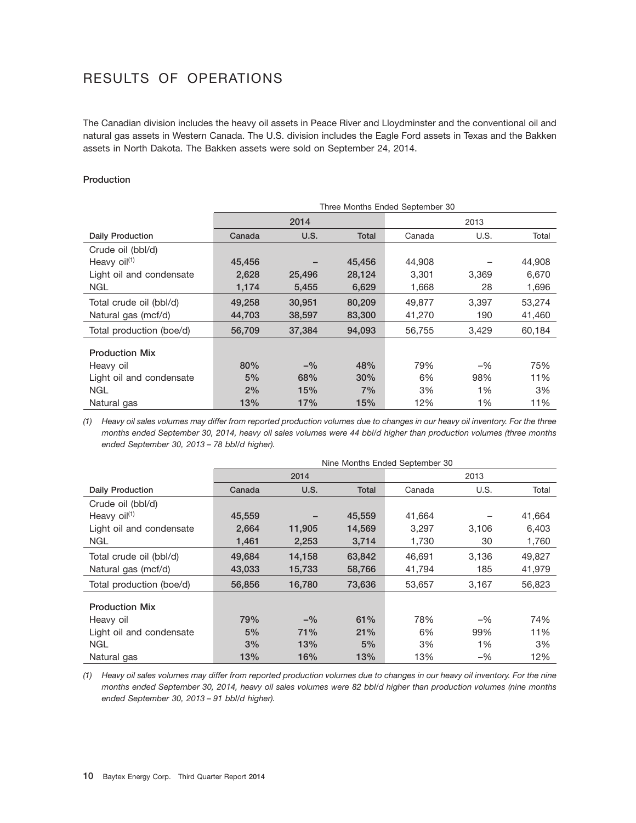# RESULTS OF OPERATIONS

The Canadian division includes the heavy oil assets in Peace River and Lloydminster and the conventional oil and natural gas assets in Western Canada. The U.S. division includes the Eagle Ford assets in Texas and the Bakken assets in North Dakota. The Bakken assets were sold on September 24, 2014.

#### **Production**

|                          |        | Three Months Ended September 30 |              |        |       |        |  |  |  |  |
|--------------------------|--------|---------------------------------|--------------|--------|-------|--------|--|--|--|--|
|                          |        | 2014                            |              |        | 2013  |        |  |  |  |  |
| <b>Daily Production</b>  | Canada | U.S.                            | <b>Total</b> | Canada | U.S.  | Total  |  |  |  |  |
| Crude oil (bbl/d)        |        |                                 |              |        |       |        |  |  |  |  |
| Heavy $\text{oil}^{(1)}$ | 45,456 |                                 | 45,456       | 44,908 |       | 44,908 |  |  |  |  |
| Light oil and condensate | 2,628  | 25,496                          | 28,124       | 3,301  | 3,369 | 6,670  |  |  |  |  |
| NGL                      | 1,174  | 5,455                           | 6,629        | 1,668  | 28    | 1,696  |  |  |  |  |
| Total crude oil (bbl/d)  | 49,258 | 30,951                          | 80,209       | 49,877 | 3,397 | 53,274 |  |  |  |  |
| Natural gas (mcf/d)      | 44,703 | 38,597                          | 83,300       | 41,270 | 190   | 41,460 |  |  |  |  |
| Total production (boe/d) | 56,709 | 37,384                          | 94,093       | 56,755 | 3,429 | 60,184 |  |  |  |  |
| <b>Production Mix</b>    |        |                                 |              |        |       |        |  |  |  |  |
| Heavy oil                | 80%    | $-$ %                           | 48%          | 79%    | $-$ % | 75%    |  |  |  |  |
| Light oil and condensate | 5%     | 68%                             | 30%          | 6%     | 98%   | 11%    |  |  |  |  |
| NGL                      | 2%     | 15%                             | 7%           | 3%     | 1%    | 3%     |  |  |  |  |
| Natural gas              | 13%    | 17%                             | 15%          | 12%    | 1%    | 11%    |  |  |  |  |

*(1) Heavy oil sales volumes may differ from reported production volumes due to changes in our heavy oil inventory. For the three months ended September 30, 2014, heavy oil sales volumes were 44 bbl/d higher than production volumes (three months ended September 30, 2013 – 78 bbl/d higher).*

|                          |        | Nine Months Ended September 30 |        |        |       |        |  |  |  |  |  |
|--------------------------|--------|--------------------------------|--------|--------|-------|--------|--|--|--|--|--|
|                          |        | 2014                           |        |        | 2013  |        |  |  |  |  |  |
| <b>Daily Production</b>  | Canada | U.S.                           | Total  | Canada | U.S.  | Total  |  |  |  |  |  |
| Crude oil (bbl/d)        |        |                                |        |        |       |        |  |  |  |  |  |
| Heavy $\text{oil}^{(1)}$ | 45,559 |                                | 45,559 | 41.664 |       | 41,664 |  |  |  |  |  |
| Light oil and condensate | 2,664  | 11,905                         | 14,569 | 3,297  | 3,106 | 6,403  |  |  |  |  |  |
| NGL                      | 1.461  | 2,253                          | 3,714  | 1,730  | 30    | 1,760  |  |  |  |  |  |
| Total crude oil (bbl/d)  | 49,684 | 14.158                         | 63,842 | 46.691 | 3.136 | 49,827 |  |  |  |  |  |
| Natural gas (mcf/d)      | 43,033 | 15,733                         | 58,766 | 41,794 | 185   | 41,979 |  |  |  |  |  |
| Total production (boe/d) | 56,856 | 16,780                         | 73.636 | 53.657 | 3.167 | 56,823 |  |  |  |  |  |
| <b>Production Mix</b>    |        |                                |        |        |       |        |  |  |  |  |  |
| Heavy oil                | 79%    | $-$ %                          | 61%    | 78%    | $-$ % | 74%    |  |  |  |  |  |
| Light oil and condensate | 5%     | 71%                            | 21%    | 6%     | 99%   | 11%    |  |  |  |  |  |
| <b>NGL</b>               | 3%     | 13%                            | 5%     | 3%     | 1%    | 3%     |  |  |  |  |  |
| Natural gas              | 13%    | 16%                            | 13%    | 13%    | -%    | 12%    |  |  |  |  |  |

*(1) Heavy oil sales volumes may differ from reported production volumes due to changes in our heavy oil inventory. For the nine months ended September 30, 2014, heavy oil sales volumes were 82 bbl/d higher than production volumes (nine months ended September 30, 2013 – 91 bbl/d higher).*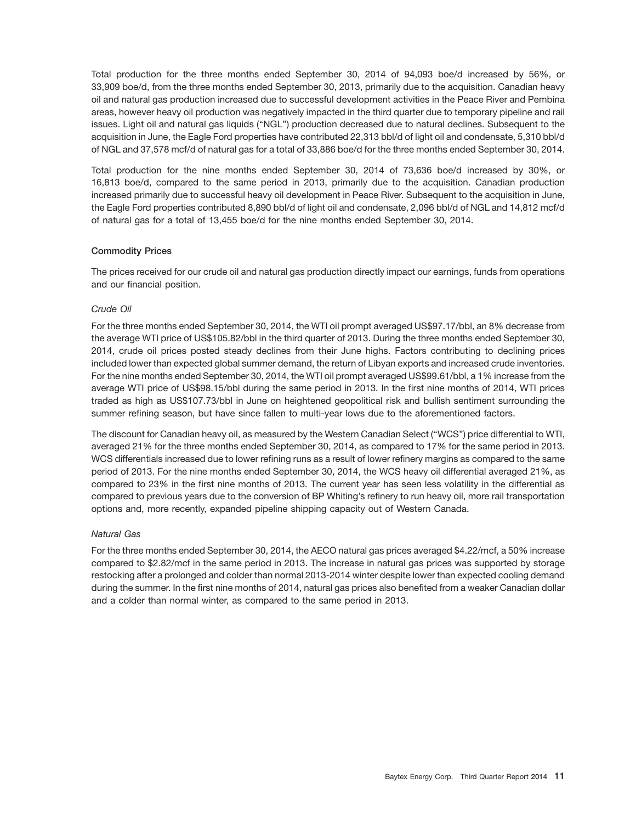Total production for the three months ended September 30, 2014 of 94,093 boe/d increased by 56%, or 33,909 boe/d, from the three months ended September 30, 2013, primarily due to the acquisition. Canadian heavy oil and natural gas production increased due to successful development activities in the Peace River and Pembina areas, however heavy oil production was negatively impacted in the third quarter due to temporary pipeline and rail issues. Light oil and natural gas liquids (''NGL'') production decreased due to natural declines. Subsequent to the acquisition in June, the Eagle Ford properties have contributed 22,313 bbl/d of light oil and condensate, 5,310 bbl/d of NGL and 37,578 mcf/d of natural gas for a total of 33,886 boe/d for the three months ended September 30, 2014.

Total production for the nine months ended September 30, 2014 of 73,636 boe/d increased by 30%, or 16,813 boe/d, compared to the same period in 2013, primarily due to the acquisition. Canadian production increased primarily due to successful heavy oil development in Peace River. Subsequent to the acquisition in June, the Eagle Ford properties contributed 8,890 bbl/d of light oil and condensate, 2,096 bbl/d of NGL and 14,812 mcf/d of natural gas for a total of 13,455 boe/d for the nine months ended September 30, 2014.

#### **Commodity Prices**

The prices received for our crude oil and natural gas production directly impact our earnings, funds from operations and our financial position.

#### *Crude Oil*

For the three months ended September 30, 2014, the WTI oil prompt averaged US\$97.17/bbl, an 8% decrease from the average WTI price of US\$105.82/bbl in the third quarter of 2013. During the three months ended September 30, 2014, crude oil prices posted steady declines from their June highs. Factors contributing to declining prices included lower than expected global summer demand, the return of Libyan exports and increased crude inventories. For the nine months ended September 30, 2014, the WTI oil prompt averaged US\$99.61/bbl, a 1% increase from the average WTI price of US\$98.15/bbl during the same period in 2013. In the first nine months of 2014, WTI prices traded as high as US\$107.73/bbl in June on heightened geopolitical risk and bullish sentiment surrounding the summer refining season, but have since fallen to multi-year lows due to the aforementioned factors.

The discount for Canadian heavy oil, as measured by the Western Canadian Select (''WCS'') price differential to WTI, averaged 21% for the three months ended September 30, 2014, as compared to 17% for the same period in 2013. WCS differentials increased due to lower refining runs as a result of lower refinery margins as compared to the same period of 2013. For the nine months ended September 30, 2014, the WCS heavy oil differential averaged 21%, as compared to 23% in the first nine months of 2013. The current year has seen less volatility in the differential as compared to previous years due to the conversion of BP Whiting's refinery to run heavy oil, more rail transportation options and, more recently, expanded pipeline shipping capacity out of Western Canada.

#### *Natural Gas*

For the three months ended September 30, 2014, the AECO natural gas prices averaged \$4.22/mcf, a 50% increase compared to \$2.82/mcf in the same period in 2013. The increase in natural gas prices was supported by storage restocking after a prolonged and colder than normal 2013-2014 winter despite lower than expected cooling demand during the summer. In the first nine months of 2014, natural gas prices also benefited from a weaker Canadian dollar and a colder than normal winter, as compared to the same period in 2013.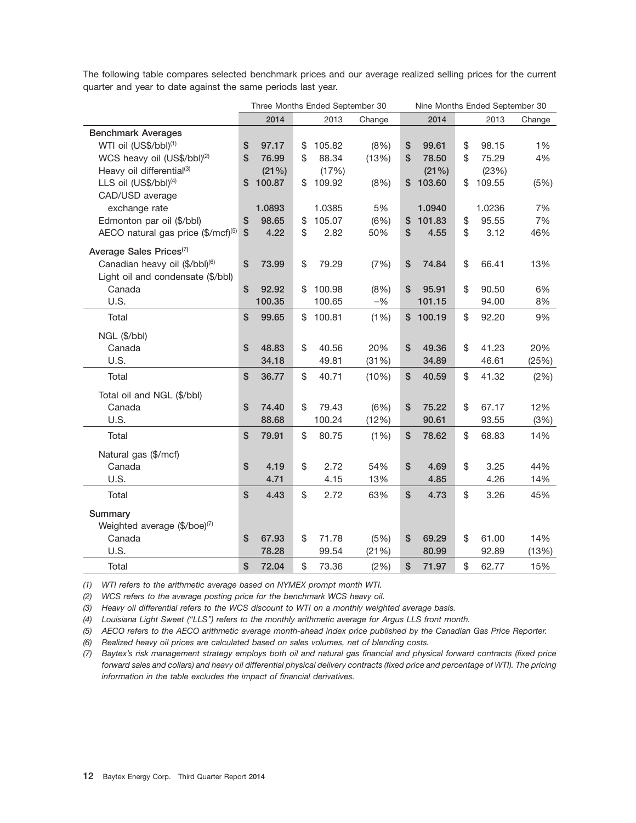The following table compares selected benchmark prices and our average realized selling prices for the current quarter and year to date against the same periods last year.

|                                            |               | Three Months Ended September 30 |              |        | Nine Months Ended September 30 |          |    |        |        |
|--------------------------------------------|---------------|---------------------------------|--------------|--------|--------------------------------|----------|----|--------|--------|
|                                            |               | 2014                            | 2013         | Change |                                | 2014     |    | 2013   | Change |
| <b>Benchmark Averages</b>                  |               |                                 |              |        |                                |          |    |        |        |
| WTI oil (US\$/bbl) <sup>(1)</sup>          | \$            | 97.17                           | \$<br>105.82 | (8%)   | \$                             | 99.61    | \$ | 98.15  | 1%     |
| WCS heavy oil (US\$/bbl) <sup>(2)</sup>    | \$            | 76.99                           | \$<br>88.34  | (13%)  | \$                             | 78.50    | \$ | 75.29  | 4%     |
| Heavy oil differential <sup>(3)</sup>      |               | $(21\%)$                        | (17%)        |        |                                | $(21\%)$ |    | (23%)  |        |
| LLS oil (US\$/bbl) <sup>(4)</sup>          | \$            | 100.87                          | \$<br>109.92 | (8%)   | S                              | 103.60   | \$ | 109.55 | (5%)   |
| CAD/USD average                            |               |                                 |              |        |                                |          |    |        |        |
| exchange rate                              |               | 1.0893                          | 1.0385       | 5%     |                                | 1.0940   |    | 1.0236 | 7%     |
| Edmonton par oil (\$/bbl)                  | \$            | 98.65                           | \$<br>105.07 | (6%)   | \$                             | 101.83   | \$ | 95.55  | 7%     |
| AECO natural gas price (\$/mcf)(5)         | $\mathsf{\$}$ | 4.22                            | \$<br>2.82   | 50%    | \$                             | 4.55     | \$ | 3.12   | 46%    |
|                                            |               |                                 |              |        |                                |          |    |        |        |
| Average Sales Prices <sup>(7)</sup>        |               |                                 |              |        |                                |          |    |        |        |
| Canadian heavy oil (\$/bbl) <sup>(6)</sup> | \$            | 73.99                           | \$<br>79.29  | (7%)   | \$                             | 74.84    | \$ | 66.41  | 13%    |
| Light oil and condensate (\$/bbl)          | \$            |                                 |              |        | \$                             |          | \$ |        |        |
| Canada                                     |               | 92.92                           | \$<br>100.98 | (8%)   |                                | 95.91    |    | 90.50  | 6%     |
| U.S.                                       |               | 100.35                          | 100.65       | $-$ %  |                                | 101.15   |    | 94.00  | 8%     |
| Total                                      | \$            | 99.65                           | \$<br>100.81 | (1%)   | \$                             | 100.19   | \$ | 92.20  | 9%     |
| NGL (\$/bbl)                               |               |                                 |              |        |                                |          |    |        |        |
| Canada                                     | \$            | 48.83                           | \$<br>40.56  | 20%    | \$                             | 49.36    | \$ | 41.23  | 20%    |
| U.S.                                       |               | 34.18                           | 49.81        | (31%)  |                                | 34.89    |    | 46.61  | (25%)  |
| Total                                      | \$            | 36.77                           | \$<br>40.71  | (10%)  | \$                             | 40.59    | \$ | 41.32  | (2%)   |
|                                            |               |                                 |              |        |                                |          |    |        |        |
| Total oil and NGL (\$/bbl)                 |               |                                 |              |        |                                |          |    |        |        |
| Canada                                     | \$            | 74.40                           | \$<br>79.43  | (6%)   | \$                             | 75.22    | \$ | 67.17  | 12%    |
| U.S.                                       |               | 88.68                           | 100.24       | (12%)  |                                | 90.61    |    | 93.55  | (3%)   |
| Total                                      | $\mathsf{\$}$ | 79.91                           | \$<br>80.75  | (1%)   | \$                             | 78.62    | \$ | 68.83  | 14%    |
|                                            |               |                                 |              |        |                                |          |    |        |        |
| Natural gas (\$/mcf)                       |               |                                 |              |        |                                |          |    |        |        |
| Canada                                     | $\mathsf{\$}$ | 4.19                            | \$<br>2.72   | 54%    | \$                             | 4.69     | \$ | 3.25   | 44%    |
| U.S.                                       |               | 4.71                            | 4.15         | 13%    |                                | 4.85     |    | 4.26   | 14%    |
| Total                                      | $\mathsf{\$}$ | 4.43                            | \$<br>2.72   | 63%    | \$                             | 4.73     | \$ | 3.26   | 45%    |
| Summary                                    |               |                                 |              |        |                                |          |    |        |        |
| Weighted average (\$/boe) <sup>(7)</sup>   |               |                                 |              |        |                                |          |    |        |        |
| Canada                                     | \$            | 67.93                           | \$<br>71.78  | (5%)   | \$                             | 69.29    | \$ | 61.00  | 14%    |
| U.S.                                       |               | 78.28                           | 99.54        | (21%)  |                                | 80.99    |    | 92.89  | (13%)  |
|                                            |               |                                 |              |        |                                |          |    |        |        |
| Total                                      | \$            | 72.04                           | \$<br>73.36  | (2%)   | \$                             | 71.97    | \$ | 62.77  | 15%    |

*(1) WTI refers to the arithmetic average based on NYMEX prompt month WTI.*

*(2) WCS refers to the average posting price for the benchmark WCS heavy oil.*

*(3) Heavy oil differential refers to the WCS discount to WTI on a monthly weighted average basis.*

*(4) Louisiana Light Sweet (''LLS'') refers to the monthly arithmetic average for Argus LLS front month.*

*(5) AECO refers to the AECO arithmetic average month-ahead index price published by the Canadian Gas Price Reporter.*

*(6) Realized heavy oil prices are calculated based on sales volumes, net of blending costs.*

*(7) Baytex's risk management strategy employs both oil and natural gas financial and physical forward contracts (fixed price forward sales and collars) and heavy oil differential physical delivery contracts (fixed price and percentage of WTI). The pricing information in the table excludes the impact of financial derivatives.*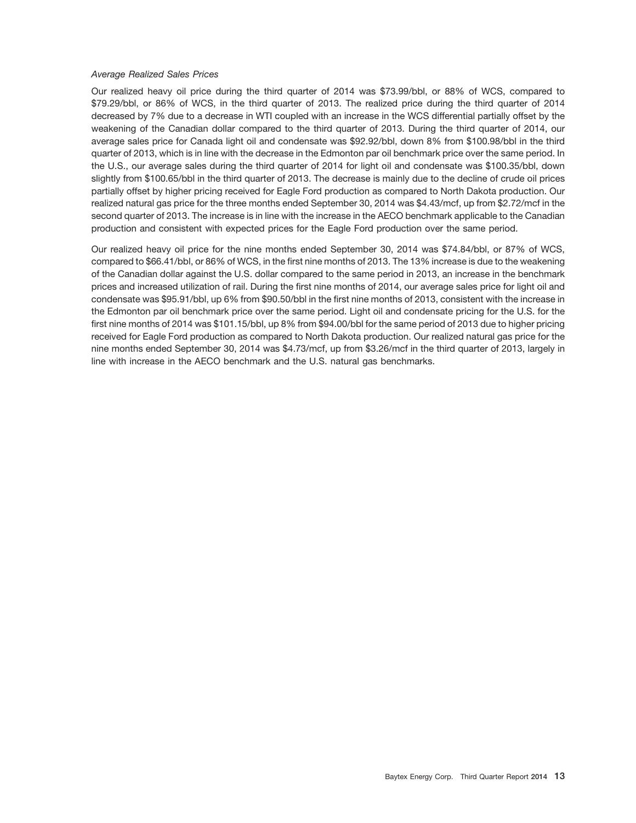#### *Average Realized Sales Prices*

Our realized heavy oil price during the third quarter of 2014 was \$73.99/bbl, or 88% of WCS, compared to \$79.29/bbl, or 86% of WCS, in the third quarter of 2013. The realized price during the third quarter of 2014 decreased by 7% due to a decrease in WTI coupled with an increase in the WCS differential partially offset by the weakening of the Canadian dollar compared to the third quarter of 2013. During the third quarter of 2014, our average sales price for Canada light oil and condensate was \$92.92/bbl, down 8% from \$100.98/bbl in the third quarter of 2013, which is in line with the decrease in the Edmonton par oil benchmark price over the same period. In the U.S., our average sales during the third quarter of 2014 for light oil and condensate was \$100.35/bbl, down slightly from \$100.65/bbl in the third quarter of 2013. The decrease is mainly due to the decline of crude oil prices partially offset by higher pricing received for Eagle Ford production as compared to North Dakota production. Our realized natural gas price for the three months ended September 30, 2014 was \$4.43/mcf, up from \$2.72/mcf in the second quarter of 2013. The increase is in line with the increase in the AECO benchmark applicable to the Canadian production and consistent with expected prices for the Eagle Ford production over the same period.

Our realized heavy oil price for the nine months ended September 30, 2014 was \$74.84/bbl, or 87% of WCS, compared to \$66.41/bbl, or 86% of WCS, in the first nine months of 2013. The 13% increase is due to the weakening of the Canadian dollar against the U.S. dollar compared to the same period in 2013, an increase in the benchmark prices and increased utilization of rail. During the first nine months of 2014, our average sales price for light oil and condensate was \$95.91/bbl, up 6% from \$90.50/bbl in the first nine months of 2013, consistent with the increase in the Edmonton par oil benchmark price over the same period. Light oil and condensate pricing for the U.S. for the first nine months of 2014 was \$101.15/bbl, up 8% from \$94.00/bbl for the same period of 2013 due to higher pricing received for Eagle Ford production as compared to North Dakota production. Our realized natural gas price for the nine months ended September 30, 2014 was \$4.73/mcf, up from \$3.26/mcf in the third quarter of 2013, largely in line with increase in the AECO benchmark and the U.S. natural gas benchmarks.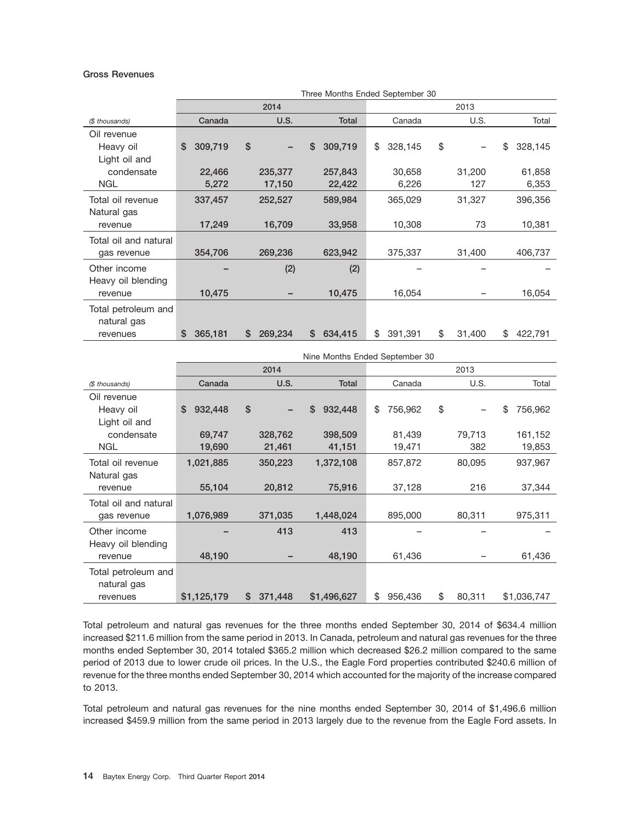#### **Gross Revenues**

|                       | Three Months Ended September 30 |               |               |                                |              |               |  |  |  |  |
|-----------------------|---------------------------------|---------------|---------------|--------------------------------|--------------|---------------|--|--|--|--|
|                       |                                 | 2014          |               |                                | 2013         |               |  |  |  |  |
| (\$ thousands)        | Canada                          | U.S.          | <b>Total</b>  | Canada                         | U.S.         | Total         |  |  |  |  |
| Oil revenue           |                                 |               |               |                                |              |               |  |  |  |  |
| Heavy oil             | \$<br>309,719                   | \$            | \$<br>309,719 | \$<br>328,145                  | \$           | \$<br>328,145 |  |  |  |  |
| Light oil and         |                                 |               |               |                                |              |               |  |  |  |  |
| condensate            | 22,466                          | 235,377       | 257,843       | 30,658                         | 31,200       | 61,858        |  |  |  |  |
| <b>NGL</b>            | 5,272                           | 17,150        | 22,422        | 6,226                          | 127          | 6,353         |  |  |  |  |
| Total oil revenue     | 337,457                         | 252,527       | 589,984       | 365,029                        | 31,327       | 396,356       |  |  |  |  |
| Natural gas           |                                 |               |               |                                |              |               |  |  |  |  |
| revenue               | 17,249                          | 16,709        | 33,958        | 10,308                         | 73           | 10,381        |  |  |  |  |
| Total oil and natural |                                 |               |               |                                |              |               |  |  |  |  |
| gas revenue           | 354,706                         | 269,236       | 623,942       | 375,337                        | 31,400       | 406,737       |  |  |  |  |
| Other income          |                                 | (2)           | (2)           |                                |              |               |  |  |  |  |
| Heavy oil blending    |                                 |               |               |                                |              |               |  |  |  |  |
| revenue               | 10,475                          |               | 10,475        | 16,054                         |              | 16,054        |  |  |  |  |
| Total petroleum and   |                                 |               |               |                                |              |               |  |  |  |  |
| natural gas           |                                 |               |               |                                |              |               |  |  |  |  |
| revenues              | \$<br>365,181                   | \$<br>269,234 | \$<br>634,415 | \$<br>391,391                  | \$<br>31,400 | \$<br>422,791 |  |  |  |  |
|                       |                                 |               |               | Nine Months Ended September 30 |              |               |  |  |  |  |
|                       |                                 | 2014          |               |                                | 2013         |               |  |  |  |  |
| (\$ thousands)        | Canada                          | U.S.          | <b>Total</b>  | Canada                         | U.S.         | Total         |  |  |  |  |
| Oil revenue           |                                 |               |               |                                |              |               |  |  |  |  |
| Heavy oil             | \$<br>932,448                   | \$            | \$<br>932,448 | \$<br>756,962                  | \$           | \$<br>756,962 |  |  |  |  |
| Light oil and         |                                 |               |               |                                |              |               |  |  |  |  |
| condensate            | 69,747                          | 328,762       | 398,509       | 81,439                         | 79,713       | 161,152       |  |  |  |  |
| <b>NGL</b>            | 19,690                          | 21,461        | 41,151        | 19,471                         | 382          | 19,853        |  |  |  |  |
| Total oil revenue     | 1,021,885                       | 350,223       | 1,372,108     | 857,872                        | 80,095       | 937,967       |  |  |  |  |
| Natural gas           |                                 |               |               |                                |              |               |  |  |  |  |
| revenue               | 55,104                          | 20,812        | 75,916        | 37,128                         | 216          | 37,344        |  |  |  |  |
| Total oil and natural |                                 |               |               |                                |              |               |  |  |  |  |
| gas revenue           | 1,076,989                       | 371,035       | 1,448,024     | 895,000                        | 80,311       | 975,311       |  |  |  |  |
| Other income          |                                 | 413           | 413           |                                |              |               |  |  |  |  |
| Heavy oil blending    |                                 |               |               |                                |              |               |  |  |  |  |
| revenue               | 48,190                          |               | 48,190        | 61.436                         |              | 61.436        |  |  |  |  |

Total petroleum and natural gas revenues for the three months ended September 30, 2014 of \$634.4 million increased \$211.6 million from the same period in 2013. In Canada, petroleum and natural gas revenues for the three months ended September 30, 2014 totaled \$365.2 million which decreased \$26.2 million compared to the same period of 2013 due to lower crude oil prices. In the U.S., the Eagle Ford properties contributed \$240.6 million of revenue for the three months ended September 30, 2014 which accounted for the majority of the increase compared to 2013.

revenues **\$1,125,179 \$ 371,448 \$1,496,627** \$ 956,436 \$ 80,311 \$1,036,747

Total petroleum and natural gas revenues for the nine months ended September 30, 2014 of \$1,496.6 million increased \$459.9 million from the same period in 2013 largely due to the revenue from the Eagle Ford assets. In

Total petroleum and natural gas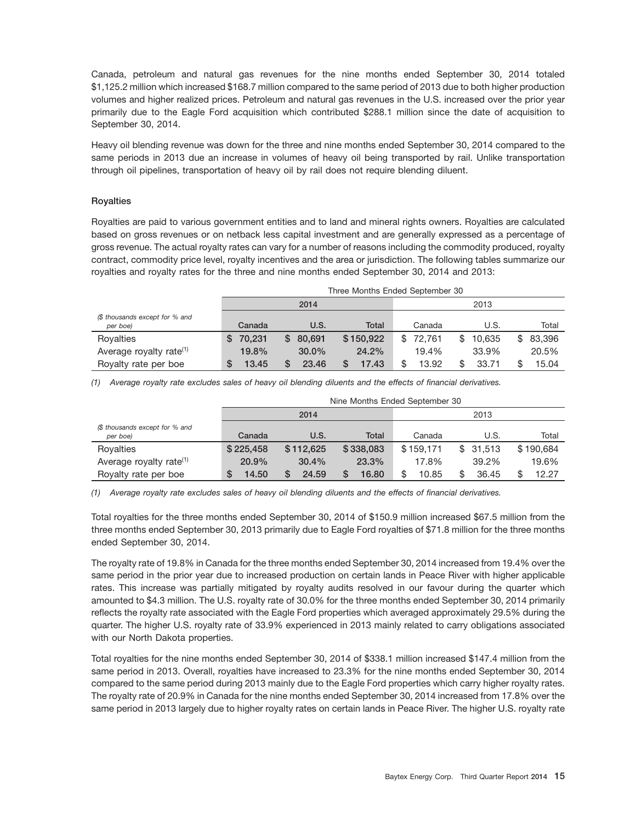Canada, petroleum and natural gas revenues for the nine months ended September 30, 2014 totaled \$1,125.2 million which increased \$168.7 million compared to the same period of 2013 due to both higher production volumes and higher realized prices. Petroleum and natural gas revenues in the U.S. increased over the prior year primarily due to the Eagle Ford acquisition which contributed \$288.1 million since the date of acquisition to September 30, 2014.

Heavy oil blending revenue was down for the three and nine months ended September 30, 2014 compared to the same periods in 2013 due an increase in volumes of heavy oil being transported by rail. Unlike transportation through oil pipelines, transportation of heavy oil by rail does not require blending diluent.

#### **Royalties**

Royalties are paid to various government entities and to land and mineral rights owners. Royalties are calculated based on gross revenues or on netback less capital investment and are generally expressed as a percentage of gross revenue. The actual royalty rates can vary for a number of reasons including the commodity produced, royalty contract, commodity price level, royalty incentives and the area or jurisdiction. The following tables summarize our royalties and royalty rates for the three and nine months ended September 30, 2014 and 2013:

|                                     |                        | Three Months Ended September 30 |           |              |              |              |  |  |  |  |  |  |
|-------------------------------------|------------------------|---------------------------------|-----------|--------------|--------------|--------------|--|--|--|--|--|--|
|                                     |                        | 2014                            |           | 2013         |              |              |  |  |  |  |  |  |
| (\$ thousands except for % and      |                        |                                 |           |              |              |              |  |  |  |  |  |  |
| per boe)                            | Canada                 | U.S.                            | Total     | Canada       | U.S.         | Total        |  |  |  |  |  |  |
| Royalties                           | 70.231<br><sup>S</sup> | \$80,691                        | \$150.922 | \$<br>72.761 | \$<br>10.635 | 83,396<br>\$ |  |  |  |  |  |  |
| Average royalty rate <sup>(1)</sup> | 19.8%                  | $30.0\%$                        | 24.2%     | 19.4%        | 33.9%        | 20.5%        |  |  |  |  |  |  |
| Royalty rate per boe                | 13.45<br>S             | 23.46                           | 17.43     | 13.92        | 33.71<br>\$  | 15.04        |  |  |  |  |  |  |

*(1) Average royalty rate excludes sales of heavy oil blending diluents and the effects of financial derivatives.*

|                                            |           | Nine Months Ended September 30 |           |           |             |           |  |  |  |  |  |  |
|--------------------------------------------|-----------|--------------------------------|-----------|-----------|-------------|-----------|--|--|--|--|--|--|
|                                            |           | 2014                           |           | 2013      |             |           |  |  |  |  |  |  |
| (\$ thousands except for % and<br>per boe) | Canada    | U.S.                           | Total     | Canada    | U.S.        | Total     |  |  |  |  |  |  |
| Royalties                                  | \$225,458 | \$112,625                      | \$338,083 | \$159.171 | \$31.513    | \$190,684 |  |  |  |  |  |  |
| Average royalty rate <sup>(1)</sup>        | 20.9%     | 30.4%                          | 23.3%     | 17.8%     | 39.2%       | 19.6%     |  |  |  |  |  |  |
| Royalty rate per boe                       | 14.50     | 24.59                          | 16.80     | 10.85     | \$<br>36.45 | 12.27     |  |  |  |  |  |  |

*(1) Average royalty rate excludes sales of heavy oil blending diluents and the effects of financial derivatives.*

Total royalties for the three months ended September 30, 2014 of \$150.9 million increased \$67.5 million from the three months ended September 30, 2013 primarily due to Eagle Ford royalties of \$71.8 million for the three months ended September 30, 2014.

The royalty rate of 19.8% in Canada for the three months ended September 30, 2014 increased from 19.4% over the same period in the prior year due to increased production on certain lands in Peace River with higher applicable rates. This increase was partially mitigated by royalty audits resolved in our favour during the quarter which amounted to \$4.3 million. The U.S. royalty rate of 30.0% for the three months ended September 30, 2014 primarily reflects the royalty rate associated with the Eagle Ford properties which averaged approximately 29.5% during the quarter. The higher U.S. royalty rate of 33.9% experienced in 2013 mainly related to carry obligations associated with our North Dakota properties.

Total royalties for the nine months ended September 30, 2014 of \$338.1 million increased \$147.4 million from the same period in 2013. Overall, royalties have increased to 23.3% for the nine months ended September 30, 2014 compared to the same period during 2013 mainly due to the Eagle Ford properties which carry higher royalty rates. The royalty rate of 20.9% in Canada for the nine months ended September 30, 2014 increased from 17.8% over the same period in 2013 largely due to higher royalty rates on certain lands in Peace River. The higher U.S. royalty rate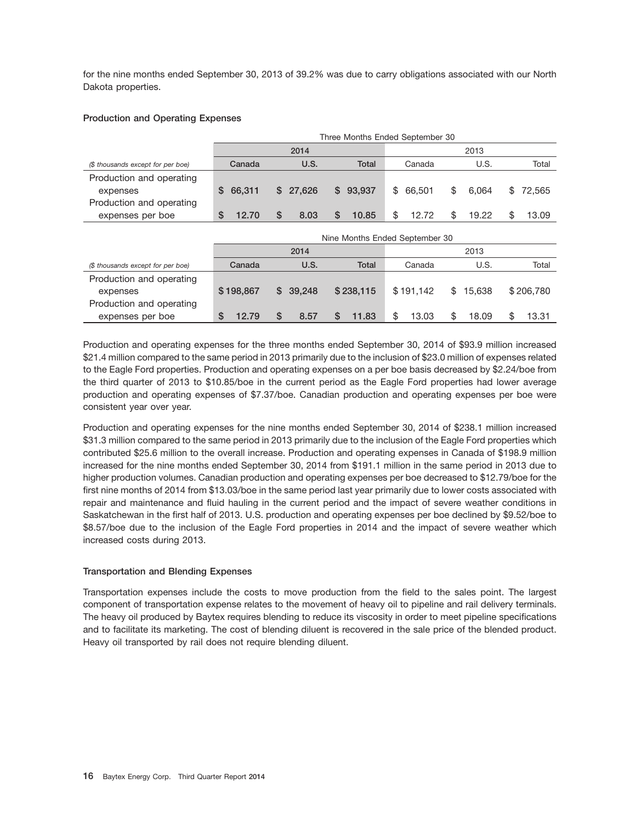for the nine months ended September 30, 2013 of 39.2% was due to carry obligations associated with our North Dakota properties.

#### **Production and Operating Expenses**

|                                   |             | Three Months Ended September 30 |              |                                |              |              |  |  |  |  |  |  |
|-----------------------------------|-------------|---------------------------------|--------------|--------------------------------|--------------|--------------|--|--|--|--|--|--|
|                                   |             | 2014                            |              |                                | 2013         |              |  |  |  |  |  |  |
| (\$ thousands except for per boe) | Canada      | U.S.                            | <b>Total</b> | Canada                         | U.S.         | Total        |  |  |  |  |  |  |
| Production and operating          |             |                                 |              |                                |              |              |  |  |  |  |  |  |
| expenses                          | 66,311<br>S | 27.626<br>S.                    | \$<br>93,937 | \$<br>66,501                   | \$<br>6.064  | 72.565<br>\$ |  |  |  |  |  |  |
| Production and operating          |             |                                 |              |                                |              |              |  |  |  |  |  |  |
| expenses per boe                  | \$<br>12.70 | \$<br>8.03                      | \$<br>10.85  | \$<br>12.72                    | \$<br>19.22  | \$<br>13.09  |  |  |  |  |  |  |
|                                   |             |                                 |              | Nine Months Ended September 30 |              |              |  |  |  |  |  |  |
|                                   |             | 2014                            |              |                                | 2013         |              |  |  |  |  |  |  |
|                                   |             |                                 |              |                                |              |              |  |  |  |  |  |  |
| (\$ thousands except for per boe) | Canada      | U.S.                            | <b>Total</b> | Canada                         | U.S.         | Total        |  |  |  |  |  |  |
| Production and operating          |             |                                 |              |                                |              |              |  |  |  |  |  |  |
| expenses                          | \$198,867   | \$<br>39.248                    | \$238.115    | \$191.142                      | \$<br>15.638 | \$206.780    |  |  |  |  |  |  |
| Production and operating          |             |                                 |              |                                |              |              |  |  |  |  |  |  |
| expenses per boe                  | S<br>12.79  | \$<br>8.57                      | \$<br>11.83  | \$<br>13.03                    | \$<br>18.09  | \$<br>13.31  |  |  |  |  |  |  |

Production and operating expenses for the three months ended September 30, 2014 of \$93.9 million increased \$21.4 million compared to the same period in 2013 primarily due to the inclusion of \$23.0 million of expenses related to the Eagle Ford properties. Production and operating expenses on a per boe basis decreased by \$2.24/boe from the third quarter of 2013 to \$10.85/boe in the current period as the Eagle Ford properties had lower average production and operating expenses of \$7.37/boe. Canadian production and operating expenses per boe were consistent year over year.

Production and operating expenses for the nine months ended September 30, 2014 of \$238.1 million increased \$31.3 million compared to the same period in 2013 primarily due to the inclusion of the Eagle Ford properties which contributed \$25.6 million to the overall increase. Production and operating expenses in Canada of \$198.9 million increased for the nine months ended September 30, 2014 from \$191.1 million in the same period in 2013 due to higher production volumes. Canadian production and operating expenses per boe decreased to \$12.79/boe for the first nine months of 2014 from \$13.03/boe in the same period last year primarily due to lower costs associated with repair and maintenance and fluid hauling in the current period and the impact of severe weather conditions in Saskatchewan in the first half of 2013. U.S. production and operating expenses per boe declined by \$9.52/boe to \$8.57/boe due to the inclusion of the Eagle Ford properties in 2014 and the impact of severe weather which increased costs during 2013.

#### **Transportation and Blending Expenses**

Transportation expenses include the costs to move production from the field to the sales point. The largest component of transportation expense relates to the movement of heavy oil to pipeline and rail delivery terminals. The heavy oil produced by Baytex requires blending to reduce its viscosity in order to meet pipeline specifications and to facilitate its marketing. The cost of blending diluent is recovered in the sale price of the blended product. Heavy oil transported by rail does not require blending diluent.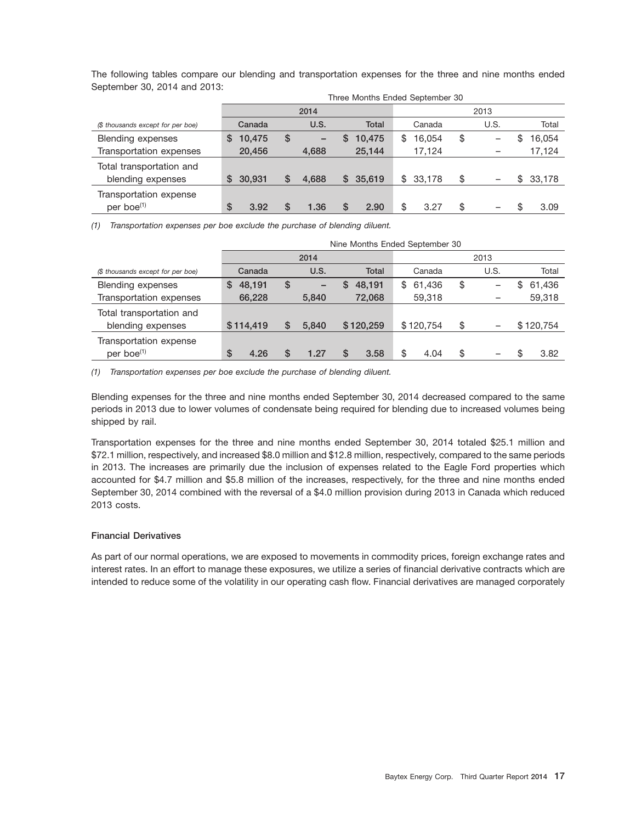The following tables compare our blending and transportation expenses for the three and nine months ended September 30, 2014 and 2013: Three Months Ended September 30

|                                   |    | THRE MOTILES ENGED SEPTEMBER 30 |    |       |    |              |      |          |    |      |    |        |
|-----------------------------------|----|---------------------------------|----|-------|----|--------------|------|----------|----|------|----|--------|
|                                   |    | 2014                            |    |       |    |              | 2013 |          |    |      |    |        |
| (\$ thousands except for per boe) |    | Canada                          |    | U.S.  |    | <b>Total</b> |      | Canada   |    | U.S. |    | Total  |
| <b>Blending expenses</b>          | S. | 10,475                          | \$ | -     | S  | 10.475       | \$   | 16.054   | \$ |      |    | 16,054 |
| Transportation expenses           |    | 20,456                          |    | 4.688 |    | 25,144       |      | 17,124   |    |      |    | 17,124 |
| Total transportation and          |    |                                 |    |       |    |              |      |          |    |      |    |        |
| blending expenses                 | S. | 30,931                          | S  | 4.688 |    | \$35,619     |      | \$33,178 | \$ |      | \$ | 33,178 |
| Transportation expense            |    |                                 |    |       |    |              |      |          |    |      |    |        |
| per boe <sup>(1)</sup>            | S  | 3.92                            | \$ | 1.36  | \$ | 2.90         | S.   | 3.27     | \$ | -    |    | 3.09   |

*(1) Transportation expenses per boe exclude the purchase of blending diluent.*

|                                   |             | Nine Months Ended September 30 |       |   |              |    |           |      |      |   |           |  |
|-----------------------------------|-------------|--------------------------------|-------|---|--------------|----|-----------|------|------|---|-----------|--|
|                                   |             | 2014                           |       |   |              |    |           | 2013 |      |   |           |  |
| (\$ thousands except for per boe) | Canada      |                                | U.S.  |   | <b>Total</b> |    | Canada    |      | U.S. |   | Total     |  |
| <b>Blending expenses</b>          | 48,191<br>S | \$                             | -     | S | 48,191       | \$ | 61.436    | \$   |      | S | 61.436    |  |
| Transportation expenses           | 66,228      |                                | 5,840 |   | 72,068       |    | 59,318    |      |      |   | 59,318    |  |
| Total transportation and          |             |                                |       |   |              |    |           |      |      |   |           |  |
| blending expenses                 | \$114,419   | S                              | 5.840 |   | \$120,259    |    | \$120,754 | \$   |      |   | \$120,754 |  |
| Transportation expense            |             |                                |       |   |              |    |           |      |      |   |           |  |
| per boe <sup>(1)</sup>            | S<br>4.26   | \$.                            | 1.27  | S | 3.58         | \$ | 4.04      | \$   |      |   | 3.82      |  |

*(1) Transportation expenses per boe exclude the purchase of blending diluent.*

Blending expenses for the three and nine months ended September 30, 2014 decreased compared to the same periods in 2013 due to lower volumes of condensate being required for blending due to increased volumes being shipped by rail.

Transportation expenses for the three and nine months ended September 30, 2014 totaled \$25.1 million and \$72.1 million, respectively, and increased \$8.0 million and \$12.8 million, respectively, compared to the same periods in 2013. The increases are primarily due the inclusion of expenses related to the Eagle Ford properties which accounted for \$4.7 million and \$5.8 million of the increases, respectively, for the three and nine months ended September 30, 2014 combined with the reversal of a \$4.0 million provision during 2013 in Canada which reduced 2013 costs.

#### **Financial Derivatives**

As part of our normal operations, we are exposed to movements in commodity prices, foreign exchange rates and interest rates. In an effort to manage these exposures, we utilize a series of financial derivative contracts which are intended to reduce some of the volatility in our operating cash flow. Financial derivatives are managed corporately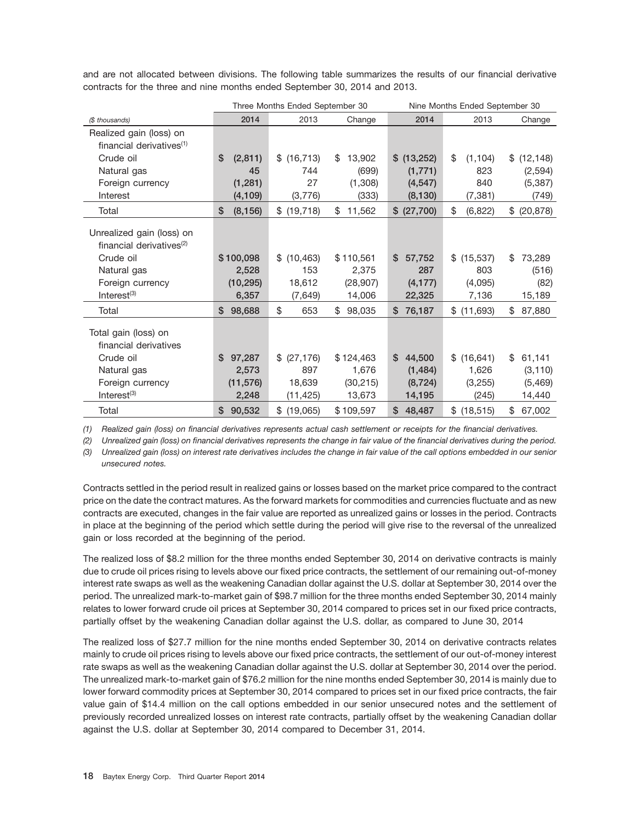and are not allocated between divisions. The following table summarizes the results of our financial derivative contracts for the three and nine months ended September 30, 2014 and 2013.

|                                               |                | Three Months Ended September 30 |              | Nine Months Ended September 30 |                 |                 |  |  |  |
|-----------------------------------------------|----------------|---------------------------------|--------------|--------------------------------|-----------------|-----------------|--|--|--|
| (\$ thousands)                                | 2014           | 2013                            | Change       | 2014                           | 2013            | Change          |  |  |  |
| Realized gain (loss) on                       |                |                                 |              |                                |                 |                 |  |  |  |
| financial derivatives <sup>(1)</sup>          |                |                                 |              |                                |                 |                 |  |  |  |
| Crude oil                                     | \$<br>(2,811)  | \$ (16,713)                     | 13,902<br>\$ | \$ (13,252)                    | \$<br>(1, 104)  | \$(12, 148)     |  |  |  |
| Natural gas                                   | 45             | 744                             | (699)        | (1,771)                        | 823             | (2, 594)        |  |  |  |
| Foreign currency                              | (1, 281)       | 27                              | (1,308)      | (4, 547)                       | 840             | (5, 387)        |  |  |  |
| Interest                                      | (4, 109)       | (3,776)                         | (333)        | (8, 130)                       | (7, 381)        | (749)           |  |  |  |
| Total                                         | \$<br>(8, 156) | \$ (19,718)                     | 11,562<br>\$ | (27,700)<br>\$                 | \$<br>(6, 822)  | \$<br>(20, 878) |  |  |  |
| Unrealized gain (loss) on                     |                |                                 |              |                                |                 |                 |  |  |  |
| financial derivatives <sup>(2)</sup>          |                |                                 |              |                                |                 |                 |  |  |  |
| Crude oil                                     | \$100,098      | \$(10, 463)                     | \$110,561    | 57,752<br>\$                   | \$ (15,537)     | 73,289<br>\$    |  |  |  |
| Natural gas                                   | 2,528          | 153                             | 2,375        | 287                            | 803             | (516)           |  |  |  |
| Foreign currency                              | (10, 295)      | 18,612                          | (28, 907)    | (4, 177)                       | (4,095)         | (82)            |  |  |  |
| Interest $(3)$                                | 6,357          | (7,649)                         | 14,006       | 22,325                         | 7,136           | 15,189          |  |  |  |
| Total                                         | 98,688<br>\$   | \$<br>653                       | 98,035<br>\$ | 76,187<br>S                    | \$(11,693)      | \$<br>87,880    |  |  |  |
| Total gain (loss) on<br>financial derivatives |                |                                 |              |                                |                 |                 |  |  |  |
| Crude oil                                     | 97,287<br>\$   | \$ (27, 176)                    | \$124,463    | 44,500<br>\$                   | \$(16,641)      | \$<br>61,141    |  |  |  |
| Natural gas                                   | 2,573          | 897                             | 1,676        | (1, 484)                       | 1,626           | (3, 110)        |  |  |  |
| Foreign currency                              | (11, 576)      | 18,639                          | (30, 215)    | (8, 724)                       | (3,255)         | (5, 469)        |  |  |  |
| Interest <sup>(3)</sup>                       | 2,248          | (11, 425)                       | 13,673       | 14,195                         | (245)           | 14,440          |  |  |  |
| Total                                         | 90,532<br>S    | $$$ (19,065)                    | \$109,597    | 48,487<br>\$                   | \$<br>(18, 515) | \$<br>67,002    |  |  |  |

*(1) Realized gain (loss) on financial derivatives represents actual cash settlement or receipts for the financial derivatives.*

*(2) Unrealized gain (loss) on financial derivatives represents the change in fair value of the financial derivatives during the period.*

*(3) Unrealized gain (loss) on interest rate derivatives includes the change in fair value of the call options embedded in our senior unsecured notes.*

Contracts settled in the period result in realized gains or losses based on the market price compared to the contract price on the date the contract matures. As the forward markets for commodities and currencies fluctuate and as new contracts are executed, changes in the fair value are reported as unrealized gains or losses in the period. Contracts in place at the beginning of the period which settle during the period will give rise to the reversal of the unrealized gain or loss recorded at the beginning of the period.

The realized loss of \$8.2 million for the three months ended September 30, 2014 on derivative contracts is mainly due to crude oil prices rising to levels above our fixed price contracts, the settlement of our remaining out-of-money interest rate swaps as well as the weakening Canadian dollar against the U.S. dollar at September 30, 2014 over the period. The unrealized mark-to-market gain of \$98.7 million for the three months ended September 30, 2014 mainly relates to lower forward crude oil prices at September 30, 2014 compared to prices set in our fixed price contracts, partially offset by the weakening Canadian dollar against the U.S. dollar, as compared to June 30, 2014

The realized loss of \$27.7 million for the nine months ended September 30, 2014 on derivative contracts relates mainly to crude oil prices rising to levels above our fixed price contracts, the settlement of our out-of-money interest rate swaps as well as the weakening Canadian dollar against the U.S. dollar at September 30, 2014 over the period. The unrealized mark-to-market gain of \$76.2 million for the nine months ended September 30, 2014 is mainly due to lower forward commodity prices at September 30, 2014 compared to prices set in our fixed price contracts, the fair value gain of \$14.4 million on the call options embedded in our senior unsecured notes and the settlement of previously recorded unrealized losses on interest rate contracts, partially offset by the weakening Canadian dollar against the U.S. dollar at September 30, 2014 compared to December 31, 2014.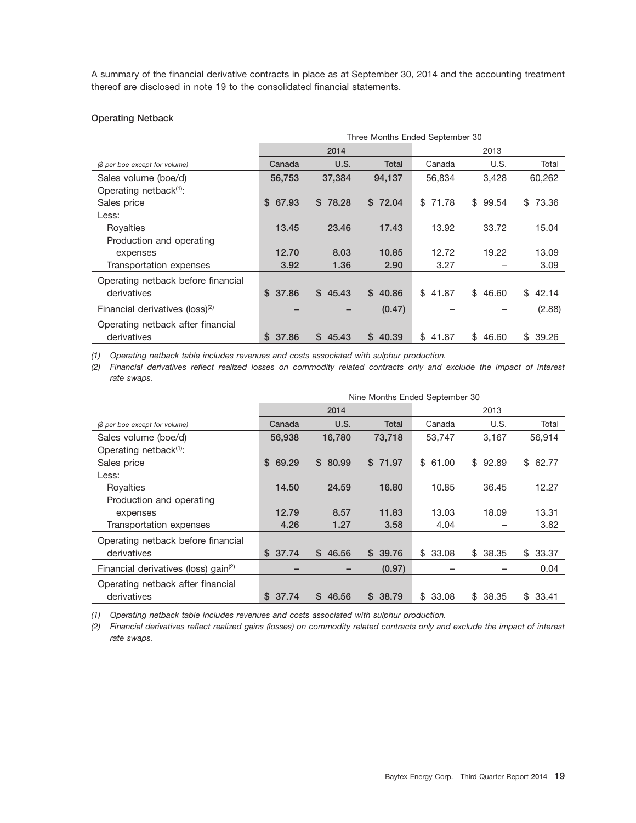A summary of the financial derivative contracts in place as at September 30, 2014 and the accounting treatment thereof are disclosed in note 19 to the consolidated financial statements.

#### **Operating Netback**

|                                             | Three Months Ended September 30 |                       |              |             |             |             |  |  |  |  |  |  |
|---------------------------------------------|---------------------------------|-----------------------|--------------|-------------|-------------|-------------|--|--|--|--|--|--|
|                                             |                                 | 2014                  |              |             | 2013        |             |  |  |  |  |  |  |
| (\$ per boe except for volume)              | Canada                          | U.S.                  | <b>Total</b> | Canada      | U.S.        | Total       |  |  |  |  |  |  |
| Sales volume (boe/d)                        | 56,753                          | 37,384                | 94,137       | 56.834      | 3.428       | 60,262      |  |  |  |  |  |  |
| Operating netback <sup>(1)</sup> :          |                                 |                       |              |             |             |             |  |  |  |  |  |  |
| Sales price                                 | 67.93<br>\$.                    | 78.28<br>$\mathbb{S}$ | \$72.04      | \$<br>71.78 | \$99.54     | 73.36<br>\$ |  |  |  |  |  |  |
| Less:                                       |                                 |                       |              |             |             |             |  |  |  |  |  |  |
| Royalties                                   | 13.45                           | 23.46                 | 17.43        | 13.92       | 33.72       | 15.04       |  |  |  |  |  |  |
| Production and operating                    |                                 |                       |              |             |             |             |  |  |  |  |  |  |
| expenses                                    | 12.70                           | 8.03                  | 10.85        | 12.72       | 19.22       | 13.09       |  |  |  |  |  |  |
| Transportation expenses                     | 3.92                            | 1.36                  | 2.90         | 3.27        |             | 3.09        |  |  |  |  |  |  |
| Operating netback before financial          |                                 |                       |              |             |             |             |  |  |  |  |  |  |
| derivatives                                 | 37.86<br>\$.                    | \$45.43               | \$40.86      | \$<br>41.87 | \$46.60     | \$<br>42.14 |  |  |  |  |  |  |
| Financial derivatives (loss) <sup>(2)</sup> |                                 |                       | (0.47)       |             |             | (2.88)      |  |  |  |  |  |  |
| Operating netback after financial           |                                 |                       |              |             |             |             |  |  |  |  |  |  |
| derivatives                                 | 37.86<br><b>S</b>               | \$45.43               | \$40.39      | \$<br>41.87 | 46.60<br>\$ | \$ 39.26    |  |  |  |  |  |  |

*(1) Operating netback table includes revenues and costs associated with sulphur production.*

*(2) Financial derivatives reflect realized losses on commodity related contracts only and exclude the impact of interest rate swaps.*

|                                                  |                       | Nine Months Ended September 30 |              |         |         |             |  |  |  |  |  |  |
|--------------------------------------------------|-----------------------|--------------------------------|--------------|---------|---------|-------------|--|--|--|--|--|--|
|                                                  |                       | 2014                           |              |         | 2013    |             |  |  |  |  |  |  |
| (\$ per boe except for volume)                   | Canada                | U.S.                           | <b>Total</b> | Canada  | U.S.    | Total       |  |  |  |  |  |  |
| Sales volume (boe/d)                             | 56,938                | 16,780                         | 73,718       | 53,747  | 3.167   | 56.914      |  |  |  |  |  |  |
| Operating netback <sup>(1)</sup> :               |                       |                                |              |         |         |             |  |  |  |  |  |  |
| Sales price                                      | $\mathbf{s}$<br>69.29 | \$80.99                        | \$71.97      | \$61.00 | \$92.89 | \$<br>62.77 |  |  |  |  |  |  |
| Less:                                            |                       |                                |              |         |         |             |  |  |  |  |  |  |
| Royalties                                        | 14.50                 | 24.59                          | 16.80        | 10.85   | 36.45   | 12.27       |  |  |  |  |  |  |
| Production and operating                         |                       |                                |              |         |         |             |  |  |  |  |  |  |
| expenses                                         | 12.79                 | 8.57                           | 11.83        | 13.03   | 18.09   | 13.31       |  |  |  |  |  |  |
| Transportation expenses                          | 4.26                  | 1.27                           | 3.58         | 4.04    |         | 3.82        |  |  |  |  |  |  |
| Operating netback before financial               |                       |                                |              |         |         |             |  |  |  |  |  |  |
| derivatives                                      | 37.74<br>$\mathbf{s}$ | \$46.56                        | \$39.76      | \$33.08 | \$38.35 | \$33.37     |  |  |  |  |  |  |
| Financial derivatives (loss) gain <sup>(2)</sup> |                       | -                              | (0.97)       |         |         | 0.04        |  |  |  |  |  |  |
| Operating netback after financial                |                       |                                |              |         |         |             |  |  |  |  |  |  |
| derivatives                                      | \$<br>37.74           | 46.56<br>S.                    | \$38.79      | \$33.08 | \$38.35 | \$33.41     |  |  |  |  |  |  |

*(1) Operating netback table includes revenues and costs associated with sulphur production.*

*(2) Financial derivatives reflect realized gains (losses) on commodity related contracts only and exclude the impact of interest rate swaps.*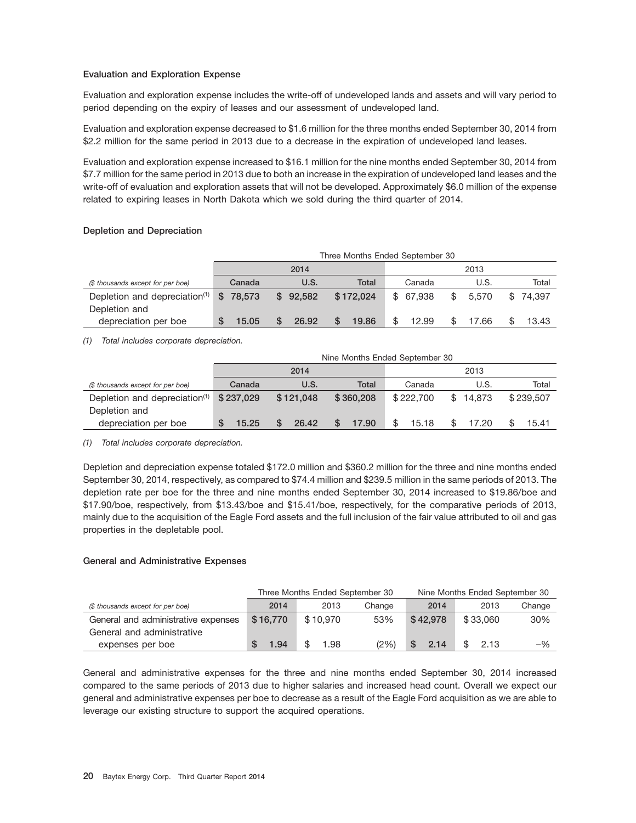#### **Evaluation and Exploration Expense**

Evaluation and exploration expense includes the write-off of undeveloped lands and assets and will vary period to period depending on the expiry of leases and our assessment of undeveloped land.

Evaluation and exploration expense decreased to \$1.6 million for the three months ended September 30, 2014 from \$2.2 million for the same period in 2013 due to a decrease in the expiration of undeveloped land leases.

Evaluation and exploration expense increased to \$16.1 million for the nine months ended September 30, 2014 from \$7.7 million for the same period in 2013 due to both an increase in the expiration of undeveloped land leases and the write-off of evaluation and exploration assets that will not be developed. Approximately \$6.0 million of the expense related to expiring leases in North Dakota which we sold during the third quarter of 2014.

#### **Depletion and Depreciation**

|                                           | Three Months Ended September 30 |  |          |    |           |      |           |    |       |  |          |  |
|-------------------------------------------|---------------------------------|--|----------|----|-----------|------|-----------|----|-------|--|----------|--|
|                                           |                                 |  | 2014     |    |           | 2013 |           |    |       |  |          |  |
| (\$ thousands except for per boe)         | Canada                          |  | U.S.     |    | Total     |      | Canada    |    | U.S.  |  | Total    |  |
| Depletion and depreciation <sup>(1)</sup> | \$78.573                        |  | \$92.582 |    | \$172.024 |      | \$ 67,938 | \$ | 5.570 |  | \$74.397 |  |
| Depletion and                             |                                 |  |          |    |           |      |           |    |       |  |          |  |
| depreciation per boe                      | 15.05                           |  | 26.92    | \$ | 19.86     |      | 12.99     | \$ | 17.66 |  | 13.43    |  |

*(1) Total includes corporate depreciation.*

|                                           |           | Nine Months Ended September 30 |           |           |          |           |  |  |  |  |  |  |  |  |
|-------------------------------------------|-----------|--------------------------------|-----------|-----------|----------|-----------|--|--|--|--|--|--|--|--|
|                                           |           | 2014                           |           |           |          |           |  |  |  |  |  |  |  |  |
| (\$ thousands except for per boe)         | Canada    | U.S.                           | Total     | Canada    | U.S.     | Total     |  |  |  |  |  |  |  |  |
| Depletion and depreciation <sup>(1)</sup> | \$237,029 | \$121.048                      | \$360,208 | \$222,700 | \$14,873 | \$239,507 |  |  |  |  |  |  |  |  |
| Depletion and                             |           |                                |           |           |          |           |  |  |  |  |  |  |  |  |
| depreciation per boe                      | 15.25     | 26.42                          | 17.90     | 15.18     | 17.20    | 15.41     |  |  |  |  |  |  |  |  |

*(1) Total includes corporate depreciation.*

Depletion and depreciation expense totaled \$172.0 million and \$360.2 million for the three and nine months ended September 30, 2014, respectively, as compared to \$74.4 million and \$239.5 million in the same periods of 2013. The depletion rate per boe for the three and nine months ended September 30, 2014 increased to \$19.86/boe and \$17.90/boe, respectively, from \$13.43/boe and \$15.41/boe, respectively, for the comparative periods of 2013, mainly due to the acquisition of the Eagle Ford assets and the full inclusion of the fair value attributed to oil and gas properties in the depletable pool.

#### **General and Administrative Expenses**

|                                     |          | Three Months Ended September 30 |        | Nine Months Ended September 30 |          |        |  |  |
|-------------------------------------|----------|---------------------------------|--------|--------------------------------|----------|--------|--|--|
| (\$ thousands except for per boe)   | 2014     | 2013                            | Change | 2014                           | 2013     | Change |  |  |
| General and administrative expenses | \$16,770 | \$10,970                        | 53%    | \$42,978                       | \$33,060 | 30%    |  |  |
| General and administrative          |          |                                 |        |                                |          |        |  |  |
| expenses per boe                    | 1.94     | 1.98                            | (2%)   | 2.14                           | 2.13     | $-$ %  |  |  |

General and administrative expenses for the three and nine months ended September 30, 2014 increased compared to the same periods of 2013 due to higher salaries and increased head count. Overall we expect our general and administrative expenses per boe to decrease as a result of the Eagle Ford acquisition as we are able to leverage our existing structure to support the acquired operations.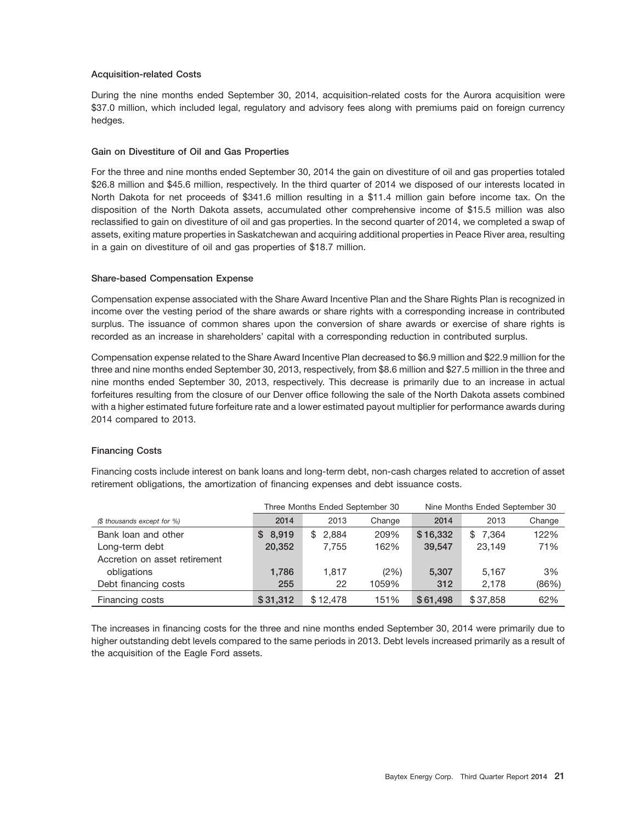#### **Acquisition-related Costs**

During the nine months ended September 30, 2014, acquisition-related costs for the Aurora acquisition were \$37.0 million, which included legal, regulatory and advisory fees along with premiums paid on foreign currency hedges.

#### **Gain on Divestiture of Oil and Gas Properties**

For the three and nine months ended September 30, 2014 the gain on divestiture of oil and gas properties totaled \$26.8 million and \$45.6 million, respectively. In the third quarter of 2014 we disposed of our interests located in North Dakota for net proceeds of \$341.6 million resulting in a \$11.4 million gain before income tax. On the disposition of the North Dakota assets, accumulated other comprehensive income of \$15.5 million was also reclassified to gain on divestiture of oil and gas properties. In the second quarter of 2014, we completed a swap of assets, exiting mature properties in Saskatchewan and acquiring additional properties in Peace River area, resulting in a gain on divestiture of oil and gas properties of \$18.7 million.

#### **Share-based Compensation Expense**

Compensation expense associated with the Share Award Incentive Plan and the Share Rights Plan is recognized in income over the vesting period of the share awards or share rights with a corresponding increase in contributed surplus. The issuance of common shares upon the conversion of share awards or exercise of share rights is recorded as an increase in shareholders' capital with a corresponding reduction in contributed surplus.

Compensation expense related to the Share Award Incentive Plan decreased to \$6.9 million and \$22.9 million for the three and nine months ended September 30, 2013, respectively, from \$8.6 million and \$27.5 million in the three and nine months ended September 30, 2013, respectively. This decrease is primarily due to an increase in actual forfeitures resulting from the closure of our Denver office following the sale of the North Dakota assets combined with a higher estimated future forfeiture rate and a lower estimated payout multiplier for performance awards during 2014 compared to 2013.

### **Financing Costs**

Financing costs include interest on bank loans and long-term debt, non-cash charges related to accretion of asset retirement obligations, the amortization of financing expenses and debt issuance costs.

|                               |          | Three Months Ended September 30 |        | Nine Months Ended September 30 |          |        |  |  |
|-------------------------------|----------|---------------------------------|--------|--------------------------------|----------|--------|--|--|
| (\$ thousands except for %)   | 2014     | 2013                            | Change | 2014                           | 2013     | Change |  |  |
| Bank loan and other           | \$8.919  | \$2.884                         | 209%   | \$16,332                       | \$7.364  | 122%   |  |  |
| Long-term debt                | 20,352   | 7.755                           | 162%   | 39.547                         | 23.149   | 71%    |  |  |
| Accretion on asset retirement |          |                                 |        |                                |          |        |  |  |
| obligations                   | 1,786    | 1.817                           | (2%)   | 5,307                          | 5.167    | 3%     |  |  |
| Debt financing costs          | 255      | 22                              | 1059%  | 312                            | 2.178    | (86%)  |  |  |
| Financing costs               | \$31,312 | \$12.478                        | 151%   | \$61,498                       | \$37,858 | 62%    |  |  |

The increases in financing costs for the three and nine months ended September 30, 2014 were primarily due to higher outstanding debt levels compared to the same periods in 2013. Debt levels increased primarily as a result of the acquisition of the Eagle Ford assets.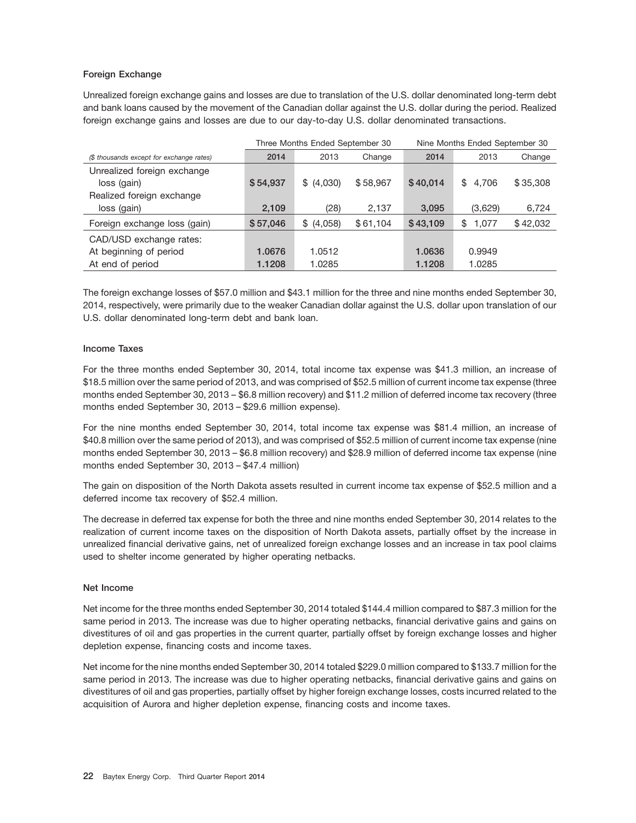#### **Foreign Exchange**

Unrealized foreign exchange gains and losses are due to translation of the U.S. dollar denominated long-term debt and bank loans caused by the movement of the Canadian dollar against the U.S. dollar during the period. Realized foreign exchange gains and losses are due to our day-to-day U.S. dollar denominated transactions.

|                                          |          | Three Months Ended September 30 |          | Nine Months Ended September 30 |             |          |  |  |
|------------------------------------------|----------|---------------------------------|----------|--------------------------------|-------------|----------|--|--|
| (\$ thousands except for exchange rates) | 2014     | 2013                            | Change   | 2014                           | 2013        | Change   |  |  |
| Unrealized foreign exchange              |          |                                 |          |                                |             |          |  |  |
| loss (gain)                              | \$54,937 | \$ (4,030)                      | \$58,967 | \$40,014                       | \$4,706     | \$35,308 |  |  |
| Realized foreign exchange                |          |                                 |          |                                |             |          |  |  |
| loss (gain)                              | 2,109    | (28)                            | 2.137    | 3,095                          | (3,629)     | 6,724    |  |  |
| Foreign exchange loss (gain)             | \$57,046 | \$ (4,058)                      | \$61,104 | \$43,109                       | 1,077<br>\$ | \$42,032 |  |  |
| CAD/USD exchange rates:                  |          |                                 |          |                                |             |          |  |  |
| At beginning of period                   | 1.0676   | 1.0512                          |          | 1.0636                         | 0.9949      |          |  |  |
| At end of period                         | 1.1208   | 1.0285                          |          | 1.1208                         | 1.0285      |          |  |  |

The foreign exchange losses of \$57.0 million and \$43.1 million for the three and nine months ended September 30, 2014, respectively, were primarily due to the weaker Canadian dollar against the U.S. dollar upon translation of our U.S. dollar denominated long-term debt and bank loan.

#### **Income Taxes**

For the three months ended September 30, 2014, total income tax expense was \$41.3 million, an increase of \$18.5 million over the same period of 2013, and was comprised of \$52.5 million of current income tax expense (three months ended September 30, 2013 – \$6.8 million recovery) and \$11.2 million of deferred income tax recovery (three months ended September 30, 2013 – \$29.6 million expense).

For the nine months ended September 30, 2014, total income tax expense was \$81.4 million, an increase of \$40.8 million over the same period of 2013), and was comprised of \$52.5 million of current income tax expense (nine months ended September 30, 2013 – \$6.8 million recovery) and \$28.9 million of deferred income tax expense (nine months ended September 30, 2013 – \$47.4 million)

The gain on disposition of the North Dakota assets resulted in current income tax expense of \$52.5 million and a deferred income tax recovery of \$52.4 million.

The decrease in deferred tax expense for both the three and nine months ended September 30, 2014 relates to the realization of current income taxes on the disposition of North Dakota assets, partially offset by the increase in unrealized financial derivative gains, net of unrealized foreign exchange losses and an increase in tax pool claims used to shelter income generated by higher operating netbacks.

#### **Net Income**

Net income for the three months ended September 30, 2014 totaled \$144.4 million compared to \$87.3 million for the same period in 2013. The increase was due to higher operating netbacks, financial derivative gains and gains on divestitures of oil and gas properties in the current quarter, partially offset by foreign exchange losses and higher depletion expense, financing costs and income taxes.

Net income for the nine months ended September 30, 2014 totaled \$229.0 million compared to \$133.7 million for the same period in 2013. The increase was due to higher operating netbacks, financial derivative gains and gains on divestitures of oil and gas properties, partially offset by higher foreign exchange losses, costs incurred related to the acquisition of Aurora and higher depletion expense, financing costs and income taxes.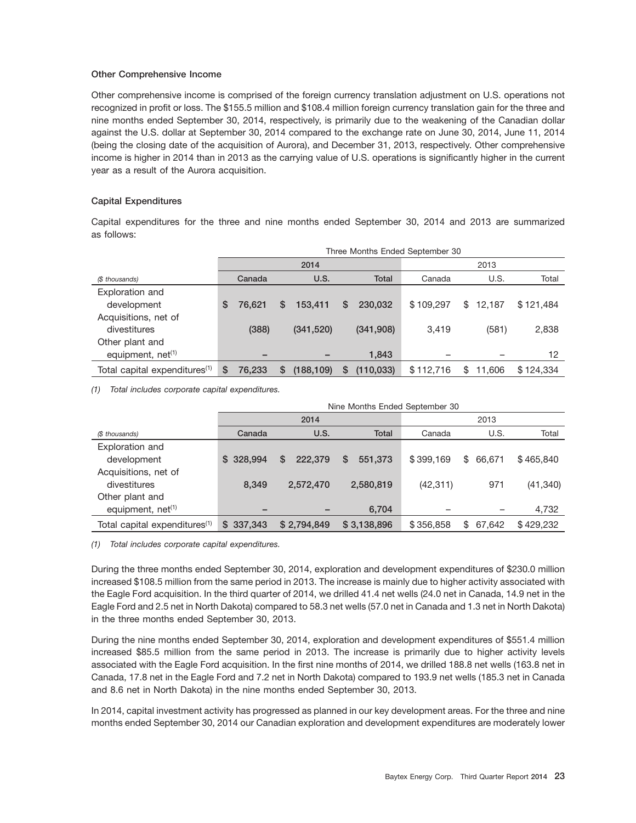#### **Other Comprehensive Income**

Other comprehensive income is comprised of the foreign currency translation adjustment on U.S. operations not recognized in profit or loss. The \$155.5 million and \$108.4 million foreign currency translation gain for the three and nine months ended September 30, 2014, respectively, is primarily due to the weakening of the Canadian dollar against the U.S. dollar at September 30, 2014 compared to the exchange rate on June 30, 2014, June 11, 2014 (being the closing date of the acquisition of Aurora), and December 31, 2013, respectively. Other comprehensive income is higher in 2014 than in 2013 as the carrying value of U.S. operations is significantly higher in the current year as a result of the Aurora acquisition.

#### **Capital Expenditures**

Capital expenditures for the three and nine months ended September 30, 2014 and 2013 are summarized as follows:

|                                           |    | Three Months Ended September 30 |      |            |      |              |           |     |        |           |  |
|-------------------------------------------|----|---------------------------------|------|------------|------|--------------|-----------|-----|--------|-----------|--|
|                                           |    |                                 | 2014 |            | 2013 |              |           |     |        |           |  |
| (\$ thousands)                            |    | Canada                          |      | U.S.       |      | <b>Total</b> | Canada    |     | U.S.   | Total     |  |
| Exploration and                           |    |                                 |      |            |      |              |           |     |        |           |  |
| development                               | \$ | 76.621                          | S    | 153.411    | S    | 230.032      | \$109.297 | \$  | 12,187 | \$121,484 |  |
| Acquisitions, net of                      |    |                                 |      |            |      |              |           |     |        |           |  |
| divestitures                              |    | (388)                           |      | (341, 520) |      | (341,908)    | 3.419     |     | (581)  | 2,838     |  |
| Other plant and                           |    |                                 |      |            |      |              |           |     |        |           |  |
| equipment, net <sup>(1)</sup>             |    |                                 |      |            |      | 1,843        |           |     |        | 12        |  |
| Total capital expenditures <sup>(1)</sup> | S  | 76,233                          | S    | (188, 109) | S    | (110, 033)   | \$112,716 | \$. | 11.606 | \$124,334 |  |

*(1) Total includes corporate capital expenditures.*

|                                           |           | Nine Months Ended September 30 |               |           |              |           |  |  |  |  |  |  |
|-------------------------------------------|-----------|--------------------------------|---------------|-----------|--------------|-----------|--|--|--|--|--|--|
|                                           |           | 2014                           |               | 2013      |              |           |  |  |  |  |  |  |
| (\$ thousands)                            | Canada    | U.S.                           | <b>Total</b>  | Canada    | U.S.         | Total     |  |  |  |  |  |  |
| Exploration and                           |           |                                |               |           |              |           |  |  |  |  |  |  |
| development                               | \$328,994 | \$<br>222.379                  | \$<br>551,373 | \$399.169 | 66.671<br>\$ | \$465,840 |  |  |  |  |  |  |
| Acquisitions, net of                      |           |                                |               |           |              |           |  |  |  |  |  |  |
| divestitures                              | 8.349     | 2,572,470                      | 2,580,819     | (42, 311) | 971          | (41, 340) |  |  |  |  |  |  |
| Other plant and                           |           |                                |               |           |              |           |  |  |  |  |  |  |
| equipment, net <sup>(1)</sup>             |           |                                | 6,704         |           |              | 4,732     |  |  |  |  |  |  |
| Total capital expenditures <sup>(1)</sup> | \$337.343 | \$2.794.849                    | \$3.138,896   | \$356,858 | 67.642<br>\$ | \$429,232 |  |  |  |  |  |  |

*(1) Total includes corporate capital expenditures.*

During the three months ended September 30, 2014, exploration and development expenditures of \$230.0 million increased \$108.5 million from the same period in 2013. The increase is mainly due to higher activity associated with the Eagle Ford acquisition. In the third quarter of 2014, we drilled 41.4 net wells (24.0 net in Canada, 14.9 net in the Eagle Ford and 2.5 net in North Dakota) compared to 58.3 net wells (57.0 net in Canada and 1.3 net in North Dakota) in the three months ended September 30, 2013.

During the nine months ended September 30, 2014, exploration and development expenditures of \$551.4 million increased \$85.5 million from the same period in 2013. The increase is primarily due to higher activity levels associated with the Eagle Ford acquisition. In the first nine months of 2014, we drilled 188.8 net wells (163.8 net in Canada, 17.8 net in the Eagle Ford and 7.2 net in North Dakota) compared to 193.9 net wells (185.3 net in Canada and 8.6 net in North Dakota) in the nine months ended September 30, 2013.

In 2014, capital investment activity has progressed as planned in our key development areas. For the three and nine months ended September 30, 2014 our Canadian exploration and development expenditures are moderately lower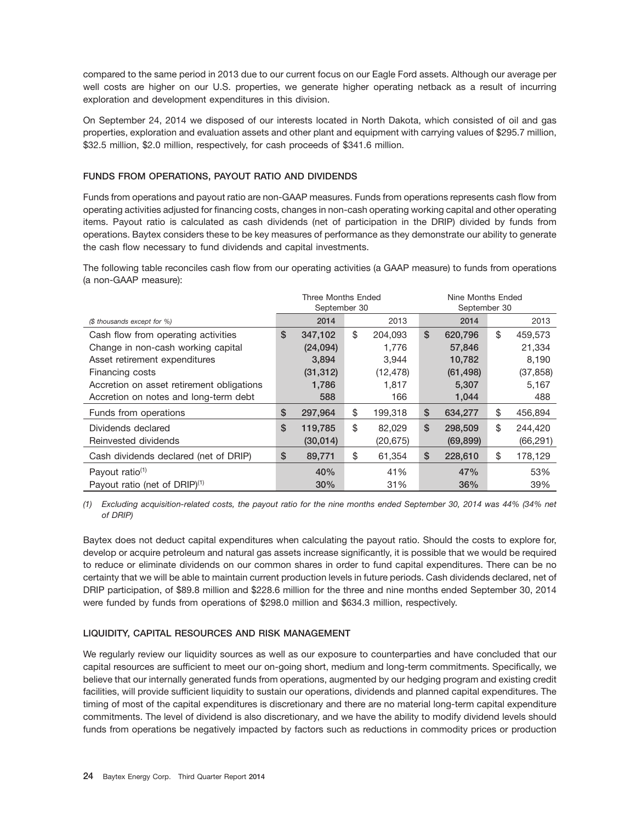compared to the same period in 2013 due to our current focus on our Eagle Ford assets. Although our average per well costs are higher on our U.S. properties, we generate higher operating netback as a result of incurring exploration and development expenditures in this division.

On September 24, 2014 we disposed of our interests located in North Dakota, which consisted of oil and gas properties, exploration and evaluation assets and other plant and equipment with carrying values of \$295.7 million, \$32.5 million, \$2.0 million, respectively, for cash proceeds of \$341.6 million.

#### **FUNDS FROM OPERATIONS, PAYOUT RATIO AND DIVIDENDS**

Funds from operations and payout ratio are non-GAAP measures. Funds from operations represents cash flow from operating activities adjusted for financing costs, changes in non-cash operating working capital and other operating items. Payout ratio is calculated as cash dividends (net of participation in the DRIP) divided by funds from operations. Baytex considers these to be key measures of performance as they demonstrate our ability to generate the cash flow necessary to fund dividends and capital investments.

The following table reconciles cash flow from our operating activities (a GAAP measure) to funds from operations (a non-GAAP measure):

|                                           | <b>Three Months Ended</b><br>September 30 |           |    |           |    | Nine Months Ended<br>September 30 |               |
|-------------------------------------------|-------------------------------------------|-----------|----|-----------|----|-----------------------------------|---------------|
| (\$ thousands except for %)               |                                           | 2014      |    | 2013      |    | 2014                              | 2013          |
| Cash flow from operating activities       | \$                                        | 347,102   | \$ | 204.093   | \$ | 620,796                           | \$<br>459,573 |
| Change in non-cash working capital        |                                           | (24,094)  |    | 1,776     |    | 57,846                            | 21,334        |
| Asset retirement expenditures             |                                           | 3,894     |    | 3,944     |    | 10,782                            | 8,190         |
| Financing costs                           |                                           | (31, 312) |    | (12, 478) |    | (61, 498)                         | (37, 858)     |
| Accretion on asset retirement obligations |                                           | 1,786     |    | 1,817     |    | 5,307                             | 5,167         |
| Accretion on notes and long-term debt     |                                           | 588       |    | 166       |    | 1,044                             | 488           |
| Funds from operations                     | \$                                        | 297,964   | \$ | 199,318   | \$ | 634,277                           | \$<br>456,894 |
| Dividends declared                        | \$                                        | 119.785   | \$ | 82.029    | \$ | 298,509                           | \$<br>244,420 |
| Reinvested dividends                      |                                           | (30,014)  |    | (20, 675) |    | (69, 899)                         | (66, 291)     |
| Cash dividends declared (net of DRIP)     | \$                                        | 89,771    | \$ | 61,354    | \$ | 228,610                           | \$<br>178,129 |
| Payout ratio $(1)$                        |                                           | 40%       |    | 41%       |    | 47%                               | 53%           |
| Payout ratio (net of DRIP) <sup>(1)</sup> |                                           | 30%       |    | 31%       |    | 36%                               | 39%           |

*(1) Excluding acquisition-related costs, the payout ratio for the nine months ended September 30, 2014 was 44% (34% net of DRIP)*

Baytex does not deduct capital expenditures when calculating the payout ratio. Should the costs to explore for, develop or acquire petroleum and natural gas assets increase significantly, it is possible that we would be required to reduce or eliminate dividends on our common shares in order to fund capital expenditures. There can be no certainty that we will be able to maintain current production levels in future periods. Cash dividends declared, net of DRIP participation, of \$89.8 million and \$228.6 million for the three and nine months ended September 30, 2014 were funded by funds from operations of \$298.0 million and \$634.3 million, respectively.

### **LIQUIDITY, CAPITAL RESOURCES AND RISK MANAGEMENT**

We regularly review our liquidity sources as well as our exposure to counterparties and have concluded that our capital resources are sufficient to meet our on-going short, medium and long-term commitments. Specifically, we believe that our internally generated funds from operations, augmented by our hedging program and existing credit facilities, will provide sufficient liquidity to sustain our operations, dividends and planned capital expenditures. The timing of most of the capital expenditures is discretionary and there are no material long-term capital expenditure commitments. The level of dividend is also discretionary, and we have the ability to modify dividend levels should funds from operations be negatively impacted by factors such as reductions in commodity prices or production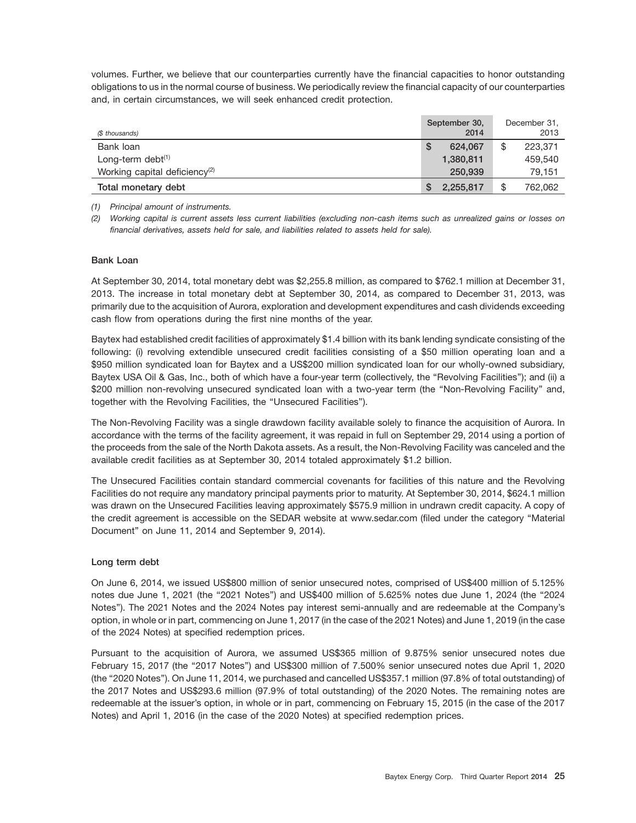volumes. Further, we believe that our counterparties currently have the financial capacities to honor outstanding obligations to us in the normal course of business. We periodically review the financial capacity of our counterparties and, in certain circumstances, we will seek enhanced credit protection.

| (\$ thousands)                            | September 30,<br>2014 | December 31.<br>2013 |
|-------------------------------------------|-----------------------|----------------------|
| Bank loan                                 | 624.067               | 223,371              |
| Long-term debt <sup>(1)</sup>             | 1,380,811             | 459,540              |
| Working capital deficiency <sup>(2)</sup> | 250,939               | 79.151               |
| Total monetary debt                       | 2,255,817<br>S        | 762.062              |

*(1) Principal amount of instruments.*

*(2) Working capital is current assets less current liabilities (excluding non-cash items such as unrealized gains or losses on financial derivatives, assets held for sale, and liabilities related to assets held for sale).*

#### **Bank Loan**

At September 30, 2014, total monetary debt was \$2,255.8 million, as compared to \$762.1 million at December 31, 2013. The increase in total monetary debt at September 30, 2014, as compared to December 31, 2013, was primarily due to the acquisition of Aurora, exploration and development expenditures and cash dividends exceeding cash flow from operations during the first nine months of the year.

Baytex had established credit facilities of approximately \$1.4 billion with its bank lending syndicate consisting of the following: (i) revolving extendible unsecured credit facilities consisting of a \$50 million operating loan and a \$950 million syndicated loan for Baytex and a US\$200 million syndicated loan for our wholly-owned subsidiary, Baytex USA Oil & Gas, Inc., both of which have a four-year term (collectively, the ''Revolving Facilities''); and (ii) a \$200 million non-revolving unsecured syndicated loan with a two-year term (the "Non-Revolving Facility" and, together with the Revolving Facilities, the ''Unsecured Facilities'').

The Non-Revolving Facility was a single drawdown facility available solely to finance the acquisition of Aurora. In accordance with the terms of the facility agreement, it was repaid in full on September 29, 2014 using a portion of the proceeds from the sale of the North Dakota assets. As a result, the Non-Revolving Facility was canceled and the available credit facilities as at September 30, 2014 totaled approximately \$1.2 billion.

The Unsecured Facilities contain standard commercial covenants for facilities of this nature and the Revolving Facilities do not require any mandatory principal payments prior to maturity. At September 30, 2014, \$624.1 million was drawn on the Unsecured Facilities leaving approximately \$575.9 million in undrawn credit capacity. A copy of the credit agreement is accessible on the SEDAR website at www.sedar.com (filed under the category ''Material Document'' on June 11, 2014 and September 9, 2014).

#### **Long term debt**

On June 6, 2014, we issued US\$800 million of senior unsecured notes, comprised of US\$400 million of 5.125% notes due June 1, 2021 (the ''2021 Notes'') and US\$400 million of 5.625% notes due June 1, 2024 (the ''2024 Notes''). The 2021 Notes and the 2024 Notes pay interest semi-annually and are redeemable at the Company's option, in whole or in part, commencing on June 1, 2017 (in the case of the 2021 Notes) and June 1, 2019 (in the case of the 2024 Notes) at specified redemption prices.

Pursuant to the acquisition of Aurora, we assumed US\$365 million of 9.875% senior unsecured notes due February 15, 2017 (the "2017 Notes") and US\$300 million of 7.500% senior unsecured notes due April 1, 2020 (the ''2020 Notes''). On June 11, 2014, we purchased and cancelled US\$357.1 million (97.8% of total outstanding) of the 2017 Notes and US\$293.6 million (97.9% of total outstanding) of the 2020 Notes. The remaining notes are redeemable at the issuer's option, in whole or in part, commencing on February 15, 2015 (in the case of the 2017 Notes) and April 1, 2016 (in the case of the 2020 Notes) at specified redemption prices.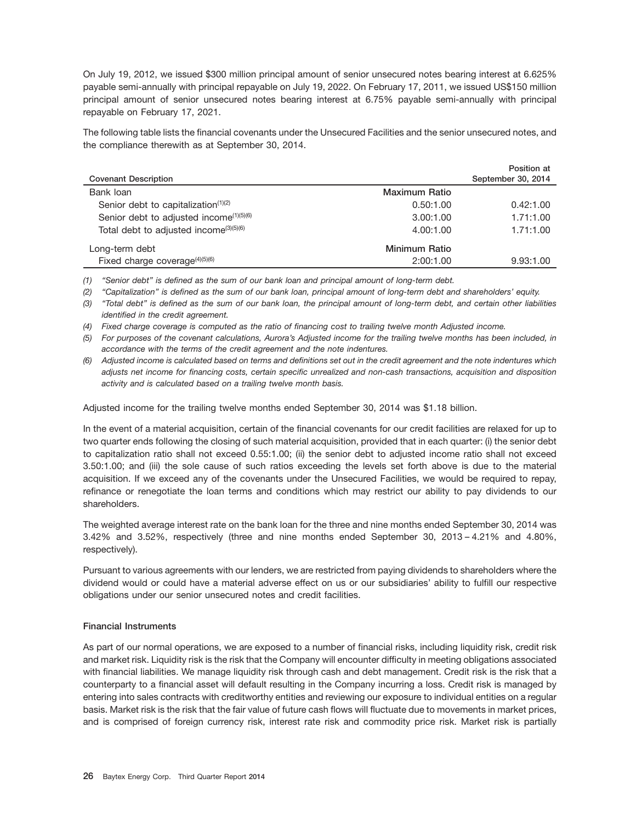On July 19, 2012, we issued \$300 million principal amount of senior unsecured notes bearing interest at 6.625% payable semi-annually with principal repayable on July 19, 2022. On February 17, 2011, we issued US\$150 million principal amount of senior unsecured notes bearing interest at 6.75% payable semi-annually with principal repayable on February 17, 2021.

The following table lists the financial covenants under the Unsecured Facilities and the senior unsecured notes, and the compliance therewith as at September 30, 2014.

|                                                     |                      | Position at        |
|-----------------------------------------------------|----------------------|--------------------|
| <b>Covenant Description</b>                         |                      | September 30, 2014 |
| Bank loan                                           | <b>Maximum Ratio</b> |                    |
| Senior debt to capitalization $(1)(2)$              | 0.50:1.00            | 0.42:1.00          |
| Senior debt to adjusted income <sup>(1)(5)(6)</sup> | 3.00:1.00            | 1.71:1.00          |
| Total debt to adjusted income <sup>(3)(5)(6)</sup>  | 4.00:1.00            | 1.71:1.00          |
| Long-term debt                                      | <b>Minimum Ratio</b> |                    |
| Fixed charge coverage $(4)(5)(6)$                   | 2:00:1.00            | 9.93:1.00          |

*(1) ''Senior debt'' is defined as the sum of our bank loan and principal amount of long-term debt.*

*(2) ''Capitalization'' is defined as the sum of our bank loan, principal amount of long-term debt and shareholders' equity.*

*(3) ''Total debt'' is defined as the sum of our bank loan, the principal amount of long-term debt, and certain other liabilities identified in the credit agreement.*

*(4) Fixed charge coverage is computed as the ratio of financing cost to trailing twelve month Adjusted income.*

*(5) For purposes of the covenant calculations, Aurora's Adjusted income for the trailing twelve months has been included, in accordance with the terms of the credit agreement and the note indentures.*

*(6) Adjusted income is calculated based on terms and definitions set out in the credit agreement and the note indentures which adjusts net income for financing costs, certain specific unrealized and non-cash transactions, acquisition and disposition activity and is calculated based on a trailing twelve month basis.*

Adjusted income for the trailing twelve months ended September 30, 2014 was \$1.18 billion.

In the event of a material acquisition, certain of the financial covenants for our credit facilities are relaxed for up to two quarter ends following the closing of such material acquisition, provided that in each quarter: (i) the senior debt to capitalization ratio shall not exceed 0.55:1.00; (ii) the senior debt to adjusted income ratio shall not exceed 3.50:1.00; and (iii) the sole cause of such ratios exceeding the levels set forth above is due to the material acquisition. If we exceed any of the covenants under the Unsecured Facilities, we would be required to repay, refinance or renegotiate the loan terms and conditions which may restrict our ability to pay dividends to our shareholders.

The weighted average interest rate on the bank loan for the three and nine months ended September 30, 2014 was 3.42% and 3.52%, respectively (three and nine months ended September 30, 2013 – 4.21% and 4.80%, respectively).

Pursuant to various agreements with our lenders, we are restricted from paying dividends to shareholders where the dividend would or could have a material adverse effect on us or our subsidiaries' ability to fulfill our respective obligations under our senior unsecured notes and credit facilities.

#### **Financial Instruments**

As part of our normal operations, we are exposed to a number of financial risks, including liquidity risk, credit risk and market risk. Liquidity risk is the risk that the Company will encounter difficulty in meeting obligations associated with financial liabilities. We manage liquidity risk through cash and debt management. Credit risk is the risk that a counterparty to a financial asset will default resulting in the Company incurring a loss. Credit risk is managed by entering into sales contracts with creditworthy entities and reviewing our exposure to individual entities on a regular basis. Market risk is the risk that the fair value of future cash flows will fluctuate due to movements in market prices, and is comprised of foreign currency risk, interest rate risk and commodity price risk. Market risk is partially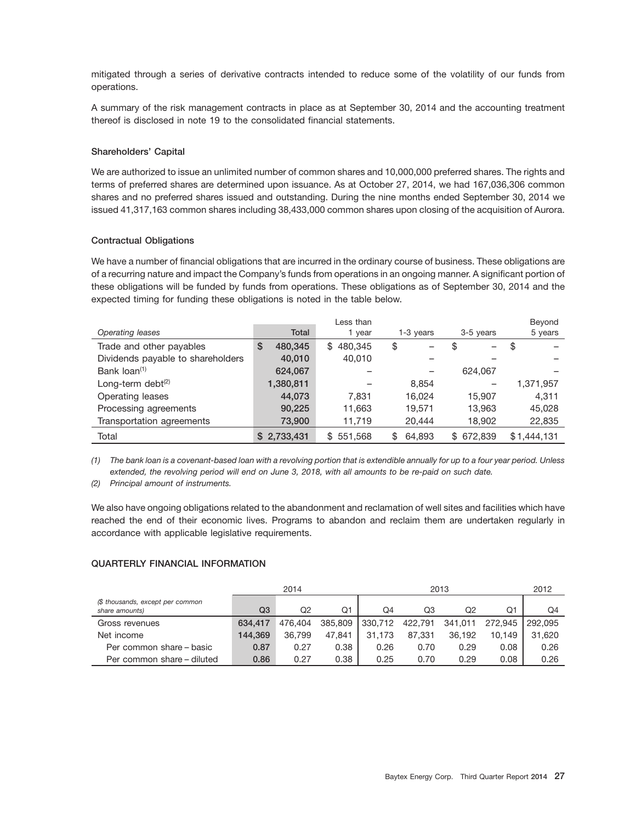mitigated through a series of derivative contracts intended to reduce some of the volatility of our funds from operations.

A summary of the risk management contracts in place as at September 30, 2014 and the accounting treatment thereof is disclosed in note 19 to the consolidated financial statements.

#### **Shareholders' Capital**

We are authorized to issue an unlimited number of common shares and 10,000,000 preferred shares. The rights and terms of preferred shares are determined upon issuance. As at October 27, 2014, we had 167,036,306 common shares and no preferred shares issued and outstanding. During the nine months ended September 30, 2014 we issued 41,317,163 common shares including 38,433,000 common shares upon closing of the acquisition of Aurora.

#### **Contractual Obligations**

We have a number of financial obligations that are incurred in the ordinary course of business. These obligations are of a recurring nature and impact the Company's funds from operations in an ongoing manner. A significant portion of these obligations will be funded by funds from operations. These obligations as of September 30, 2014 and the expected timing for funding these obligations is noted in the table below.

|                                   |               | Less than     |              |               | Beyond      |
|-----------------------------------|---------------|---------------|--------------|---------------|-------------|
| Operating leases                  | <b>Total</b>  | 1 year        | 1-3 years    | 3-5 years     | 5 years     |
| Trade and other payables          | \$<br>480,345 | 480.345<br>\$ | \$           | \$            | \$          |
| Dividends payable to shareholders | 40,010        | 40,010        |              |               |             |
| Bank loan <sup>(1)</sup>          | 624,067       |               |              | 624.067       |             |
| Long-term debt $(2)$              | 1,380,811     |               | 8,854        | -             | 1,371,957   |
| Operating leases                  | 44,073        | 7.831         | 16,024       | 15.907        | 4.311       |
| Processing agreements             | 90,225        | 11,663        | 19.571       | 13.963        | 45,028      |
| Transportation agreements         | 73,900        | 11,719        | 20,444       | 18,902        | 22,835      |
| Total                             | \$2,733,431   | 551,568<br>\$ | 64,893<br>\$ | 672,839<br>\$ | \$1,444,131 |

*(1) The bank loan is a covenant-based loan with a revolving portion that is extendible annually for up to a four year period. Unless extended, the revolving period will end on June 3, 2018, with all amounts to be re-paid on such date.*

*(2) Principal amount of instruments.*

We also have ongoing obligations related to the abandonment and reclamation of well sites and facilities which have reached the end of their economic lives. Programs to abandon and reclaim them are undertaken regularly in accordance with applicable legislative requirements.

#### **QUARTERLY FINANCIAL INFORMATION**

|                                                    |         | 2014    |         |         | 2012    |         |         |         |
|----------------------------------------------------|---------|---------|---------|---------|---------|---------|---------|---------|
| (\$ thousands, except per common<br>share amounts) | Q3      | Q2      | Q1      | O4      | Q3      | Q2      | Q1      | Q4      |
| Gross revenues                                     | 634.417 | 476.404 | 385,809 | 330.712 | 422.791 | 341.011 | 272.945 | 292.095 |
| Net income                                         | 144.369 | 36.799  | 47.841  | 31.173  | 87.331  | 36.192  | 10.149  | 31.620  |
| Per common share – basic                           | 0.87    | 0.27    | 0.38    | 0.26    | 0.70    | 0.29    | 0.08    | 0.26    |
| Per common share – diluted                         | 0.86    | 0.27    | 0.38    | 0.25    | 0.70    | 0.29    | 0.08    | 0.26    |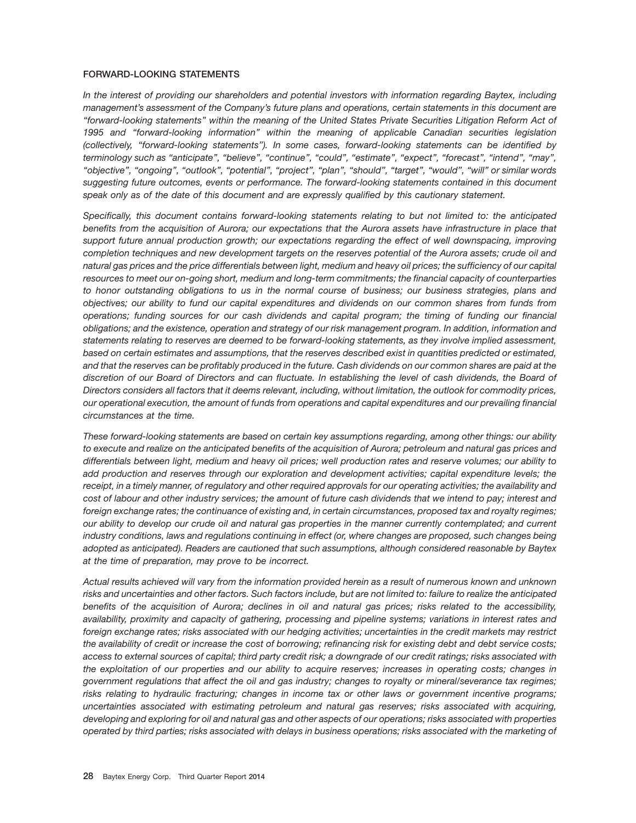#### **FORWARD-LOOKING STATEMENTS**

*In the interest of providing our shareholders and potential investors with information regarding Baytex, including management's assessment of the Company's future plans and operations, certain statements in this document are ''forward-looking statements'' within the meaning of the United States Private Securities Litigation Reform Act of 1995 and ''forward-looking information'' within the meaning of applicable Canadian securities legislation (collectively, ''forward-looking statements''). In some cases, forward-looking statements can be identified by terminology such as ''anticipate'', ''believe'', ''continue'', ''could'', ''estimate'', ''expect'', ''forecast'', ''intend'', ''may'', ''objective'', ''ongoing'', ''outlook'', ''potential'', ''project'', ''plan'', ''should'', ''target'', ''would'', ''will'' or similar words suggesting future outcomes, events or performance. The forward-looking statements contained in this document speak only as of the date of this document and are expressly qualified by this cautionary statement.*

*Specifically, this document contains forward-looking statements relating to but not limited to: the anticipated benefits from the acquisition of Aurora; our expectations that the Aurora assets have infrastructure in place that support future annual production growth; our expectations regarding the effect of well downspacing, improving completion techniques and new development targets on the reserves potential of the Aurora assets; crude oil and natural gas prices and the price differentials between light, medium and heavy oil prices; the sufficiency of our capital resources to meet our on-going short, medium and long-term commitments; the financial capacity of counterparties to honor outstanding obligations to us in the normal course of business; our business strategies, plans and objectives; our ability to fund our capital expenditures and dividends on our common shares from funds from operations; funding sources for our cash dividends and capital program; the timing of funding our financial obligations; and the existence, operation and strategy of our risk management program. In addition, information and statements relating to reserves are deemed to be forward-looking statements, as they involve implied assessment, based on certain estimates and assumptions, that the reserves described exist in quantities predicted or estimated, and that the reserves can be profitably produced in the future. Cash dividends on our common shares are paid at the discretion of our Board of Directors and can fluctuate. In establishing the level of cash dividends, the Board of Directors considers all factors that it deems relevant, including, without limitation, the outlook for commodity prices, our operational execution, the amount of funds from operations and capital expenditures and our prevailing financial circumstances at the time.*

*These forward-looking statements are based on certain key assumptions regarding, among other things: our ability to execute and realize on the anticipated benefits of the acquisition of Aurora; petroleum and natural gas prices and differentials between light, medium and heavy oil prices; well production rates and reserve volumes; our ability to add production and reserves through our exploration and development activities; capital expenditure levels; the receipt, in a timely manner, of regulatory and other required approvals for our operating activities; the availability and cost of labour and other industry services; the amount of future cash dividends that we intend to pay; interest and foreign exchange rates; the continuance of existing and, in certain circumstances, proposed tax and royalty regimes; our ability to develop our crude oil and natural gas properties in the manner currently contemplated; and current industry conditions, laws and regulations continuing in effect (or, where changes are proposed, such changes being adopted as anticipated). Readers are cautioned that such assumptions, although considered reasonable by Baytex at the time of preparation, may prove to be incorrect.*

*Actual results achieved will vary from the information provided herein as a result of numerous known and unknown risks and uncertainties and other factors. Such factors include, but are not limited to: failure to realize the anticipated benefits of the acquisition of Aurora; declines in oil and natural gas prices; risks related to the accessibility, availability, proximity and capacity of gathering, processing and pipeline systems; variations in interest rates and foreign exchange rates; risks associated with our hedging activities; uncertainties in the credit markets may restrict the availability of credit or increase the cost of borrowing; refinancing risk for existing debt and debt service costs; access to external sources of capital; third party credit risk; a downgrade of our credit ratings; risks associated with the exploitation of our properties and our ability to acquire reserves; increases in operating costs; changes in government regulations that affect the oil and gas industry; changes to royalty or mineral/severance tax regimes; risks relating to hydraulic fracturing; changes in income tax or other laws or government incentive programs; uncertainties associated with estimating petroleum and natural gas reserves; risks associated with acquiring, developing and exploring for oil and natural gas and other aspects of our operations; risks associated with properties operated by third parties; risks associated with delays in business operations; risks associated with the marketing of*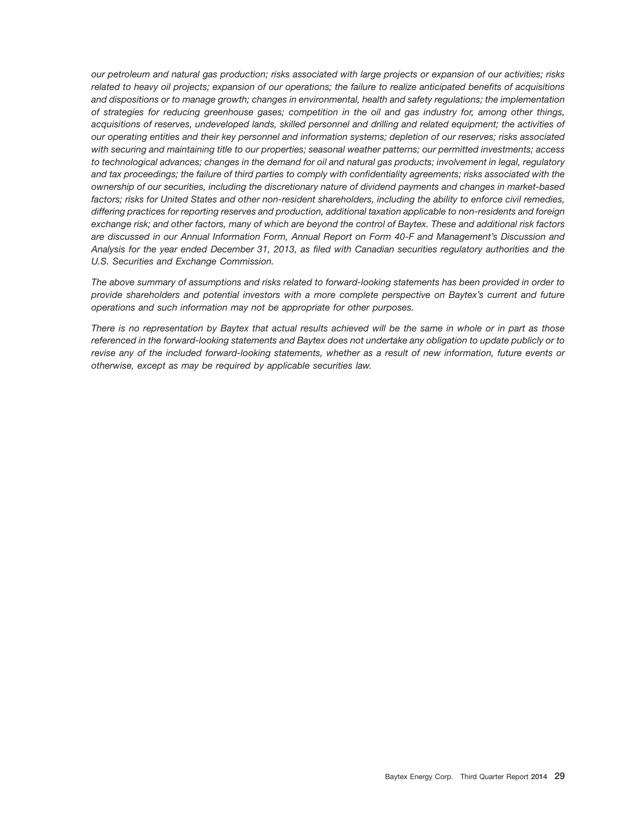*our petroleum and natural gas production; risks associated with large projects or expansion of our activities; risks related to heavy oil projects; expansion of our operations; the failure to realize anticipated benefits of acquisitions and dispositions or to manage growth; changes in environmental, health and safety regulations; the implementation of strategies for reducing greenhouse gases; competition in the oil and gas industry for, among other things, acquisitions of reserves, undeveloped lands, skilled personnel and drilling and related equipment; the activities of our operating entities and their key personnel and information systems; depletion of our reserves; risks associated with securing and maintaining title to our properties; seasonal weather patterns; our permitted investments; access to technological advances; changes in the demand for oil and natural gas products; involvement in legal, regulatory and tax proceedings; the failure of third parties to comply with confidentiality agreements; risks associated with the ownership of our securities, including the discretionary nature of dividend payments and changes in market-based factors; risks for United States and other non-resident shareholders, including the ability to enforce civil remedies, differing practices for reporting reserves and production, additional taxation applicable to non-residents and foreign exchange risk; and other factors, many of which are beyond the control of Baytex. These and additional risk factors are discussed in our Annual Information Form, Annual Report on Form 40-F and Management's Discussion and Analysis for the year ended December 31, 2013, as filed with Canadian securities regulatory authorities and the U.S. Securities and Exchange Commission.*

*The above summary of assumptions and risks related to forward-looking statements has been provided in order to provide shareholders and potential investors with a more complete perspective on Baytex's current and future operations and such information may not be appropriate for other purposes.*

*There is no representation by Baytex that actual results achieved will be the same in whole or in part as those referenced in the forward-looking statements and Baytex does not undertake any obligation to update publicly or to revise any of the included forward-looking statements, whether as a result of new information, future events or otherwise, except as may be required by applicable securities law.*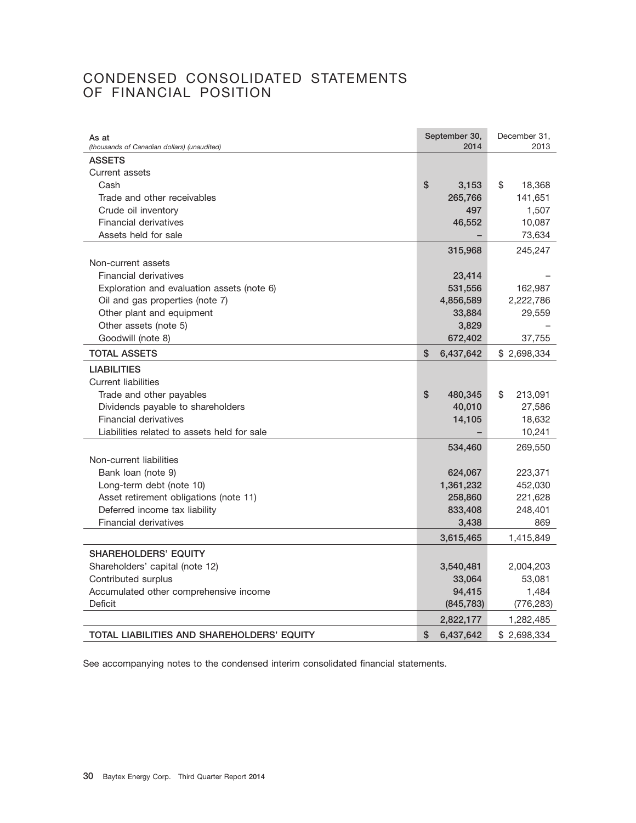# CONDENSED CONSOLIDATED STATEMENTS OF FINANCIAL POSITION

| As at<br>(thousands of Canadian dollars) (unaudited) | September 30,<br>2014 | December 31,<br>2013 |
|------------------------------------------------------|-----------------------|----------------------|
| <b>ASSETS</b>                                        |                       |                      |
| Current assets                                       |                       |                      |
| Cash                                                 | \$<br>3,153           | \$<br>18,368         |
| Trade and other receivables                          | 265,766               | 141,651              |
| Crude oil inventory                                  | 497                   | 1,507                |
| <b>Financial derivatives</b>                         | 46,552                | 10,087               |
| Assets held for sale                                 |                       | 73,634               |
|                                                      | 315,968               | 245,247              |
| Non-current assets                                   |                       |                      |
| <b>Financial derivatives</b>                         | 23,414                |                      |
| Exploration and evaluation assets (note 6)           | 531,556               | 162,987              |
| Oil and gas properties (note 7)                      | 4,856,589             | 2,222,786            |
| Other plant and equipment                            | 33,884                | 29,559               |
| Other assets (note 5)                                | 3,829                 |                      |
| Goodwill (note 8)                                    | 672,402               | 37,755               |
| <b>TOTAL ASSETS</b>                                  | \$<br>6,437,642       | \$2,698,334          |
| <b>LIABILITIES</b>                                   |                       |                      |
| <b>Current liabilities</b>                           |                       |                      |
| Trade and other payables                             | \$<br>480,345         | \$<br>213,091        |
| Dividends payable to shareholders                    | 40,010                | 27,586               |
| Financial derivatives                                | 14,105                | 18,632               |
| Liabilities related to assets held for sale          |                       | 10,241               |
|                                                      | 534,460               | 269,550              |
| Non-current liabilities                              |                       |                      |
| Bank loan (note 9)                                   | 624,067               | 223,371              |
| Long-term debt (note 10)                             | 1,361,232             | 452,030              |
| Asset retirement obligations (note 11)               | 258,860               | 221,628              |
| Deferred income tax liability                        | 833,408               | 248,401              |
| Financial derivatives                                | 3,438                 | 869                  |
|                                                      | 3,615,465             | 1,415,849            |
| <b>SHAREHOLDERS' EQUITY</b>                          |                       |                      |
| Shareholders' capital (note 12)                      | 3,540,481             | 2,004,203            |
| Contributed surplus                                  | 33,064                | 53,081               |
| Accumulated other comprehensive income               | 94,415                | 1,484                |
| Deficit                                              | (845, 783)            | (776, 283)           |
|                                                      | 2,822,177             | 1,282,485            |
| TOTAL LIABILITIES AND SHAREHOLDERS' EQUITY           | \$<br>6,437,642       | \$2,698,334          |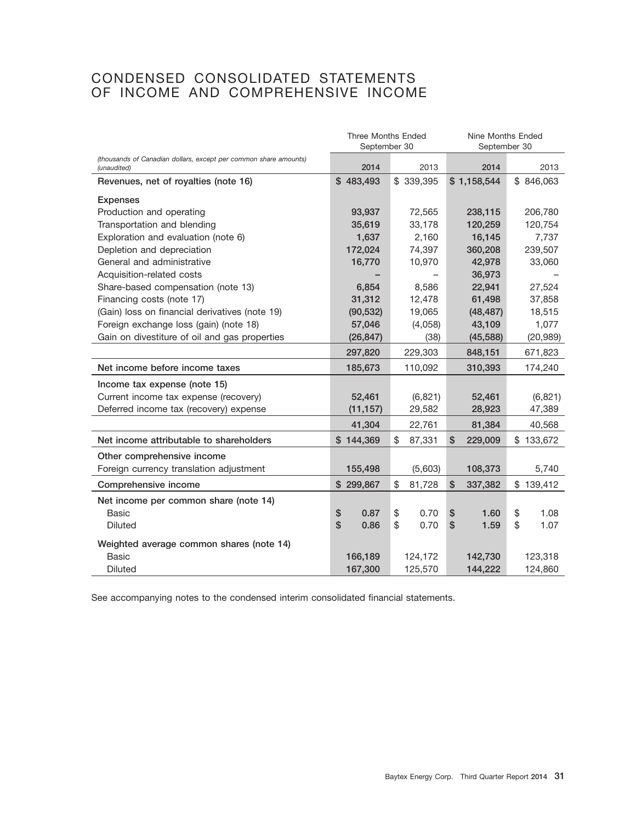# CONDENSED CONSOLIDATED STATEMENTS OF INCOME AND COMPREHENSIVE INCOME

|                                                                  | <b>Three Months Ended</b><br>September 30 |              | Nine Months Ended<br>September 30 |            |  |  |
|------------------------------------------------------------------|-------------------------------------------|--------------|-----------------------------------|------------|--|--|
| (thousands of Canadian dollars, except per common share amounts) |                                           |              |                                   |            |  |  |
| (unaudited)                                                      | 2014                                      | 2013         | 2014                              | 2013       |  |  |
| Revenues, net of royalties (note 16)                             | \$483,493                                 | \$339,395    | \$1,158,544                       | \$846,063  |  |  |
| <b>Expenses</b>                                                  |                                           |              |                                   |            |  |  |
| Production and operating                                         | 93,937                                    | 72,565       | 238,115                           | 206,780    |  |  |
| Transportation and blending                                      | 35,619                                    | 33,178       | 120,259                           | 120,754    |  |  |
| Exploration and evaluation (note 6)                              | 1,637                                     | 2,160        | 16,145                            | 7,737      |  |  |
| Depletion and depreciation                                       | 172,024                                   | 74,397       | 360,208                           | 239,507    |  |  |
| General and administrative                                       | 16,770                                    | 10,970       | 42,978                            | 33,060     |  |  |
| Acquisition-related costs                                        |                                           |              | 36,973                            |            |  |  |
| Share-based compensation (note 13)                               | 6,854                                     | 8,586        | 22,941                            | 27,524     |  |  |
| Financing costs (note 17)                                        | 31,312                                    | 12,478       | 61,498                            | 37,858     |  |  |
| (Gain) loss on financial derivatives (note 19)                   | (90, 532)                                 | 19,065       | (48, 487)                         | 18,515     |  |  |
| Foreign exchange loss (gain) (note 18)                           | 57,046                                    | (4,058)      | 43,109                            | 1,077      |  |  |
| Gain on divestiture of oil and gas properties                    | (26, 847)                                 | (38)         | (45, 588)                         | (20, 989)  |  |  |
|                                                                  | 297,820                                   | 229,303      | 848,151                           | 671,823    |  |  |
| Net income before income taxes                                   | 185,673                                   | 110,092      | 310,393                           | 174,240    |  |  |
| Income tax expense (note 15)                                     |                                           |              |                                   |            |  |  |
| Current income tax expense (recovery)                            | 52,461                                    | (6, 821)     | 52,461                            | (6, 821)   |  |  |
| Deferred income tax (recovery) expense                           | (11, 157)                                 | 29,582       | 28,923                            | 47,389     |  |  |
|                                                                  | 41,304                                    | 22,761       | 81,384                            | 40,568     |  |  |
| Net income attributable to shareholders                          | \$144,369                                 | \$<br>87,331 | \$<br>229,009                     | \$133,672  |  |  |
| Other comprehensive income                                       |                                           |              |                                   |            |  |  |
| Foreign currency translation adjustment                          | 155,498                                   | (5,603)      | 108,373                           | 5,740      |  |  |
| Comprehensive income                                             | \$299,867                                 | \$<br>81,728 | \$<br>337,382                     | \$139,412  |  |  |
| Net income per common share (note 14)                            |                                           |              |                                   |            |  |  |
| <b>Basic</b>                                                     | \$<br>0.87                                | \$<br>0.70   | \$<br>1.60                        | \$<br>1.08 |  |  |
| <b>Diluted</b>                                                   | \$<br>0.86                                | \$<br>0.70   | \$<br>1.59                        | \$<br>1.07 |  |  |
| Weighted average common shares (note 14)                         |                                           |              |                                   |            |  |  |
| <b>Basic</b>                                                     | 166,189                                   | 124,172      | 142,730                           | 123,318    |  |  |
| <b>Diluted</b>                                                   | 167,300                                   | 125,570      | 144,222                           | 124,860    |  |  |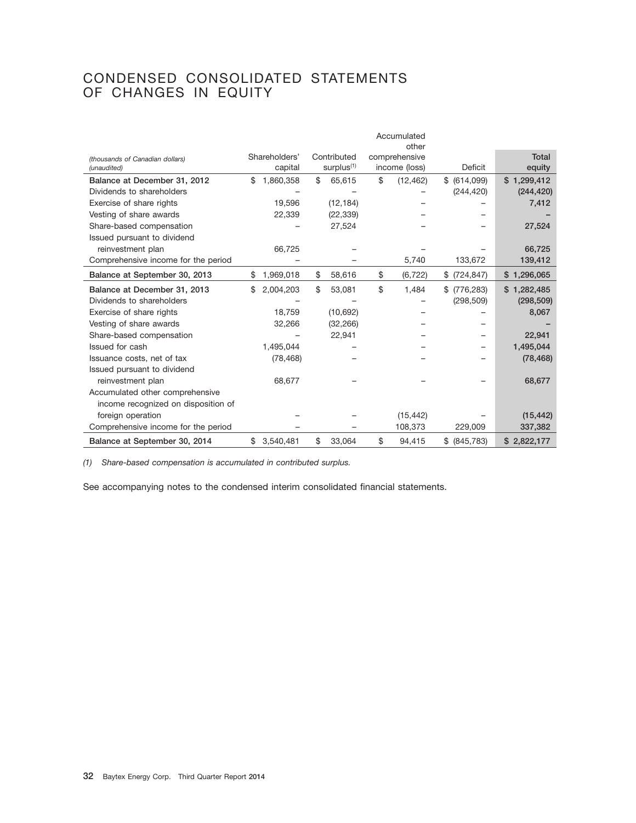# CONDENSED CONSOLIDATED STATEMENTS OF CHANGES IN EQUITY

|                                     | Accumulated |               |    |                        |    |               |                  |              |  |
|-------------------------------------|-------------|---------------|----|------------------------|----|---------------|------------------|--------------|--|
|                                     |             |               |    |                        |    | other         |                  |              |  |
| (thousands of Canadian dollars)     |             | Shareholders' |    | Contributed            |    | comprehensive |                  | <b>Total</b> |  |
| (unaudited)                         |             | capital       |    | surplus <sup>(1)</sup> |    | income (loss) | <b>Deficit</b>   | equity       |  |
| Balance at December 31, 2012        | \$          | 1,860,358     | \$ | 65,615                 | \$ | (12, 462)     | (614,099)<br>\$  | \$1,299,412  |  |
| Dividends to shareholders           |             |               |    |                        |    |               | (244, 420)       | (244, 420)   |  |
| Exercise of share rights            |             | 19,596        |    | (12, 184)              |    |               |                  | 7,412        |  |
| Vesting of share awards             |             | 22,339        |    | (22, 339)              |    |               |                  |              |  |
| Share-based compensation            |             |               |    | 27,524                 |    |               |                  | 27,524       |  |
| Issued pursuant to dividend         |             |               |    |                        |    |               |                  |              |  |
| reinvestment plan                   |             | 66,725        |    |                        |    |               |                  | 66,725       |  |
| Comprehensive income for the period |             |               |    |                        |    | 5,740         | 133,672          | 139,412      |  |
| Balance at September 30, 2013       | \$          | 1,969,018     | \$ | 58,616                 | \$ | (6, 722)      | \$<br>(724, 847) | \$1,296,065  |  |
| Balance at December 31, 2013        | \$          | 2,004,203     | \$ | 53,081                 | \$ | 1,484         | (776, 283)<br>\$ | \$1,282,485  |  |
| Dividends to shareholders           |             |               |    |                        |    |               | (298, 509)       | (298, 509)   |  |
| Exercise of share rights            |             | 18.759        |    | (10,692)               |    |               |                  | 8,067        |  |
| Vesting of share awards             |             | 32,266        |    | (32, 266)              |    |               |                  |              |  |
| Share-based compensation            |             |               |    | 22,941                 |    |               |                  | 22,941       |  |
| Issued for cash                     |             | 1,495,044     |    |                        |    |               |                  | 1,495,044    |  |
| Issuance costs, net of tax          |             | (78, 468)     |    |                        |    |               |                  | (78, 468)    |  |
| Issued pursuant to dividend         |             |               |    |                        |    |               |                  |              |  |
| reinvestment plan                   |             | 68,677        |    |                        |    |               |                  | 68,677       |  |
| Accumulated other comprehensive     |             |               |    |                        |    |               |                  |              |  |
| income recognized on disposition of |             |               |    |                        |    |               |                  |              |  |
| foreign operation                   |             |               |    |                        |    | (15, 442)     |                  | (15, 442)    |  |
| Comprehensive income for the period |             |               |    |                        |    | 108,373       | 229,009          | 337,382      |  |
| Balance at September 30, 2014       | \$          | 3,540,481     | \$ | 33,064                 | \$ | 94,415        | (845, 783)<br>\$ | \$2,822,177  |  |

*(1) Share-based compensation is accumulated in contributed surplus.*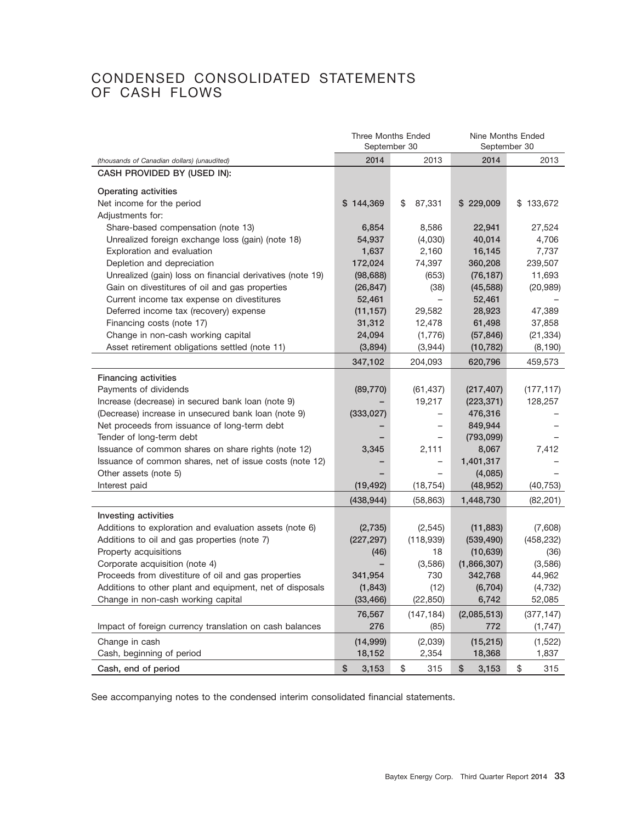# CONDENSED CONSOLIDATED STATEMENTS OF CASH FLOWS

|                                                           | September 30 | <b>Three Months Ended</b> | Nine Months Ended<br>September 30 |            |  |  |
|-----------------------------------------------------------|--------------|---------------------------|-----------------------------------|------------|--|--|
| (thousands of Canadian dollars) (unaudited)               | 2014         | 2013                      | 2014                              | 2013       |  |  |
| CASH PROVIDED BY (USED IN):                               |              |                           |                                   |            |  |  |
| <b>Operating activities</b>                               |              |                           |                                   |            |  |  |
| Net income for the period                                 | \$144,369    | \$<br>87,331              | \$229,009                         | \$133,672  |  |  |
| Adjustments for:                                          |              |                           |                                   |            |  |  |
| Share-based compensation (note 13)                        | 6,854        | 8,586                     | 22,941                            | 27,524     |  |  |
| Unrealized foreign exchange loss (gain) (note 18)         | 54,937       | (4,030)                   | 40,014                            | 4,706      |  |  |
| Exploration and evaluation                                | 1,637        | 2,160                     | 16,145                            | 7,737      |  |  |
| Depletion and depreciation                                | 172,024      | 74,397                    | 360,208                           | 239,507    |  |  |
| Unrealized (gain) loss on financial derivatives (note 19) | (98, 688)    | (653)                     | (76, 187)                         | 11,693     |  |  |
| Gain on divestitures of oil and gas properties            | (26, 847)    | (38)                      | (45, 588)                         | (20, 989)  |  |  |
| Current income tax expense on divestitures                | 52,461       |                           | 52,461                            |            |  |  |
| Deferred income tax (recovery) expense                    | (11, 157)    | 29,582                    | 28,923                            | 47,389     |  |  |
| Financing costs (note 17)                                 | 31,312       | 12,478                    | 61,498                            | 37,858     |  |  |
| Change in non-cash working capital                        | 24,094       | (1,776)                   | (57, 846)                         | (21, 334)  |  |  |
| Asset retirement obligations settled (note 11)            | (3,894)      | (3,944)                   | (10, 782)                         | (8, 190)   |  |  |
|                                                           | 347,102      | 204,093                   | 620,796                           | 459,573    |  |  |
| <b>Financing activities</b>                               |              |                           |                                   |            |  |  |
| Payments of dividends                                     | (89, 770)    | (61, 437)                 | (217, 407)                        | (177, 117) |  |  |
| Increase (decrease) in secured bank loan (note 9)         |              | 19,217                    | (223, 371)                        | 128,257    |  |  |
| (Decrease) increase in unsecured bank loan (note 9)       | (333, 027)   |                           | 476,316                           |            |  |  |
| Net proceeds from issuance of long-term debt              |              | $\overline{\phantom{0}}$  | 849,944                           |            |  |  |
| Tender of long-term debt                                  |              |                           | (793,099)                         |            |  |  |
| Issuance of common shares on share rights (note 12)       | 3,345        | 2,111                     | 8,067                             | 7,412      |  |  |
| Issuance of common shares, net of issue costs (note 12)   |              |                           | 1,401,317                         |            |  |  |
| Other assets (note 5)                                     |              |                           | (4,085)                           |            |  |  |
| Interest paid                                             | (19, 492)    | (18, 754)                 | (48, 952)                         | (40, 753)  |  |  |
|                                                           | (438, 944)   | (58, 863)                 | 1,448,730                         | (82, 201)  |  |  |
| Investing activities                                      |              |                           |                                   |            |  |  |
| Additions to exploration and evaluation assets (note 6)   | (2,735)      | (2, 545)                  | (11, 883)                         | (7,608)    |  |  |
| Additions to oil and gas properties (note 7)              | (227, 297)   | (118,939)                 | (539, 490)                        | (458, 232) |  |  |
| Property acquisitions                                     | (46)         | 18                        | (10, 639)                         | (36)       |  |  |
| Corporate acquisition (note 4)                            |              | (3,586)                   | (1,866,307)                       | (3,586)    |  |  |
| Proceeds from divestiture of oil and gas properties       | 341,954      | 730                       | 342,768                           | 44,962     |  |  |
| Additions to other plant and equipment, net of disposals  | (1, 843)     | (12)                      | (6,704)                           | (4, 732)   |  |  |
| Change in non-cash working capital                        | (33, 466)    | (22, 850)                 | 6,742                             | 52,085     |  |  |
|                                                           | 76,567       | (147, 184)                | (2,085,513)                       | (377, 147) |  |  |
| Impact of foreign currency translation on cash balances   | 276          | (85)                      | 772                               | (1,747)    |  |  |
| Change in cash                                            | (14,999)     | (2,039)                   | (15, 215)                         | (1,522)    |  |  |
| Cash, beginning of period                                 | 18,152       | 2,354                     | 18,368                            | 1,837      |  |  |
| Cash, end of period                                       | \$<br>3,153  | \$<br>315                 | \$<br>3,153                       | \$<br>315  |  |  |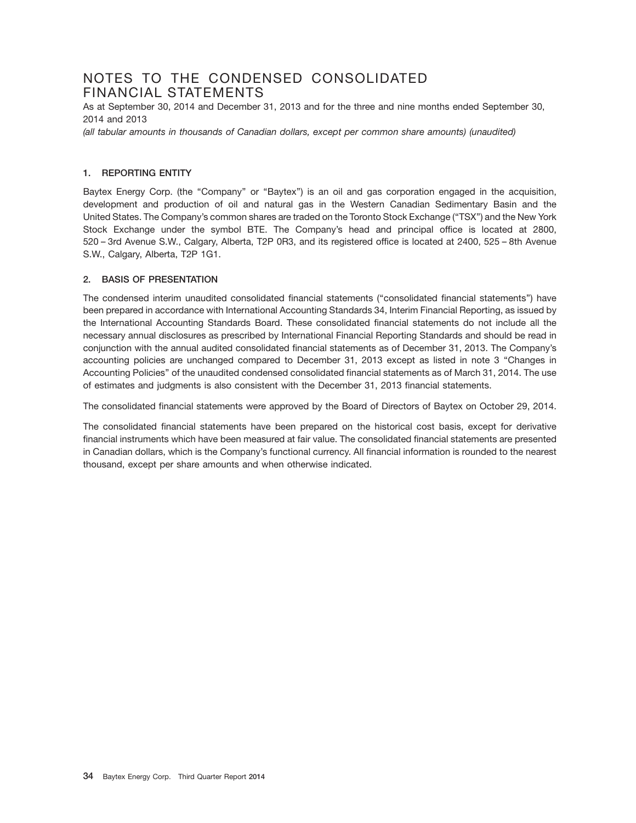# NOTES TO THE CONDENSED CONSOLIDATED FINANCIAL STATEMENTS

As at September 30, 2014 and December 31, 2013 and for the three and nine months ended September 30, 2014 and 2013

*(all tabular amounts in thousands of Canadian dollars, except per common share amounts) (unaudited)*

### **1. REPORTING ENTITY**

Baytex Energy Corp. (the "Company" or "Baytex") is an oil and gas corporation engaged in the acquisition, development and production of oil and natural gas in the Western Canadian Sedimentary Basin and the United States. The Company's common shares are traded on the Toronto Stock Exchange (''TSX'') and the New York Stock Exchange under the symbol BTE. The Company's head and principal office is located at 2800, 520 – 3rd Avenue S.W., Calgary, Alberta, T2P 0R3, and its registered office is located at 2400, 525 – 8th Avenue S.W., Calgary, Alberta, T2P 1G1.

### **2. BASIS OF PRESENTATION**

The condensed interim unaudited consolidated financial statements (''consolidated financial statements'') have been prepared in accordance with International Accounting Standards 34, Interim Financial Reporting, as issued by the International Accounting Standards Board. These consolidated financial statements do not include all the necessary annual disclosures as prescribed by International Financial Reporting Standards and should be read in conjunction with the annual audited consolidated financial statements as of December 31, 2013. The Company's accounting policies are unchanged compared to December 31, 2013 except as listed in note 3 ''Changes in Accounting Policies'' of the unaudited condensed consolidated financial statements as of March 31, 2014. The use of estimates and judgments is also consistent with the December 31, 2013 financial statements.

The consolidated financial statements were approved by the Board of Directors of Baytex on October 29, 2014.

The consolidated financial statements have been prepared on the historical cost basis, except for derivative financial instruments which have been measured at fair value. The consolidated financial statements are presented in Canadian dollars, which is the Company's functional currency. All financial information is rounded to the nearest thousand, except per share amounts and when otherwise indicated.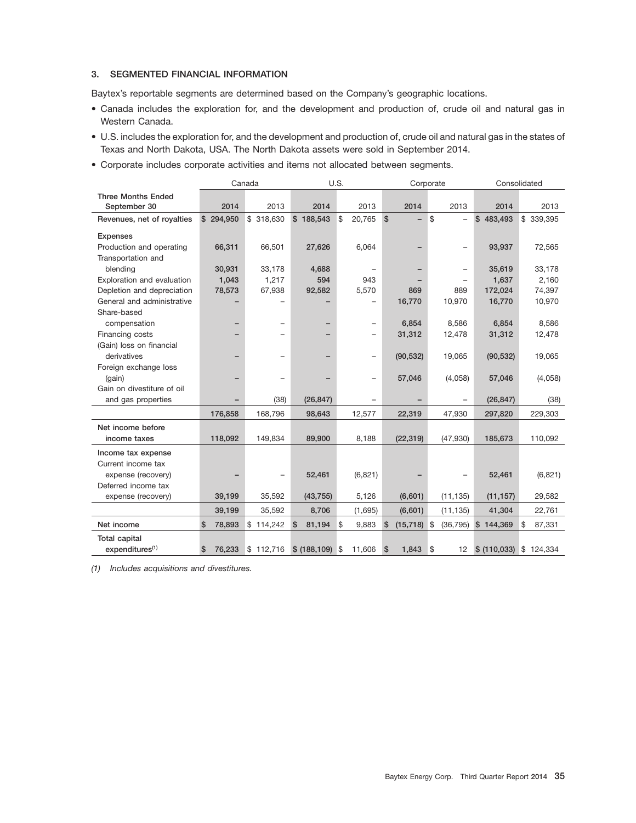#### **3. SEGMENTED FINANCIAL INFORMATION**

Baytex's reportable segments are determined based on the Company's geographic locations.

- Canada includes the exploration for, and the development and production of, crude oil and natural gas in Western Canada.
- U.S. includes the exploration for, and the development and production of, crude oil and natural gas in the states of Texas and North Dakota, USA. The North Dakota assets were sold in September 2014.
- Corporate includes corporate activities and items not allocated between segments.

|                             |              | Canada     | U.S.         |    |                          | Corporate          |               |    |                          | Consolidated            |                         |  |
|-----------------------------|--------------|------------|--------------|----|--------------------------|--------------------|---------------|----|--------------------------|-------------------------|-------------------------|--|
| <b>Three Months Ended</b>   |              |            |              |    |                          |                    |               |    |                          |                         |                         |  |
| September 30                | 2014         | 2013       | 2014         |    | 2013                     |                    | 2014          |    | 2013                     | 2014                    | 2013                    |  |
| Revenues, net of royalties  | \$294,950    | \$ 318,630 | \$188,543    | \$ | 20,765                   | \$                 |               | \$ | $\overline{\phantom{0}}$ | \$483,493               | \$339,395               |  |
| <b>Expenses</b>             |              |            |              |    |                          |                    |               |    |                          |                         |                         |  |
| Production and operating    | 66,311       | 66,501     | 27,626       |    | 6,064                    |                    |               |    |                          | 93,937                  | 72,565                  |  |
| Transportation and          |              |            |              |    |                          |                    |               |    |                          |                         |                         |  |
| blending                    | 30,931       | 33,178     | 4,688        |    |                          |                    |               |    |                          | 35,619                  | 33,178                  |  |
| Exploration and evaluation  | 1,043        | 1,217      | 594          |    | 943                      |                    |               |    |                          | 1,637                   | 2,160                   |  |
| Depletion and depreciation  | 78,573       | 67,938     | 92,582       |    | 5,570                    |                    | 869           |    | 889                      | 172,024                 | 74,397                  |  |
| General and administrative  |              |            |              |    | $\overline{\phantom{m}}$ |                    | 16,770        |    | 10,970                   | 16,770                  | 10,970                  |  |
| Share-based                 |              |            |              |    |                          |                    |               |    |                          |                         |                         |  |
| compensation                |              |            |              |    |                          |                    | 6,854         |    | 8,586                    | 6,854                   | 8,586                   |  |
| Financing costs             |              |            |              |    | $\overline{\phantom{0}}$ |                    | 31,312        |    | 12,478                   | 31,312                  | 12,478                  |  |
| (Gain) loss on financial    |              |            |              |    |                          |                    |               |    |                          |                         |                         |  |
| derivatives                 |              |            |              |    | $\overline{\phantom{0}}$ |                    | (90, 532)     |    | 19,065                   | (90, 532)               | 19,065                  |  |
| Foreign exchange loss       |              |            |              |    |                          |                    |               |    |                          |                         |                         |  |
| (gain)                      |              |            |              |    | $\overline{\phantom{m}}$ |                    | 57,046        |    | (4,058)                  | 57,046                  | (4,058)                 |  |
| Gain on divestiture of oil  |              |            |              |    |                          |                    |               |    |                          |                         |                         |  |
| and gas properties          |              | (38)       | (26, 847)    |    |                          |                    |               |    |                          | (26, 847)               | (38)                    |  |
|                             | 176,858      | 168,796    | 98,643       |    | 12,577                   |                    | 22,319        |    | 47,930                   | 297,820                 | 229,303                 |  |
| Net income before           |              |            |              |    |                          |                    |               |    |                          |                         |                         |  |
| income taxes                | 118,092      | 149,834    | 89,900       |    | 8,188                    |                    | (22, 319)     |    | (47,930)                 | 185,673                 | 110,092                 |  |
| Income tax expense          |              |            |              |    |                          |                    |               |    |                          |                         |                         |  |
| Current income tax          |              |            |              |    |                          |                    |               |    |                          |                         |                         |  |
| expense (recovery)          |              |            | 52,461       |    | (6,821)                  |                    |               |    |                          | 52,461                  | (6,821)                 |  |
| Deferred income tax         |              |            |              |    |                          |                    |               |    |                          |                         |                         |  |
| expense (recovery)          | 39,199       | 35,592     | (43, 755)    |    | 5,126                    |                    | (6,601)       |    | (11, 135)                | (11, 157)               | 29,582                  |  |
|                             | 39,199       | 35,592     | 8,706        |    | (1,695)                  |                    | (6,601)       |    | (11, 135)                | 41,304                  | 22,761                  |  |
| Net income                  | \$<br>78,893 | \$114,242  | \$<br>81,194 | \$ | 9,883                    | \$                 | $(15,718)$ \$ |    | (36, 795)                | \$144,369               | 87,331<br>$\frac{3}{2}$ |  |
| <b>Total capital</b>        |              |            |              |    |                          |                    |               |    |                          |                         |                         |  |
| expenditures <sup>(1)</sup> | \$<br>76,233 | \$112,716  | \$(188, 109) | \$ | 11.606                   | $\mathbf{\hat{s}}$ | 1,843         | \$ | 12                       | \$ (110,033) \$ 124,334 |                         |  |

*(1) Includes acquisitions and divestitures.*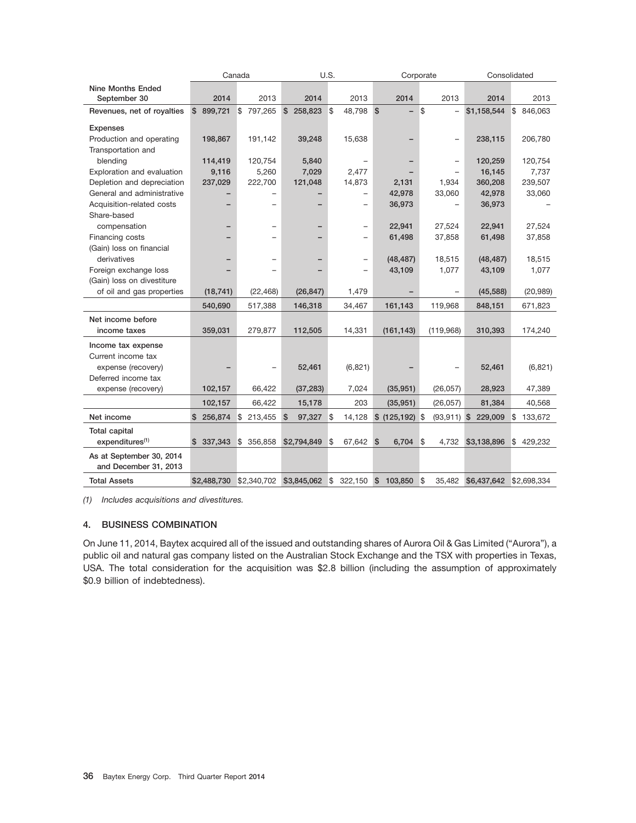|                             |                        | Canada        |               | U.S.                     |                   | Corporate                                 | Consolidated  |               |
|-----------------------------|------------------------|---------------|---------------|--------------------------|-------------------|-------------------------------------------|---------------|---------------|
| <b>Nine Months Ended</b>    |                        |               |               |                          |                   |                                           |               |               |
| September 30                | 2014                   | 2013          | 2014          | 2013                     | 2014              | 2013                                      | 2014          | 2013          |
| Revenues, net of royalties  | $$^{\circ}$<br>899,721 | \$<br>797,265 | 258,823<br>\$ | S.<br>48,798             | $\mathbf{s}$      | $\mathbf{\$}$<br>$\overline{\phantom{0}}$ | \$1,158,544   | \$ 846,063    |
| <b>Expenses</b>             |                        |               |               |                          |                   |                                           |               |               |
| Production and operating    | 198,867                | 191,142       | 39,248        | 15,638                   |                   |                                           | 238,115       | 206,780       |
| Transportation and          |                        |               |               |                          |                   |                                           |               |               |
| blending                    | 114,419                | 120,754       | 5,840         |                          |                   | $\overline{\phantom{0}}$                  | 120,259       | 120,754       |
| Exploration and evaluation  | 9,116                  | 5,260         | 7,029         | 2,477                    |                   | -                                         | 16,145        | 7,737         |
| Depletion and depreciation  | 237,029                | 222,700       | 121,048       | 14,873                   | 2,131             | 1,934                                     | 360,208       | 239,507       |
| General and administrative  |                        |               |               | -                        | 42,978            | 33,060                                    | 42,978        | 33,060        |
| Acquisition-related costs   |                        |               |               | $\overline{\phantom{0}}$ | 36,973            |                                           | 36,973        |               |
| Share-based                 |                        |               |               |                          |                   |                                           |               |               |
| compensation                |                        |               |               | —                        | 22,941            | 27,524                                    | 22,941        | 27,524        |
| Financing costs             |                        |               |               |                          | 61,498            | 37,858                                    | 61,498        | 37,858        |
| (Gain) loss on financial    |                        |               |               |                          |                   |                                           |               |               |
| derivatives                 |                        |               |               | $\overline{\phantom{0}}$ | (48, 487)         | 18,515                                    | (48, 487)     | 18,515        |
| Foreign exchange loss       |                        |               |               |                          | 43,109            | 1,077                                     | 43,109        | 1,077         |
| (Gain) loss on divestiture  |                        |               |               |                          |                   |                                           |               |               |
| of oil and gas properties   | (18, 741)              | (22, 468)     | (26, 847)     | 1,479                    |                   |                                           | (45, 588)     | (20, 989)     |
|                             | 540,690                | 517,388       | 146,318       | 34,467                   | 161,143           | 119,968                                   | 848,151       | 671,823       |
| Net income before           |                        |               |               |                          |                   |                                           |               |               |
| income taxes                | 359,031                | 279,877       | 112,505       | 14,331                   | (161, 143)        | (119,968)                                 | 310,393       | 174,240       |
| Income tax expense          |                        |               |               |                          |                   |                                           |               |               |
| Current income tax          |                        |               |               |                          |                   |                                           |               |               |
| expense (recovery)          |                        |               | 52,461        | (6, 821)                 |                   |                                           | 52,461        | (6,821)       |
| Deferred income tax         |                        |               |               |                          |                   |                                           |               |               |
| expense (recovery)          | 102,157                | 66,422        | (37, 283)     | 7,024                    | (35, 951)         | (26, 057)                                 | 28,923        | 47,389        |
|                             | 102,157                | 66,422        | 15,178        | 203                      | (35, 951)         | (26, 057)                                 | 81,384        | 40,568        |
| Net income                  | \$<br>256,874          | \$<br>213,455 | \$<br>97,327  | \$<br>14,128             | $$$ (125,192) $$$ | (93, 911)                                 | \$<br>229,009 | \$<br>133,672 |
| <b>Total capital</b>        |                        |               |               |                          |                   |                                           |               |               |
| expenditures <sup>(1)</sup> | \$337,343              | \$ 356,858    | \$2,794,849   | \$<br>67,642             | \$<br>6,704       | \$<br>4,732                               | \$3,138,896   | 429,232<br>\$ |
| As at September 30, 2014    |                        |               |               |                          |                   |                                           |               |               |
| and December 31, 2013       |                        |               |               |                          |                   |                                           |               |               |
| <b>Total Assets</b>         | \$2,488,730            | \$2,340,702   | \$3,845,062   | $\sqrt{3}$<br>322,150    | 103,850<br>\$     | \$<br>35,482                              | \$6,437,642   | \$2,698,334   |

*(1) Includes acquisitions and divestitures.*

#### **4. BUSINESS COMBINATION**

On June 11, 2014, Baytex acquired all of the issued and outstanding shares of Aurora Oil & Gas Limited (''Aurora''), a public oil and natural gas company listed on the Australian Stock Exchange and the TSX with properties in Texas, USA. The total consideration for the acquisition was \$2.8 billion (including the assumption of approximately \$0.9 billion of indebtedness).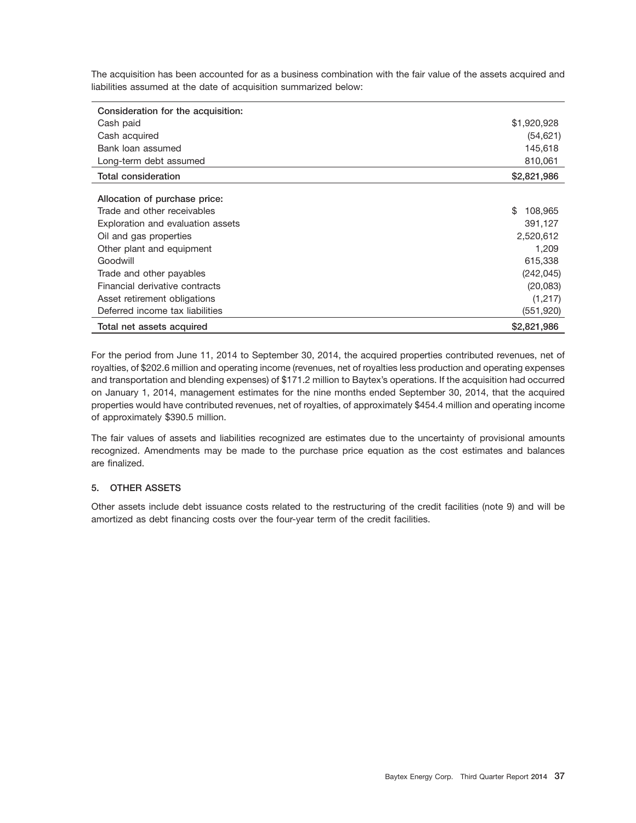The acquisition has been accounted for as a business combination with the fair value of the assets acquired and liabilities assumed at the date of acquisition summarized below:

| Consideration for the acquisition: |               |
|------------------------------------|---------------|
| Cash paid                          | \$1,920,928   |
| Cash acquired                      | (54, 621)     |
| Bank loan assumed                  | 145,618       |
| Long-term debt assumed             | 810,061       |
| <b>Total consideration</b>         | \$2,821,986   |
|                                    |               |
| Allocation of purchase price:      |               |
| Trade and other receivables        | \$<br>108,965 |
| Exploration and evaluation assets  | 391,127       |
| Oil and gas properties             | 2,520,612     |
| Other plant and equipment          | 1,209         |
| Goodwill                           | 615,338       |
| Trade and other payables           | (242, 045)    |
| Financial derivative contracts     | (20,083)      |
| Asset retirement obligations       | (1,217)       |
| Deferred income tax liabilities    | (551, 920)    |
| Total net assets acquired          | \$2,821,986   |

For the period from June 11, 2014 to September 30, 2014, the acquired properties contributed revenues, net of royalties, of \$202.6 million and operating income (revenues, net of royalties less production and operating expenses and transportation and blending expenses) of \$171.2 million to Baytex's operations. If the acquisition had occurred on January 1, 2014, management estimates for the nine months ended September 30, 2014, that the acquired properties would have contributed revenues, net of royalties, of approximately \$454.4 million and operating income of approximately \$390.5 million.

The fair values of assets and liabilities recognized are estimates due to the uncertainty of provisional amounts recognized. Amendments may be made to the purchase price equation as the cost estimates and balances are finalized.

#### **5. OTHER ASSETS**

Other assets include debt issuance costs related to the restructuring of the credit facilities (note 9) and will be amortized as debt financing costs over the four-year term of the credit facilities.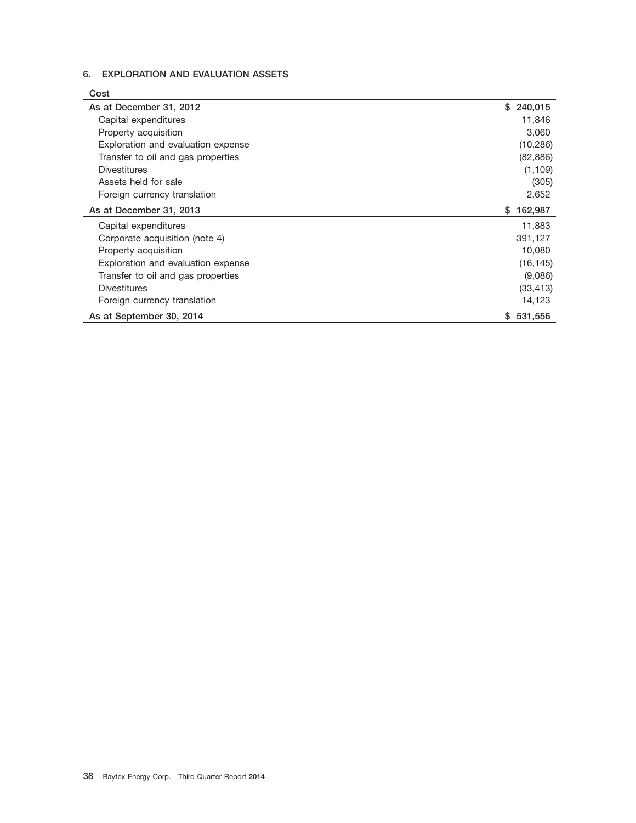## **6. EXPLORATION AND EVALUATION ASSETS**

| Cost                               |               |
|------------------------------------|---------------|
| As at December 31, 2012            | \$<br>240,015 |
| Capital expenditures               | 11,846        |
| Property acquisition               | 3,060         |
| Exploration and evaluation expense | (10, 286)     |
| Transfer to oil and gas properties | (82, 886)     |
| <b>Divestitures</b>                | (1, 109)      |
| Assets held for sale               | (305)         |
| Foreign currency translation       | 2,652         |
| As at December 31, 2013            | 162,987<br>S  |
| Capital expenditures               | 11.883        |
| Corporate acquisition (note 4)     | 391,127       |
| Property acquisition               | 10,080        |
| Exploration and evaluation expense | (16, 145)     |
| Transfer to oil and gas properties | (9,086)       |
| <b>Divestitures</b>                | (33, 413)     |
| Foreign currency translation       | 14,123        |
| As at September 30, 2014           | \$ 531,556    |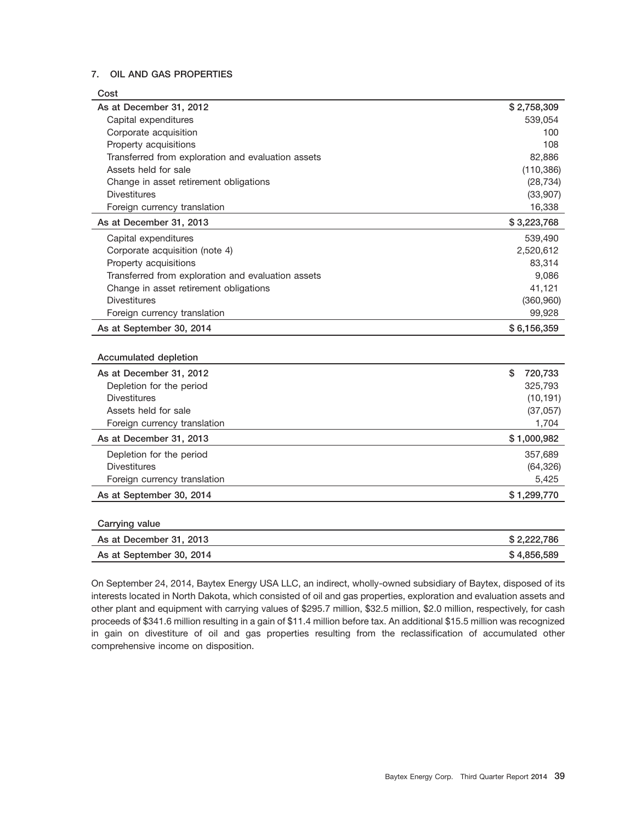## **7. OIL AND GAS PROPERTIES**

| Cost                                               |               |
|----------------------------------------------------|---------------|
| As at December 31, 2012                            | \$2,758,309   |
| Capital expenditures                               | 539,054       |
| Corporate acquisition                              | 100           |
| Property acquisitions                              | 108           |
| Transferred from exploration and evaluation assets | 82,886        |
| Assets held for sale                               | (110, 386)    |
| Change in asset retirement obligations             | (28, 734)     |
| <b>Divestitures</b>                                | (33,907)      |
| Foreign currency translation                       | 16,338        |
| As at December 31, 2013                            | \$3,223,768   |
| Capital expenditures                               | 539,490       |
| Corporate acquisition (note 4)                     | 2,520,612     |
| Property acquisitions                              | 83,314        |
| Transferred from exploration and evaluation assets | 9,086         |
| Change in asset retirement obligations             | 41,121        |
| <b>Divestitures</b>                                | (360, 960)    |
| Foreign currency translation                       | 99,928        |
| As at September 30, 2014                           | \$6,156,359   |
|                                                    |               |
| Accumulated depletion                              |               |
| As at December 31, 2012                            | \$<br>720,733 |
| Depletion for the period                           | 325,793       |
| <b>Divestitures</b>                                | (10, 191)     |
| Assets held for sale                               | (37,057)      |
| Foreign currency translation                       | 1,704         |
| As at December 31, 2013                            | \$1,000,982   |
| Depletion for the period                           | 357,689       |
| <b>Divestitures</b>                                | (64, 326)     |
| Foreign currency translation                       | 5,425         |
| As at September 30, 2014                           | \$1,299,770   |
|                                                    |               |
| Carrying value                                     |               |
| As at December 31, 2013                            | \$2,222,786   |
| As at September 30, 2014                           | \$4,856,589   |

On September 24, 2014, Baytex Energy USA LLC, an indirect, wholly-owned subsidiary of Baytex, disposed of its interests located in North Dakota, which consisted of oil and gas properties, exploration and evaluation assets and other plant and equipment with carrying values of \$295.7 million, \$32.5 million, \$2.0 million, respectively, for cash proceeds of \$341.6 million resulting in a gain of \$11.4 million before tax. An additional \$15.5 million was recognized in gain on divestiture of oil and gas properties resulting from the reclassification of accumulated other comprehensive income on disposition.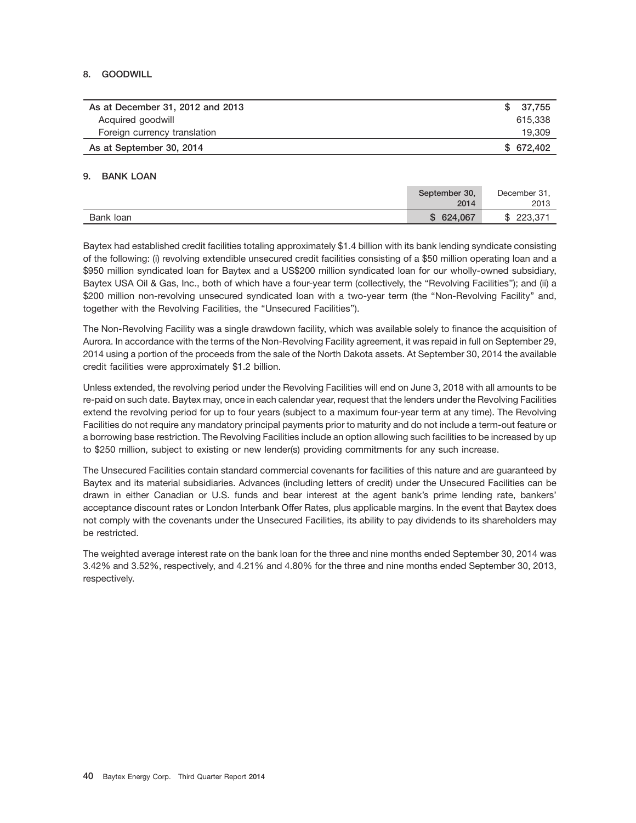#### **8. GOODWILL**

| As at December 31, 2012 and 2013 | \$ 37,755 |
|----------------------------------|-----------|
| Acquired goodwill                | 615,338   |
| Foreign currency translation     | 19,309    |
| As at September 30, 2014         | \$672,402 |

#### **9. BANK LOAN**

|           | September 30, | December 31, |
|-----------|---------------|--------------|
|           | 2014          | 2013         |
| Bank loan | 624,067       | 223.37       |

Baytex had established credit facilities totaling approximately \$1.4 billion with its bank lending syndicate consisting of the following: (i) revolving extendible unsecured credit facilities consisting of a \$50 million operating loan and a \$950 million syndicated loan for Baytex and a US\$200 million syndicated loan for our wholly-owned subsidiary, Baytex USA Oil & Gas, Inc., both of which have a four-year term (collectively, the ''Revolving Facilities''); and (ii) a \$200 million non-revolving unsecured syndicated loan with a two-year term (the "Non-Revolving Facility" and, together with the Revolving Facilities, the ''Unsecured Facilities'').

The Non-Revolving Facility was a single drawdown facility, which was available solely to finance the acquisition of Aurora. In accordance with the terms of the Non-Revolving Facility agreement, it was repaid in full on September 29, 2014 using a portion of the proceeds from the sale of the North Dakota assets. At September 30, 2014 the available credit facilities were approximately \$1.2 billion.

Unless extended, the revolving period under the Revolving Facilities will end on June 3, 2018 with all amounts to be re-paid on such date. Baytex may, once in each calendar year, request that the lenders under the Revolving Facilities extend the revolving period for up to four years (subject to a maximum four-year term at any time). The Revolving Facilities do not require any mandatory principal payments prior to maturity and do not include a term-out feature or a borrowing base restriction. The Revolving Facilities include an option allowing such facilities to be increased by up to \$250 million, subject to existing or new lender(s) providing commitments for any such increase.

The Unsecured Facilities contain standard commercial covenants for facilities of this nature and are guaranteed by Baytex and its material subsidiaries. Advances (including letters of credit) under the Unsecured Facilities can be drawn in either Canadian or U.S. funds and bear interest at the agent bank's prime lending rate, bankers' acceptance discount rates or London Interbank Offer Rates, plus applicable margins. In the event that Baytex does not comply with the covenants under the Unsecured Facilities, its ability to pay dividends to its shareholders may be restricted.

The weighted average interest rate on the bank loan for the three and nine months ended September 30, 2014 was 3.42% and 3.52%, respectively, and 4.21% and 4.80% for the three and nine months ended September 30, 2013, respectively.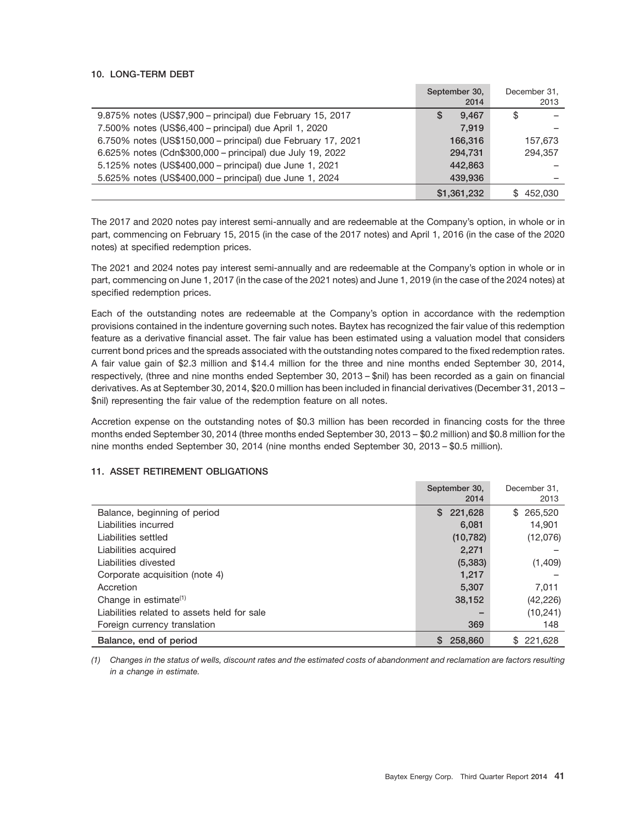#### **10. LONG-TERM DEBT**

|                                                              |   | September 30,<br>2014 | December 31.<br>2013 |
|--------------------------------------------------------------|---|-----------------------|----------------------|
| 9.875% notes (US\$7,900 – principal) due February 15, 2017   | S | 9.467                 | \$                   |
| 7.500% notes (US\$6,400 – principal) due April 1, 2020       |   | 7.919                 |                      |
| 6.750% notes (US\$150,000 - principal) due February 17, 2021 |   | 166,316               | 157.673              |
| 6.625% notes (Cdn\$300,000 - principal) due July 19, 2022    |   | 294,731               | 294.357              |
| 5.125% notes (US\$400,000 - principal) due June 1, 2021      |   | 442.863               |                      |
| 5.625% notes (US\$400,000 - principal) due June 1, 2024      |   | 439.936               |                      |
|                                                              |   | \$1,361,232           | 452,030              |

The 2017 and 2020 notes pay interest semi-annually and are redeemable at the Company's option, in whole or in part, commencing on February 15, 2015 (in the case of the 2017 notes) and April 1, 2016 (in the case of the 2020 notes) at specified redemption prices.

The 2021 and 2024 notes pay interest semi-annually and are redeemable at the Company's option in whole or in part, commencing on June 1, 2017 (in the case of the 2021 notes) and June 1, 2019 (in the case of the 2024 notes) at specified redemption prices.

Each of the outstanding notes are redeemable at the Company's option in accordance with the redemption provisions contained in the indenture governing such notes. Baytex has recognized the fair value of this redemption feature as a derivative financial asset. The fair value has been estimated using a valuation model that considers current bond prices and the spreads associated with the outstanding notes compared to the fixed redemption rates. A fair value gain of \$2.3 million and \$14.4 million for the three and nine months ended September 30, 2014, respectively, (three and nine months ended September 30, 2013 – \$nil) has been recorded as a gain on financial derivatives. As at September 30, 2014, \$20.0 million has been included in financial derivatives (December 31, 2013 – \$nil) representing the fair value of the redemption feature on all notes.

Accretion expense on the outstanding notes of \$0.3 million has been recorded in financing costs for the three months ended September 30, 2014 (three months ended September 30, 2013 – \$0.2 million) and \$0.8 million for the nine months ended September 30, 2014 (nine months ended September 30, 2013 – \$0.5 million).

|                                             | September 30,  | December 31.  |
|---------------------------------------------|----------------|---------------|
|                                             | 2014           | 2013          |
| Balance, beginning of period                | 221,628<br>\$  | 265,520<br>\$ |
| Liabilities incurred                        | 6.081          | 14.901        |
| Liabilities settled                         | (10, 782)      | (12,076)      |
| Liabilities acquired                        | 2,271          |               |
| Liabilities divested                        | (5, 383)       | (1,409)       |
| Corporate acquisition (note 4)              | 1,217          |               |
| Accretion                                   | 5,307          | 7.011         |
| Change in estimate $(1)$                    | 38,152         | (42, 226)     |
| Liabilities related to assets held for sale |                | (10, 241)     |
| Foreign currency translation                | 369            | 148           |
| Balance, end of period                      | 258,860<br>\$. | 221.628<br>\$ |

#### **11. ASSET RETIREMENT OBLIGATIONS**

*(1) Changes in the status of wells, discount rates and the estimated costs of abandonment and reclamation are factors resulting in a change in estimate.*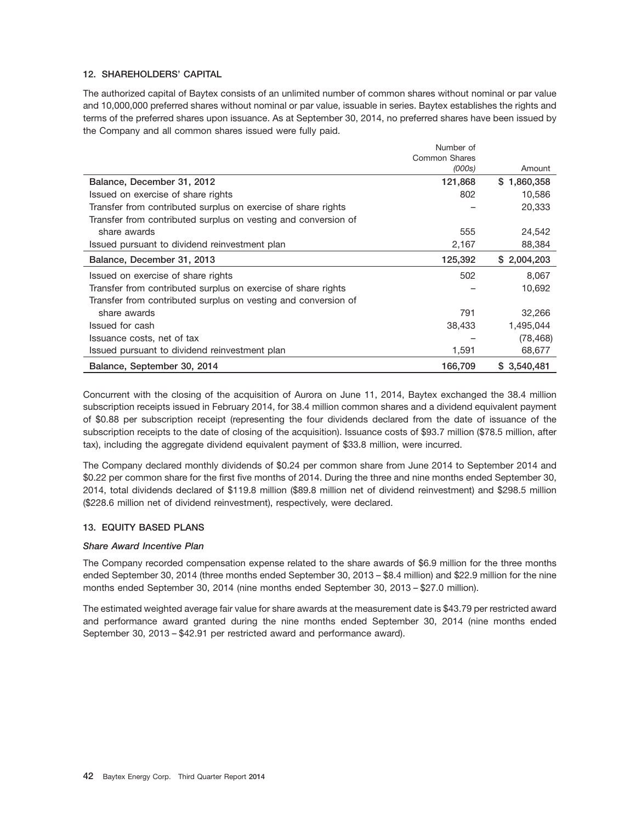#### **12. SHAREHOLDERS' CAPITAL**

The authorized capital of Baytex consists of an unlimited number of common shares without nominal or par value and 10,000,000 preferred shares without nominal or par value, issuable in series. Baytex establishes the rights and terms of the preferred shares upon issuance. As at September 30, 2014, no preferred shares have been issued by the Company and all common shares issued were fully paid.

|                                                                | Number of     |              |
|----------------------------------------------------------------|---------------|--------------|
|                                                                | Common Shares |              |
|                                                                | (000s)        | Amount       |
| Balance, December 31, 2012                                     | 121,868       | \$1,860,358  |
| Issued on exercise of share rights                             | 802           | 10,586       |
| Transfer from contributed surplus on exercise of share rights  |               | 20,333       |
| Transfer from contributed surplus on vesting and conversion of |               |              |
| share awards                                                   | 555           | 24,542       |
| Issued pursuant to dividend reinvestment plan                  | 2,167         | 88,384       |
| Balance, December 31, 2013                                     | 125,392       | \$2,004,203  |
| Issued on exercise of share rights                             | 502           | 8,067        |
| Transfer from contributed surplus on exercise of share rights  |               | 10,692       |
| Transfer from contributed surplus on vesting and conversion of |               |              |
| share awards                                                   | 791           | 32,266       |
| Issued for cash                                                | 38,433        | 1,495,044    |
| Issuance costs, net of tax                                     |               | (78, 468)    |
| Issued pursuant to dividend reinvestment plan                  | 1,591         | 68,677       |
| Balance, September 30, 2014                                    | 166,709       | \$ 3,540,481 |

Concurrent with the closing of the acquisition of Aurora on June 11, 2014, Baytex exchanged the 38.4 million subscription receipts issued in February 2014, for 38.4 million common shares and a dividend equivalent payment of \$0.88 per subscription receipt (representing the four dividends declared from the date of issuance of the subscription receipts to the date of closing of the acquisition). Issuance costs of \$93.7 million (\$78.5 million, after tax), including the aggregate dividend equivalent payment of \$33.8 million, were incurred.

The Company declared monthly dividends of \$0.24 per common share from June 2014 to September 2014 and \$0.22 per common share for the first five months of 2014. During the three and nine months ended September 30, 2014, total dividends declared of \$119.8 million (\$89.8 million net of dividend reinvestment) and \$298.5 million (\$228.6 million net of dividend reinvestment), respectively, were declared.

#### **13. EQUITY BASED PLANS**

#### *Share Award Incentive Plan*

The Company recorded compensation expense related to the share awards of \$6.9 million for the three months ended September 30, 2014 (three months ended September 30, 2013 – \$8.4 million) and \$22.9 million for the nine months ended September 30, 2014 (nine months ended September 30, 2013 – \$27.0 million).

The estimated weighted average fair value for share awards at the measurement date is \$43.79 per restricted award and performance award granted during the nine months ended September 30, 2014 (nine months ended September 30, 2013 – \$42.91 per restricted award and performance award).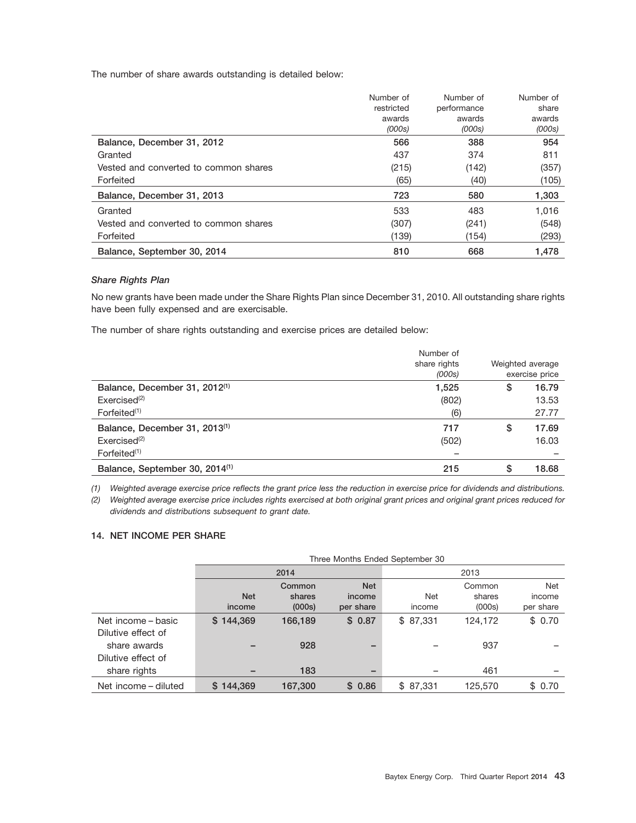The number of share awards outstanding is detailed below:

|                                       | Number of  | Number of   | Number of |
|---------------------------------------|------------|-------------|-----------|
|                                       | restricted | performance | share     |
|                                       | awards     | awards      | awards    |
|                                       | (000s)     | (000s)      | (000s)    |
| Balance, December 31, 2012            | 566        | 388         | 954       |
| Granted                               | 437        | 374         | 811       |
| Vested and converted to common shares | (215)      | (142)       | (357)     |
| Forfeited                             | (65)       | (40)        | (105)     |
| Balance, December 31, 2013            | 723        | 580         | 1,303     |
| Granted                               | 533        | 483         | 1,016     |
| Vested and converted to common shares | (307)      | (241)       | (548)     |
| Forfeited                             | (139)      | (154)       | (293)     |
| Balance, September 30, 2014           | 810        | 668         | 1,478     |

#### *Share Rights Plan*

No new grants have been made under the Share Rights Plan since December 31, 2010. All outstanding share rights have been fully expensed and are exercisable.

The number of share rights outstanding and exercise prices are detailed below:

|                                            | Number of<br>share rights<br>(000s) |    | Weighted average<br>exercise price |
|--------------------------------------------|-------------------------------------|----|------------------------------------|
| Balance, December 31, 2012 <sup>(1)</sup>  | 1,525                               | S  | 16.79                              |
| Exercise d <sup>(2)</sup>                  | (802)                               |    | 13.53                              |
| Forfeited <sup>(1)</sup>                   | (6)                                 |    | 27.77                              |
| Balance, December 31, 2013 <sup>(1)</sup>  | 717                                 | \$ | 17.69                              |
| Exercise d <sup>(2)</sup>                  | (502)                               |    | 16.03                              |
| Forfeited <sup>(1)</sup>                   |                                     |    |                                    |
| Balance, September 30, 2014 <sup>(1)</sup> | 215                                 | S  | 18.68                              |

*(1) Weighted average exercise price reflects the grant price less the reduction in exercise price for dividends and distributions.*

*(2) Weighted average exercise price includes rights exercised at both original grant prices and original grant prices reduced for dividends and distributions subsequent to grant date.*

#### **14. NET INCOME PER SHARE**

|                                                          |                      | Three Months Ended September 30 |                                   |               |                            |                                   |
|----------------------------------------------------------|----------------------|---------------------------------|-----------------------------------|---------------|----------------------------|-----------------------------------|
|                                                          | 2014                 |                                 |                                   |               | 2013                       |                                   |
|                                                          | <b>Net</b><br>income | Common<br>shares<br>(000s)      | <b>Net</b><br>income<br>per share | Net<br>income | Common<br>shares<br>(000s) | <b>Net</b><br>income<br>per share |
| Net income – basic                                       | \$144,369            | 166,189                         | \$0.87                            | \$87,331      | 124.172                    | \$0.70                            |
| Dilutive effect of<br>share awards<br>Dilutive effect of |                      | 928                             | -                                 |               | 937                        |                                   |
| share rights                                             | -                    | 183                             | -                                 |               | 461                        |                                   |
| Net income – diluted                                     | \$144,369            | 167,300                         | \$0.86                            | \$87,331      | 125,570                    | \$0.70                            |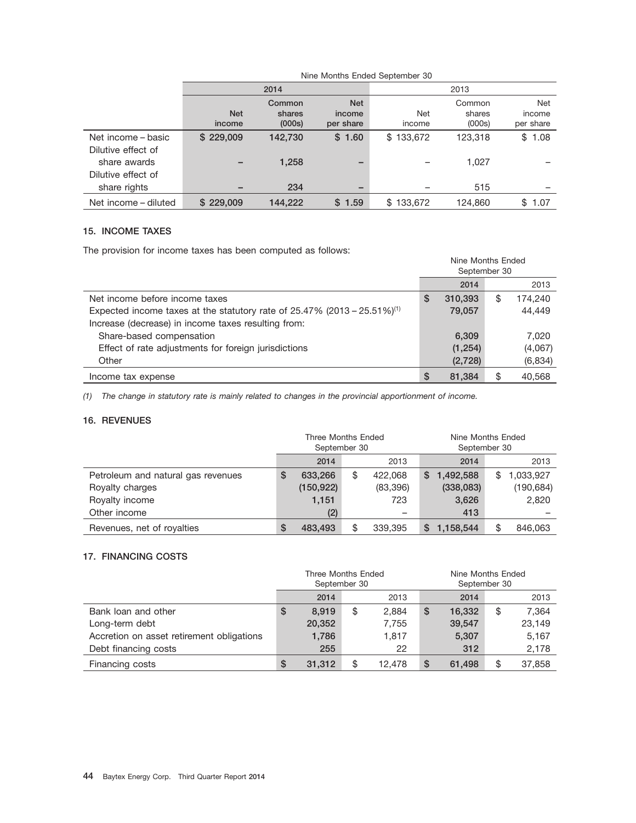|                                                          | Nine Months Ended September 30 |                            |                                   |                      |                            |                                   |  |
|----------------------------------------------------------|--------------------------------|----------------------------|-----------------------------------|----------------------|----------------------------|-----------------------------------|--|
|                                                          |                                | 2014                       |                                   |                      | 2013                       |                                   |  |
|                                                          | <b>Net</b><br>income           | Common<br>shares<br>(000s) | <b>Net</b><br>income<br>per share | <b>Net</b><br>income | Common<br>shares<br>(000s) | <b>Net</b><br>income<br>per share |  |
| Net income - basic                                       | \$229,009                      | 142,730                    | \$<br>1.60                        | \$133,672            | 123,318                    | \$<br>1.08                        |  |
| Dilutive effect of<br>share awards<br>Dilutive effect of |                                | 1,258                      |                                   |                      | 1,027                      |                                   |  |
| share rights                                             |                                | 234                        |                                   |                      | 515                        |                                   |  |
| Net income – diluted                                     | \$229,009                      | 144,222                    | \$1.59                            | \$133,672            | 124,860                    | \$<br>1.07                        |  |

## **15. INCOME TAXES**

The provision for income taxes has been computed as follows:

|                                                                                         |    | Nine Months Ended<br>September 30 |    |          |
|-----------------------------------------------------------------------------------------|----|-----------------------------------|----|----------|
|                                                                                         |    | 2014                              |    | 2013     |
| Net income before income taxes                                                          | \$ | 310,393                           | \$ | 174.240  |
| Expected income taxes at the statutory rate of $25.47\%$ (2013 - 25.51%) <sup>(1)</sup> |    | 79,057                            |    | 44.449   |
| Increase (decrease) in income taxes resulting from:                                     |    |                                   |    |          |
| Share-based compensation                                                                |    | 6,309                             |    | 7,020    |
| Effect of rate adjustments for foreign jurisdictions                                    |    | (1, 254)                          |    | (4,067)  |
| Other                                                                                   |    | (2,728)                           |    | (6, 834) |
| Income tax expense                                                                      | S  | 81,384                            |    | 40,568   |

*(1) The change in statutory rate is mainly related to changes in the provincial apportionment of income.*

#### **16. REVENUES**

|                                    | Three Months Ended<br>September 30 |            |    |           | Nine Months Ended<br>September 30 |           |      |           |
|------------------------------------|------------------------------------|------------|----|-----------|-----------------------------------|-----------|------|-----------|
|                                    | 2014<br>2013                       |            |    |           | 2014                              |           | 2013 |           |
| Petroleum and natural gas revenues | S                                  | 633.266    | \$ | 422.068   | S.                                | 1,492,588 | S    | 1,033,927 |
| Royalty charges                    |                                    | (150, 922) |    | (83, 396) |                                   | (338,083) |      | (190,684) |
| Royalty income                     |                                    | 1,151      |    | 723       |                                   | 3,626     |      | 2,820     |
| Other income                       |                                    | (2)        |    |           |                                   | 413       |      |           |
| Revenues, net of royalties         | S                                  | 483,493    | \$ | 339.395   | S.                                | 1.158.544 |      | 846,063   |

#### **17. FINANCING COSTS**

|                                           | Three Months Ended |              |    |        | Nine Months Ended |        |    |        |
|-------------------------------------------|--------------------|--------------|----|--------|-------------------|--------|----|--------|
|                                           |                    | September 30 |    |        | September 30      |        |    |        |
|                                           | 2014<br>2013       |              |    |        |                   | 2014   |    | 2013   |
| Bank loan and other                       | S                  | 8.919        | \$ | 2,884  | \$                | 16,332 | \$ | 7,364  |
| Long-term debt                            |                    | 20,352       |    | 7,755  |                   | 39,547 |    | 23,149 |
| Accretion on asset retirement obligations |                    | 1,786        |    | 1,817  |                   | 5,307  |    | 5,167  |
| Debt financing costs                      |                    | 255          |    | 22     |                   | 312    |    | 2,178  |
| Financing costs                           | S                  | 31,312       | S  | 12.478 | \$                | 61.498 | S  | 37,858 |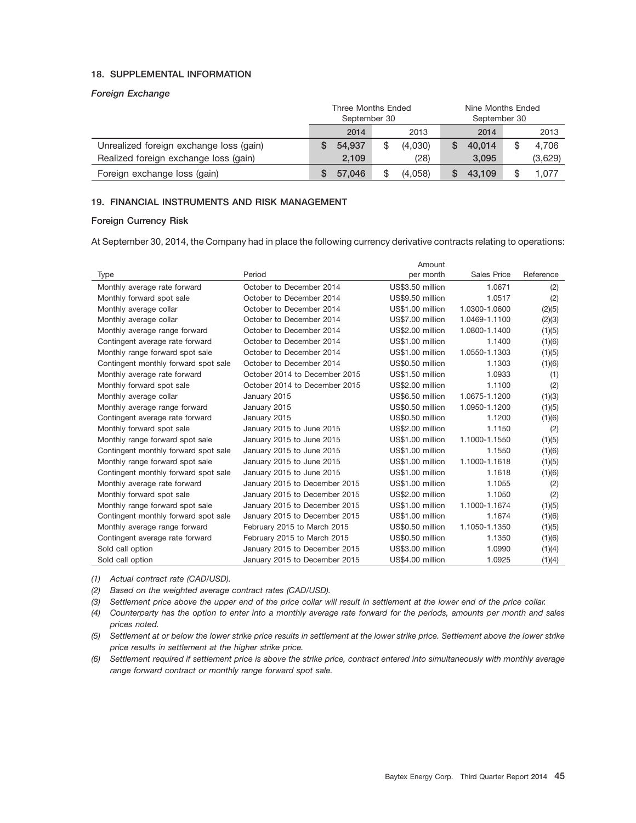#### **18. SUPPLEMENTAL INFORMATION**

#### *Foreign Exchange*

|                                         | <b>Three Months Ended</b><br>September 30 |        |    | Nine Months Ended<br>September 30 |  |        |  |         |
|-----------------------------------------|-------------------------------------------|--------|----|-----------------------------------|--|--------|--|---------|
|                                         | 2014                                      |        |    | 2013                              |  | 2014   |  | 2013    |
| Unrealized foreign exchange loss (gain) |                                           | 54.937 | \$ | (4,030)                           |  | 40.014 |  | 4,706   |
| Realized foreign exchange loss (gain)   |                                           | 2.109  |    | (28)                              |  | 3.095  |  | (3,629) |
| Foreign exchange loss (gain)            |                                           | 57,046 | \$ | (4,058)                           |  | 43.109 |  | 1.077   |

#### **19. FINANCIAL INSTRUMENTS AND RISK MANAGEMENT**

#### **Foreign Currency Risk**

At September 30, 2014, the Company had in place the following currency derivative contracts relating to operations:

|                                      |                               | Amount           |               |           |
|--------------------------------------|-------------------------------|------------------|---------------|-----------|
| Type                                 | Period                        | per month        | Sales Price   | Reference |
| Monthly average rate forward         | October to December 2014      | US\$3.50 million | 1.0671        | (2)       |
| Monthly forward spot sale            | October to December 2014      | US\$9.50 million | 1.0517        | (2)       |
| Monthly average collar               | October to December 2014      | US\$1.00 million | 1.0300-1.0600 | (2)(5)    |
| Monthly average collar               | October to December 2014      | US\$7.00 million | 1.0469-1.1100 | (2)(3)    |
| Monthly average range forward        | October to December 2014      | US\$2.00 million | 1.0800-1.1400 | (1)(5)    |
| Contingent average rate forward      | October to December 2014      | US\$1.00 million | 1.1400        | (1)(6)    |
| Monthly range forward spot sale      | October to December 2014      | US\$1.00 million | 1.0550-1.1303 | (1)(5)    |
| Contingent monthly forward spot sale | October to December 2014      | US\$0.50 million | 1.1303        | (1)(6)    |
| Monthly average rate forward         | October 2014 to December 2015 | US\$1.50 million | 1.0933        | (1)       |
| Monthly forward spot sale            | October 2014 to December 2015 | US\$2.00 million | 1.1100        | (2)       |
| Monthly average collar               | January 2015                  | US\$6.50 million | 1.0675-1.1200 | (1)(3)    |
| Monthly average range forward        | January 2015                  | US\$0.50 million | 1.0950-1.1200 | (1)(5)    |
| Contingent average rate forward      | January 2015                  | US\$0.50 million | 1.1200        | (1)(6)    |
| Monthly forward spot sale            | January 2015 to June 2015     | US\$2.00 million | 1.1150        | (2)       |
| Monthly range forward spot sale      | January 2015 to June 2015     | US\$1.00 million | 1.1000-1.1550 | (1)(5)    |
| Contingent monthly forward spot sale | January 2015 to June 2015     | US\$1.00 million | 1.1550        | (1)(6)    |
| Monthly range forward spot sale      | January 2015 to June 2015     | US\$1.00 million | 1.1000-1.1618 | (1)(5)    |
| Contingent monthly forward spot sale | January 2015 to June 2015     | US\$1.00 million | 1.1618        | (1)(6)    |
| Monthly average rate forward         | January 2015 to December 2015 | US\$1.00 million | 1.1055        | (2)       |
| Monthly forward spot sale            | January 2015 to December 2015 | US\$2.00 million | 1.1050        | (2)       |
| Monthly range forward spot sale      | January 2015 to December 2015 | US\$1.00 million | 1.1000-1.1674 | (1)(5)    |
| Contingent monthly forward spot sale | January 2015 to December 2015 | US\$1.00 million | 1.1674        | (1)(6)    |
| Monthly average range forward        | February 2015 to March 2015   | US\$0.50 million | 1.1050-1.1350 | (1)(5)    |
| Contingent average rate forward      | February 2015 to March 2015   | US\$0.50 million | 1.1350        | (1)(6)    |
| Sold call option                     | January 2015 to December 2015 | US\$3.00 million | 1.0990        | (1)(4)    |
| Sold call option                     | January 2015 to December 2015 | US\$4.00 million | 1.0925        | (1)(4)    |

*(1) Actual contract rate (CAD/USD).*

*(2) Based on the weighted average contract rates (CAD/USD).*

*(3) Settlement price above the upper end of the price collar will result in settlement at the lower end of the price collar.*

*(4) Counterparty has the option to enter into a monthly average rate forward for the periods, amounts per month and sales prices noted.*

*(5) Settlement at or below the lower strike price results in settlement at the lower strike price. Settlement above the lower strike price results in settlement at the higher strike price.*

*(6) Settlement required if settlement price is above the strike price, contract entered into simultaneously with monthly average range forward contract or monthly range forward spot sale.*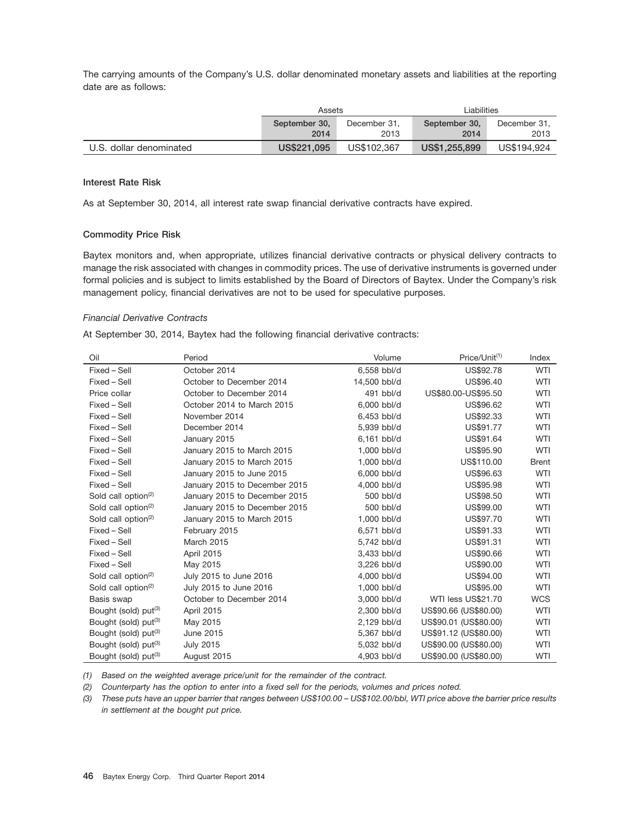The carrying amounts of the Company's U.S. dollar denominated monetary assets and liabilities at the reporting date are as follows:

|                         | Assets                        |             | Liabilities   |              |  |
|-------------------------|-------------------------------|-------------|---------------|--------------|--|
|                         | September 30.<br>December 31. |             | September 30. | December 31. |  |
|                         | 2014                          | 2013        | 2014          | 2013         |  |
| U.S. dollar denominated | US\$221,095                   | US\$102.367 | US\$1,255,899 | US\$194,924  |  |

## **Interest Rate Risk**

As at September 30, 2014, all interest rate swap financial derivative contracts have expired.

#### **Commodity Price Risk**

Baytex monitors and, when appropriate, utilizes financial derivative contracts or physical delivery contracts to manage the risk associated with changes in commodity prices. The use of derivative instruments is governed under formal policies and is subject to limits established by the Board of Directors of Baytex. Under the Company's risk management policy, financial derivatives are not to be used for speculative purposes.

#### *Financial Derivative Contracts*

At September 30, 2014, Baytex had the following financial derivative contracts:

| Oil                              | Period                        | Volume       | Price/Unit <sup>(1)</sup> | Index        |
|----------------------------------|-------------------------------|--------------|---------------------------|--------------|
| Fixed - Sell                     | October 2014                  | 6,558 bbl/d  | US\$92.78                 | <b>WTI</b>   |
| Fixed - Sell                     | October to December 2014      | 14,500 bbl/d | US\$96.40                 | WTI          |
| Price collar                     | October to December 2014      | 491 bbl/d    | US\$80.00-US\$95.50       | WTI          |
| Fixed - Sell                     | October 2014 to March 2015    | 6.000 bbl/d  | US\$96.62                 | <b>WTI</b>   |
| Fixed - Sell                     | November 2014                 | 6,453 bbl/d  | US\$92.33                 | <b>WTI</b>   |
| Fixed - Sell                     | December 2014                 | 5,939 bbl/d  | US\$91.77                 | WTI          |
| Fixed - Sell                     | January 2015                  | 6,161 bbl/d  | US\$91.64                 | <b>WTI</b>   |
| Fixed - Sell                     | January 2015 to March 2015    | 1.000 bbl/d  | US\$95.90                 | <b>WTI</b>   |
| Fixed - Sell                     | January 2015 to March 2015    | 1,000 bbl/d  | US\$110.00                | <b>Brent</b> |
| Fixed - Sell                     | January 2015 to June 2015     | 6.000 bbl/d  | US\$96.63                 | <b>WTI</b>   |
| Fixed - Sell                     | January 2015 to December 2015 | 4,000 bbl/d  | US\$95.98                 | <b>WTI</b>   |
| Sold call option <sup>(2)</sup>  | January 2015 to December 2015 | 500 bbl/d    | US\$98.50                 | <b>WTI</b>   |
| Sold call option <sup>(2)</sup>  | January 2015 to December 2015 | 500 bbl/d    | US\$99.00                 | <b>WTI</b>   |
| Sold call option <sup>(2)</sup>  | January 2015 to March 2015    | 1.000 bbl/d  | US\$97.70                 | WTI          |
| Fixed – Sell                     | February 2015                 | 6,571 bbl/d  | US\$91.33                 | WTI          |
| Fixed - Sell                     | <b>March 2015</b>             | 5.742 bbl/d  | US\$91.31                 | WTI          |
| Fixed - Sell                     | April 2015                    | 3,433 bbl/d  | US\$90.66                 | <b>WTI</b>   |
| Fixed - Sell                     | May 2015                      | 3,226 bbl/d  | US\$90.00                 | WTI          |
| Sold call option <sup>(2)</sup>  | July 2015 to June 2016        | 4,000 bbl/d  | US\$94.00                 | WTI          |
| Sold call option <sup>(2)</sup>  | July 2015 to June 2016        | 1.000 bbl/d  | US\$95.00                 | <b>WTI</b>   |
| Basis swap                       | October to December 2014      | 3,000 bbl/d  | WTI less US\$21.70        | <b>WCS</b>   |
| Bought (sold) put <sup>(3)</sup> | April 2015                    | 2.300 bbl/d  | US\$90.66 (US\$80.00)     | WTI          |
| Bought (sold) put <sup>(3)</sup> | May 2015                      | 2,129 bbl/d  | US\$90.01 (US\$80.00)     | <b>WTI</b>   |
| Bought (sold) put <sup>(3)</sup> | June 2015                     | 5,367 bbl/d  | US\$91.12 (US\$80.00)     | <b>WTI</b>   |
| Bought (sold) put <sup>(3)</sup> | <b>July 2015</b>              | 5,032 bbl/d  | US\$90.00 (US\$80.00)     | WTI          |
| Bought (sold) put <sup>(3)</sup> | August 2015                   | 4,903 bbl/d  | US\$90.00 (US\$80.00)     | WTI          |

*(1) Based on the weighted average price/unit for the remainder of the contract.*

*(2) Counterparty has the option to enter into a fixed sell for the periods, volumes and prices noted.*

*(3) These puts have an upper barrier that ranges between US\$100.00 – US\$102.00/bbl, WTI price above the barrier price results in settlement at the bought put price.*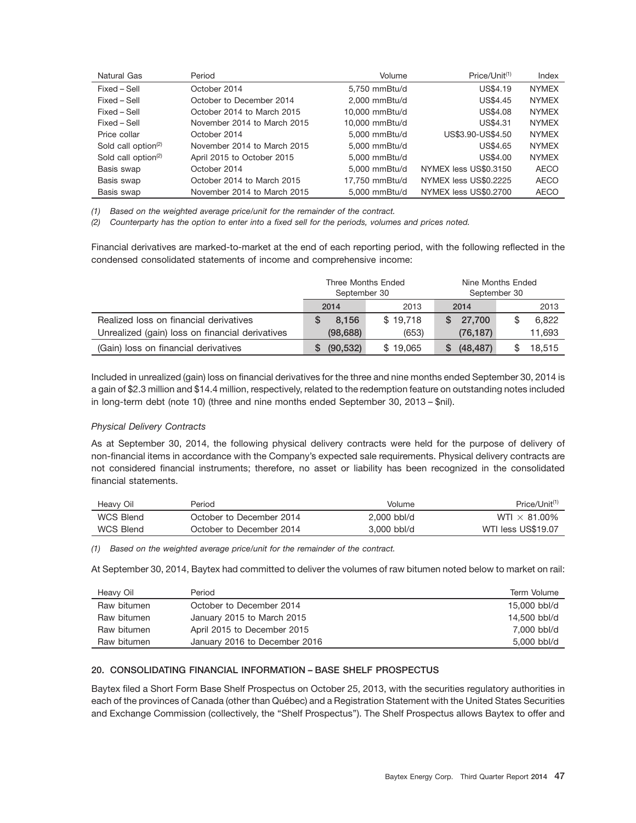| Natural Gas                                  | Period                      | Volume          | Price/Unit <sup>(1)</sup> | Index        |
|----------------------------------------------|-----------------------------|-----------------|---------------------------|--------------|
| Fixed - Sell                                 | October 2014                | 5.750 mmBtu/d   | US\$4.19                  | <b>NYMEX</b> |
| Fixed – Sell                                 | October to December 2014    | $2.000$ mmBtu/d | <b>US\$4.45</b>           | <b>NYMEX</b> |
| Fixed - Sell                                 | October 2014 to March 2015  | 10,000 mmBtu/d  | US\$4.08                  | <b>NYMEX</b> |
| Fixed - Sell                                 | November 2014 to March 2015 | 10,000 mmBtu/d  | US\$4.31                  | <b>NYMEX</b> |
| Price collar                                 | October 2014                | 5.000 mmBtu/d   | US\$3.90-US\$4.50         | <b>NYMEX</b> |
| Sold call option <sup><math>(2)</math></sup> | November 2014 to March 2015 | 5.000 mmBtu/d   | US\$4.65                  | <b>NYMEX</b> |
| Sold call option <sup><math>(2)</math></sup> | April 2015 to October 2015  | 5.000 mmBtu/d   | US\$4,00                  | <b>NYMEX</b> |
| Basis swap                                   | October 2014                | 5.000 mmBtu/d   | NYMEX less US\$0.3150     | <b>AECO</b>  |
| Basis swap                                   | October 2014 to March 2015  | 17.750 mmBtu/d  | NYMEX less US\$0.2225     | <b>AECO</b>  |
| Basis swap                                   | November 2014 to March 2015 | 5.000 mmBtu/d   | NYMEX less US\$0.2700     | <b>AECO</b>  |

*(1) Based on the weighted average price/unit for the remainder of the contract.*

*(2) Counterparty has the option to enter into a fixed sell for the periods, volumes and prices noted.*

Financial derivatives are marked-to-market at the end of each reporting period, with the following reflected in the condensed consolidated statements of income and comprehensive income:

|                                                 | September 30 | Three Months Ended | Nine Months Ended<br>September 30 |        |  |
|-------------------------------------------------|--------------|--------------------|-----------------------------------|--------|--|
|                                                 | 2014         | 2013<br>2014       |                                   | 2013   |  |
| Realized loss on financial derivatives          | 8.156        | \$19.718           | 27,700                            | 6,822  |  |
| Unrealized (gain) loss on financial derivatives | (98, 688)    | (653)              | (76, 187)                         | 11,693 |  |
| (Gain) loss on financial derivatives            | (90, 532)    | \$19.065           | (48, 487)                         | 18,515 |  |

Included in unrealized (gain) loss on financial derivatives for the three and nine months ended September 30, 2014 is a gain of \$2.3 million and \$14.4 million, respectively, related to the redemption feature on outstanding notes included in long-term debt (note 10) (three and nine months ended September 30, 2013 – \$nil).

#### *Physical Delivery Contracts*

As at September 30, 2014, the following physical delivery contracts were held for the purpose of delivery of non-financial items in accordance with the Company's expected sale requirements. Physical delivery contracts are not considered financial instruments; therefore, no asset or liability has been recognized in the consolidated financial statements.

| Heavy Oil        | Period                   | Volume        | Price/Unit <sup>(1)</sup> |
|------------------|--------------------------|---------------|---------------------------|
| <b>WCS Blend</b> | October to December 2014 | $2.000$ bbl/d | WTI $\times$ 81.00%       |
| <b>WCS Blend</b> | October to December 2014 | $3.000$ bbl/d | WTI less US\$19.07        |

*(1) Based on the weighted average price/unit for the remainder of the contract.*

At September 30, 2014, Baytex had committed to deliver the volumes of raw bitumen noted below to market on rail:

| Heavy Oil   | Period                        | Term Volume  |
|-------------|-------------------------------|--------------|
| Raw bitumen | October to December 2014      | 15,000 bbl/d |
| Raw bitumen | January 2015 to March 2015    | 14,500 bbl/d |
| Raw bitumen | April 2015 to December 2015   | 7.000 bbl/d  |
| Raw bitumen | January 2016 to December 2016 | 5,000 bbl/d  |

#### **20. CONSOLIDATING FINANCIAL INFORMATION – BASE SHELF PROSPECTUS**

Baytex filed a Short Form Base Shelf Prospectus on October 25, 2013, with the securities regulatory authorities in each of the provinces of Canada (other than Québec) and a Registration Statement with the United States Securities and Exchange Commission (collectively, the "Shelf Prospectus"). The Shelf Prospectus allows Baytex to offer and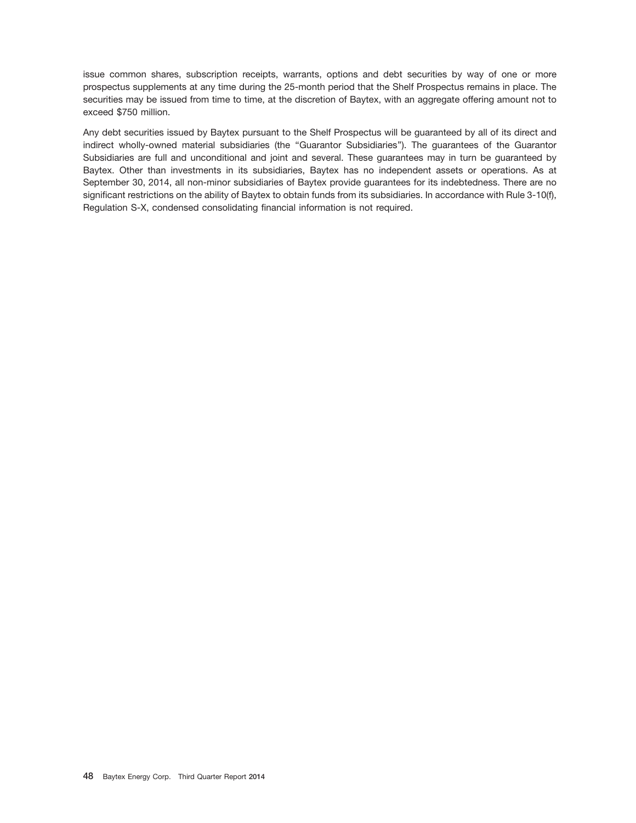issue common shares, subscription receipts, warrants, options and debt securities by way of one or more prospectus supplements at any time during the 25-month period that the Shelf Prospectus remains in place. The securities may be issued from time to time, at the discretion of Baytex, with an aggregate offering amount not to exceed \$750 million.

Any debt securities issued by Baytex pursuant to the Shelf Prospectus will be guaranteed by all of its direct and indirect wholly-owned material subsidiaries (the "Guarantor Subsidiaries"). The guarantees of the Guarantor Subsidiaries are full and unconditional and joint and several. These guarantees may in turn be guaranteed by Baytex. Other than investments in its subsidiaries, Baytex has no independent assets or operations. As at September 30, 2014, all non-minor subsidiaries of Baytex provide guarantees for its indebtedness. There are no significant restrictions on the ability of Baytex to obtain funds from its subsidiaries. In accordance with Rule 3-10(f), Regulation S-X, condensed consolidating financial information is not required.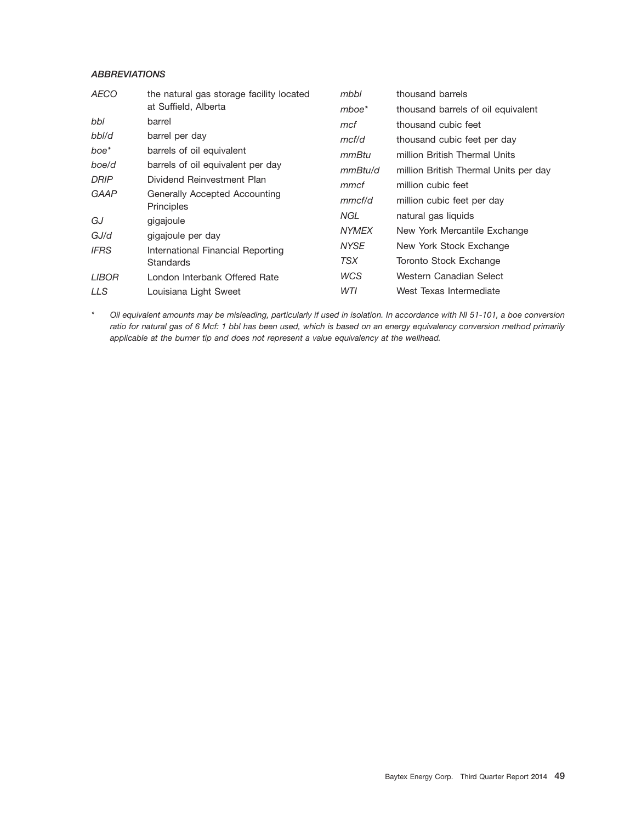## *ABBREVIATIONS*

| <b>AECO</b>  | the natural gas storage facility located | mbbl         | thousand barrels                      |
|--------------|------------------------------------------|--------------|---------------------------------------|
|              | at Suffield, Alberta                     | mboe*        | thousand barrels of oil equivalent    |
| bbl          | barrel                                   | mcf          | thousand cubic feet                   |
| bbl/d        | barrel per day                           | mcf/d        | thousand cubic feet per day           |
| boe*         | barrels of oil equivalent                | mmBtu        | million British Thermal Units         |
| boe/d        | barrels of oil equivalent per day        | mmBtu/d      | million British Thermal Units per day |
| DRIP         | Dividend Reinvestment Plan               | mmcf         | million cubic feet                    |
| GAAP         | Generally Accepted Accounting            | mmcf/d       |                                       |
|              | <b>Principles</b>                        |              | million cubic feet per day            |
| GJ           | gigajoule                                | NGL          | natural gas liquids                   |
| GJ/d         | gigajoule per day                        | <b>NYMEX</b> | New York Mercantile Exchange          |
| <b>IFRS</b>  | International Financial Reporting        | NYSE         | New York Stock Exchange               |
|              | <b>Standards</b>                         | TSX          | <b>Toronto Stock Exchange</b>         |
| <b>LIBOR</b> | London Interbank Offered Rate            | <b>WCS</b>   | Western Canadian Select               |
| <b>LLS</b>   | Louisiana Light Sweet                    | WTI          | West Texas Intermediate               |

*\* Oil equivalent amounts may be misleading, particularly if used in isolation. In accordance with NI 51-101, a boe conversion ratio for natural gas of 6 Mcf: 1 bbl has been used, which is based on an energy equivalency conversion method primarily applicable at the burner tip and does not represent a value equivalency at the wellhead.*